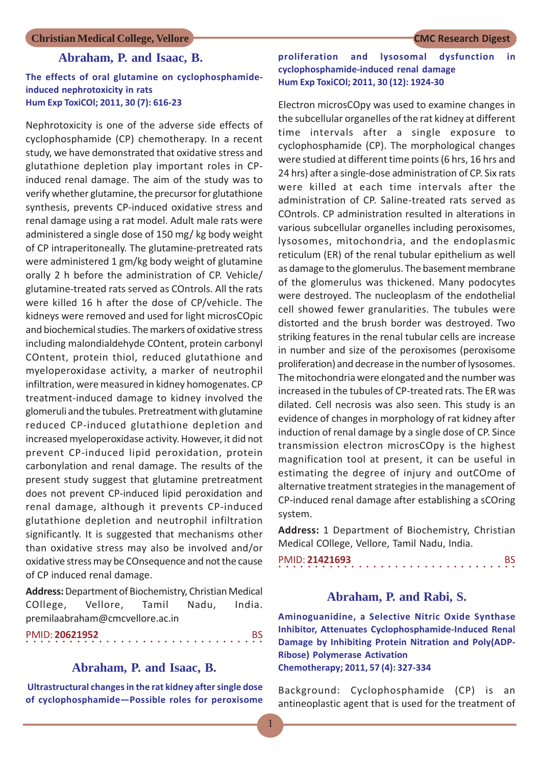#### **Abraham, P. and Isaac, B.**

#### **The effects of oral glutamine on cyclophosphamideinduced nephrotoxicity in rats Hum Exp ToxiCOl; 2011, 30 (7): 616-23**

Nephrotoxicity is one of the adverse side effects of cyclophosphamide (CP) chemotherapy. In a recent study, we have demonstrated that oxidative stress and glutathione depletion play important roles in CPinduced renal damage. The aim of the study was to verify whether glutamine, the precursor for glutathione synthesis, prevents CP-induced oxidative stress and renal damage using a rat model. Adult male rats were administered a single dose of 150 mg/ kg body weight of CP intraperitoneally. The glutamine-pretreated rats were administered 1 gm/kg body weight of glutamine orally 2 h before the administration of CP. Vehicle/ glutamine-treated rats served as COntrols. All the rats were killed 16 h after the dose of CP/vehicle. The kidneys were removed and used for light microsCOpic and biochemical studies. The markers of oxidative stress including malondialdehyde COntent, protein carbonyl COntent, protein thiol, reduced glutathione and myeloperoxidase activity, a marker of neutrophil infiltration, were measured in kidney homogenates. CP treatment-induced damage to kidney involved the glomeruli and the tubules. Pretreatment with glutamine reduced CP-induced glutathione depletion and increased myeloperoxidase activity. However, it did not prevent CP-induced lipid peroxidation, protein carbonylation and renal damage. The results of the present study suggest that glutamine pretreatment does not prevent CP-induced lipid peroxidation and renal damage, although it prevents CP-induced glutathione depletion and neutrophil infiltration significantly. It is suggested that mechanisms other than oxidative stress may also be involved and/or oxidative stress may be COnsequence and not the cause of CP induced renal damage.

**Address:** Department of Biochemistry, Christian Medical COllege, Vellore, Tamil Nadu, India. premilaabraham@cmcvellore.ac.in

○○○○○○○○○○○○○○○○○○○○○○○○○○○○ ○○○○○ PMID: **20621952** BS

### **Abraham, P. and Isaac, B.**

 **Ultrastructural changes in the rat kidney after single dose of cyclophosphamide—Possible roles for peroxisome**

#### **proliferation and lysosomal dysfunction in cyclophosphamide-induced renal damage Hum Exp ToxiCOl; 2011, 30 (12): 1924-30**

Electron microsCOpy was used to examine changes in the subcellular organelles of the rat kidney at different time intervals after a single exposure to cyclophosphamide (CP). The morphological changes were studied at different time points (6 hrs, 16 hrs and 24 hrs) after a single-dose administration of CP. Six rats were killed at each time intervals after the administration of CP. Saline-treated rats served as COntrols. CP administration resulted in alterations in various subcellular organelles including peroxisomes, lysosomes, mitochondria, and the endoplasmic reticulum (ER) of the renal tubular epithelium as well as damage to the glomerulus. The basement membrane of the glomerulus was thickened. Many podocytes were destroyed. The nucleoplasm of the endothelial cell showed fewer granularities. The tubules were distorted and the brush border was destroyed. Two striking features in the renal tubular cells are increase in number and size of the peroxisomes (peroxisome proliferation) and decrease in the number of lysosomes. The mitochondria were elongated and the number was increased in the tubules of CP-treated rats. The ER was dilated. Cell necrosis was also seen. This study is an evidence of changes in morphology of rat kidney after induction of renal damage by a single dose of CP. Since transmission electron microsCOpy is the highest magnification tool at present, it can be useful in estimating the degree of injury and outCOme of alternative treatment strategies in the management of CP-induced renal damage after establishing a sCOring system.

**Address:** 1 Department of Biochemistry, Christian Medical COllege, Vellore, Tamil Nadu, India.

#### ○○○○○○○○○○○○○○○○○○○○○○○○○○○○○○○○○ PMID: **21421693** BS

#### **Abraham, P. and Rabi, S.**

**Aminoguanidine, a Selective Nitric Oxide Synthase Inhibitor, Attenuates Cyclophosphamide-Induced Renal Damage by Inhibiting Protein Nitration and Poly(ADP-Ribose) Polymerase Activation Chemotherapy; 2011, 57 (4): 327-334**

Background: Cyclophosphamide (CP) is an antineoplastic agent that is used for the treatment of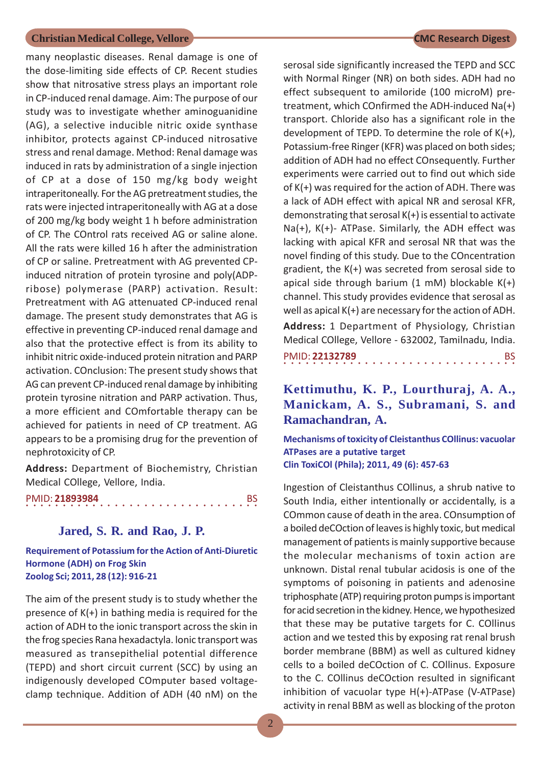many neoplastic diseases. Renal damage is one of the dose-limiting side effects of CP. Recent studies show that nitrosative stress plays an important role in CP-induced renal damage. Aim: The purpose of our study was to investigate whether aminoguanidine (AG), a selective inducible nitric oxide synthase inhibitor, protects against CP-induced nitrosative stress and renal damage. Method: Renal damage was induced in rats by administration of a single injection of CP at a dose of 150 mg/kg body weight intraperitoneally. For the AG pretreatment studies, the rats were injected intraperitoneally with AG at a dose of 200 mg/kg body weight 1 h before administration of CP. The COntrol rats received AG or saline alone. All the rats were killed 16 h after the administration of CP or saline. Pretreatment with AG prevented CPinduced nitration of protein tyrosine and poly(ADPribose) polymerase (PARP) activation. Result: Pretreatment with AG attenuated CP-induced renal damage. The present study demonstrates that AG is effective in preventing CP-induced renal damage and also that the protective effect is from its ability to inhibit nitric oxide-induced protein nitration and PARP activation. COnclusion: The present study shows that AG can prevent CP-induced renal damage by inhibiting protein tyrosine nitration and PARP activation. Thus, a more efficient and COmfortable therapy can be achieved for patients in need of CP treatment. AG appears to be a promising drug for the prevention of nephrotoxicity of CP.

**Address:** Department of Biochemistry, Christian Medical COllege, Vellore, India.

|  |  | PMID: 21893984 |  |  |  |  |  |  |  |  |  |  |  |  |  |  |
|--|--|----------------|--|--|--|--|--|--|--|--|--|--|--|--|--|--|
|  |  |                |  |  |  |  |  |  |  |  |  |  |  |  |  |  |

#### **Jared, S. R. and Rao, J. P.**

**Requirement of Potassium for the Action of Anti-Diuretic Hormone (ADH) on Frog Skin Zoolog Sci; 2011, 28 (12): 916-21**

The aim of the present study is to study whether the presence of K(+) in bathing media is required for the action of ADH to the ionic transport across the skin in the frog species Rana hexadactyla. lonic transport was measured as transepithelial potential difference (TEPD) and short circuit current (SCC) by using an indigenously developed COmputer based voltageclamp technique. Addition of ADH (40 nM) on the serosal side significantly increased the TEPD and SCC with Normal Ringer (NR) on both sides. ADH had no effect subsequent to amiloride (100 microM) pretreatment, which COnfirmed the ADH-induced Na(+) transport. Chloride also has a significant role in the development of TEPD. To determine the role of K(+), Potassium-free Ringer (KFR) was placed on both sides; addition of ADH had no effect COnsequently. Further experiments were carried out to find out which side of K(+) was required for the action of ADH. There was a lack of ADH effect with apical NR and serosal KFR, demonstrating that serosal K(+) is essential to activate Na(+), K(+)- ATPase. Similarly, the ADH effect was lacking with apical KFR and serosal NR that was the novel finding of this study. Due to the COncentration gradient, the K(+) was secreted from serosal side to apical side through barium  $(1 \text{ mM})$  blockable  $K(+)$ channel. This study provides evidence that serosal as well as apical K(+) are necessary for the action of ADH.

**Address:** 1 Department of Physiology, Christian Medical COllege, Vellore - 632002, Tamilnadu, India. ○○○○○○○○○○○○○○○○ ○○○○○○○○○○○○○○○○ PMID: **22132789** BS

## **Kettimuthu, K. P., Lourthuraj, A. A., Manickam, A. S., Subramani, S. and Ramachandran, A.**

**Mechanisms of toxicity of Cleistanthus COllinus: vacuolar ATPases are a putative target Clin ToxiCOl (Phila); 2011, 49 (6): 457-63**

Ingestion of Cleistanthus COllinus, a shrub native to South India, either intentionally or accidentally, is a COmmon cause of death in the area. COnsumption of a boiled deCOction of leaves is highly toxic, but medical management of patients is mainly supportive because the molecular mechanisms of toxin action are unknown. Distal renal tubular acidosis is one of the symptoms of poisoning in patients and adenosine triphosphate (ATP) requiring proton pumps is important for acid secretion in the kidney. Hence, we hypothesized that these may be putative targets for C. COllinus action and we tested this by exposing rat renal brush border membrane (BBM) as well as cultured kidney cells to a boiled deCOction of C. COllinus. Exposure to the C. COllinus deCOction resulted in significant inhibition of vacuolar type H(+)-ATPase (V-ATPase) activity in renal BBM as well as blocking of the proton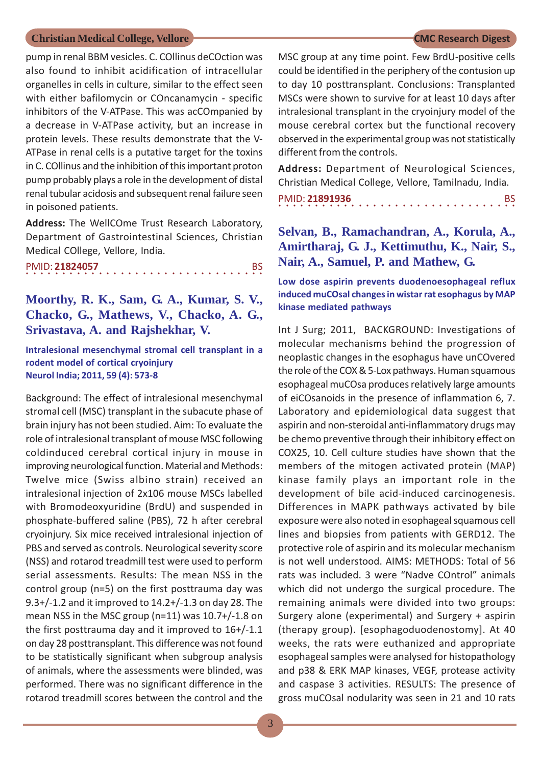pump in renal BBM vesicles. C. COllinus deCOction was also found to inhibit acidification of intracellular organelles in cells in culture, similar to the effect seen with either bafilomycin or COncanamycin - specific inhibitors of the V-ATPase. This was acCOmpanied by a decrease in V-ATPase activity, but an increase in protein levels. These results demonstrate that the V-ATPase in renal cells is a putative target for the toxins in C. COllinus and the inhibition of this important proton pump probably plays a role in the development of distal renal tubular acidosis and subsequent renal failure seen in poisoned patients.

**Address:** The WellCOme Trust Research Laboratory, Department of Gastrointestinal Sciences, Christian Medical COllege, Vellore, India.

| PMID: 21824057 |  |  |  |  |  |  |  |  |  |  |  |  |  |  |  |  |
|----------------|--|--|--|--|--|--|--|--|--|--|--|--|--|--|--|--|
|                |  |  |  |  |  |  |  |  |  |  |  |  |  |  |  |  |

**Moorthy, R. K., Sam, G. A., Kumar, S. V., Chacko, G., Mathews, V., Chacko, A. G., Srivastava, A. and Rajshekhar, V.**

**Intralesional mesenchymal stromal cell transplant in a rodent model of cortical cryoinjury Neurol India; 2011, 59 (4): 573-8**

Background: The effect of intralesional mesenchymal stromal cell (MSC) transplant in the subacute phase of brain injury has not been studied. Aim: To evaluate the role of intralesional transplant of mouse MSC following coldinduced cerebral cortical injury in mouse in improving neurological function. Material and Methods: Twelve mice (Swiss albino strain) received an intralesional injection of 2x106 mouse MSCs labelled with Bromodeoxyuridine (BrdU) and suspended in phosphate-buffered saline (PBS), 72 h after cerebral cryoinjury. Six mice received intralesional injection of PBS and served as controls. Neurological severity score (NSS) and rotarod treadmill test were used to perform serial assessments. Results: The mean NSS in the control group (n=5) on the first posttrauma day was 9.3+/-1.2 and it improved to 14.2+/-1.3 on day 28. The mean NSS in the MSC group (n=11) was 10.7+/-1.8 on the first posttrauma day and it improved to 16+/-1.1 on day 28 posttransplant. This difference was not found to be statistically significant when subgroup analysis of animals, where the assessments were blinded, was performed. There was no significant difference in the rotarod treadmill scores between the control and the

MSC group at any time point. Few BrdU-positive cells could be identified in the periphery of the contusion up to day 10 posttransplant. Conclusions: Transplanted MSCs were shown to survive for at least 10 days after intralesional transplant in the cryoinjury model of the mouse cerebral cortex but the functional recovery observed in the experimental group was not statistically different from the controls.

**Address:** Department of Neurological Sciences, Christian Medical College, Vellore, Tamilnadu, India.

○○○○○○○○○○○○○○○○○○○○○○○○○○○○○○○○○ PMID: **21891936** BS

## **Selvan, B., Ramachandran, A., Korula, A., Amirtharaj, G. J., Kettimuthu, K., Nair, S., Nair, A., Samuel, P. and Mathew, G.**

#### **Low dose aspirin prevents duodenoesophageal reflux induced muCOsal changes in wistar rat esophagus by MAP kinase mediated pathways**

Int J Surg; 2011, BACKGROUND: Investigations of molecular mechanisms behind the progression of neoplastic changes in the esophagus have unCOvered the role of the COX & 5-Lox pathways. Human squamous esophageal muCOsa produces relatively large amounts of eiCOsanoids in the presence of inflammation 6, 7. Laboratory and epidemiological data suggest that aspirin and non-steroidal anti-inflammatory drugs may be chemo preventive through their inhibitory effect on COX25, 10. Cell culture studies have shown that the members of the mitogen activated protein (MAP) kinase family plays an important role in the development of bile acid-induced carcinogenesis. Differences in MAPK pathways activated by bile exposure were also noted in esophageal squamous cell lines and biopsies from patients with GERD12. The protective role of aspirin and its molecular mechanism is not well understood. AIMS: METHODS: Total of 56 rats was included. 3 were "Nadve COntrol" animals which did not undergo the surgical procedure. The remaining animals were divided into two groups: Surgery alone (experimental) and Surgery + aspirin (therapy group). [esophagoduodenostomy]. At 40 weeks, the rats were euthanized and appropriate esophageal samples were analysed for histopathology and p38 & ERK MAP kinases, VEGF, protease activity and caspase 3 activities. RESULTS: The presence of gross muCOsal nodularity was seen in 21 and 10 rats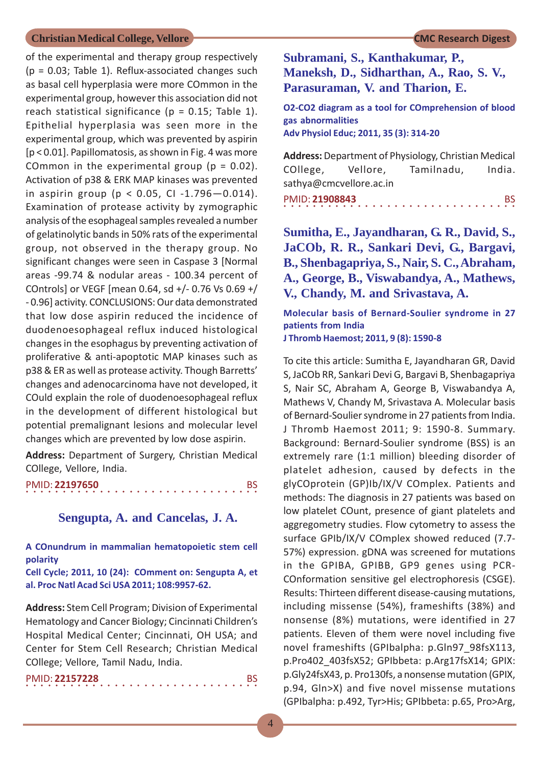of the experimental and therapy group respectively  $(p = 0.03;$  Table 1). Reflux-associated changes such as basal cell hyperplasia were more COmmon in the experimental group, however this association did not reach statistical significance ( $p = 0.15$ ; Table 1). Epithelial hyperplasia was seen more in the experimental group, which was prevented by aspirin [p < 0.01]. Papillomatosis, as shown in Fig. 4 was more COmmon in the experimental group ( $p = 0.02$ ). Activation of p38 & ERK MAP kinases was prevented in aspirin group ( $p < 0.05$ , CI-1.796-0.014). Examination of protease activity by zymographic analysis of the esophageal samples revealed a number of gelatinolytic bands in 50% rats of the experimental group, not observed in the therapy group. No significant changes were seen in Caspase 3 [Normal areas -99.74 & nodular areas - 100.34 percent of COntrols] or VEGF [mean 0.64, sd +/- 0.76 Vs 0.69 +/ - 0.96] activity. CONCLUSIONS: Our data demonstrated that low dose aspirin reduced the incidence of duodenoesophageal reflux induced histological changes in the esophagus by preventing activation of proliferative & anti-apoptotic MAP kinases such as p38 & ER as well as protease activity. Though Barretts' changes and adenocarcinoma have not developed, it COuld explain the role of duodenoesophageal reflux in the development of different histological but potential premalignant lesions and molecular level changes which are prevented by low dose aspirin.

**Address:** Department of Surgery, Christian Medical COllege, Vellore, India.

○○○○○○○○○○○○○○○○ ○○○○○○○○○○○○○○○○ PMID: **22197650** BS

#### **Sengupta, A. and Cancelas, J. A.**

**A COnundrum in mammalian hematopoietic stem cell polarity**

**Cell Cycle; 2011, 10 (24): COmment on: Sengupta A, et al. Proc Natl Acad Sci USA 2011; 108:9957-62.**

**Address:** Stem Cell Program; Division of Experimental Hematology and Cancer Biology; Cincinnati Children's Hospital Medical Center; Cincinnati, OH USA; and Center for Stem Cell Research; Christian Medical COllege; Vellore, Tamil Nadu, India.

|  |  |  | PMID: 22157228 |  |  |  |  |  |  |  |  |  |  |  |  |  |
|--|--|--|----------------|--|--|--|--|--|--|--|--|--|--|--|--|--|
|  |  |  |                |  |  |  |  |  |  |  |  |  |  |  |  |  |

**Subramani, S., Kanthakumar, P., Maneksh, D., Sidharthan, A., Rao, S. V., Parasuraman, V. and Tharion, E.**

**O2-CO2 diagram as a tool for COmprehension of blood gas abnormalities Adv Physiol Educ; 2011, 35 (3): 314-20**

**Address:** Department of Physiology, Christian Medical COllege, Vellore, Tamilnadu, India. sathya@cmcvellore.ac.in

PMID: **21908843** BS

**Sumitha, E., Jayandharan, G. R., David, S., JaCOb, R. R., Sankari Devi, G., Bargavi, B., Shenbagapriya, S., Nair, S. C., Abraham, A., George, B., Viswabandya, A., Mathews, V., Chandy, M. and Srivastava, A.**

**Molecular basis of Bernard-Soulier syndrome in 27 patients from India J Thromb Haemost; 2011, 9 (8): 1590-8**

To cite this article: Sumitha E, Jayandharan GR, David S, JaCOb RR, Sankari Devi G, Bargavi B, Shenbagapriya S, Nair SC, Abraham A, George B, Viswabandya A, Mathews V, Chandy M, Srivastava A. Molecular basis of Bernard-Soulier syndrome in 27 patients from India. J Thromb Haemost 2011; 9: 1590-8. Summary. Background: Bernard-Soulier syndrome (BSS) is an extremely rare (1:1 million) bleeding disorder of platelet adhesion, caused by defects in the glyCOprotein (GP)Ib/IX/V COmplex. Patients and methods: The diagnosis in 27 patients was based on low platelet COunt, presence of giant platelets and aggregometry studies. Flow cytometry to assess the surface GPIb/IX/V COmplex showed reduced (7.7- 57%) expression. gDNA was screened for mutations in the GPIBA, GPIBB, GP9 genes using PCR-COnformation sensitive gel electrophoresis (CSGE). Results: Thirteen different disease-causing mutations, including missense (54%), frameshifts (38%) and nonsense (8%) mutations, were identified in 27 patients. Eleven of them were novel including five novel frameshifts (GPIbalpha: p.Gln97\_98fsX113, p.Pro402\_403fsX52; GPIbbeta: p.Arg17fsX14; GPIX: p.Gly24fsX43, p. Pro130fs, a nonsense mutation (GPIX, p.94, Gln>X) and five novel missense mutations (GPIbalpha: p.492, Tyr>His; GPIbbeta: p.65, Pro>Arg,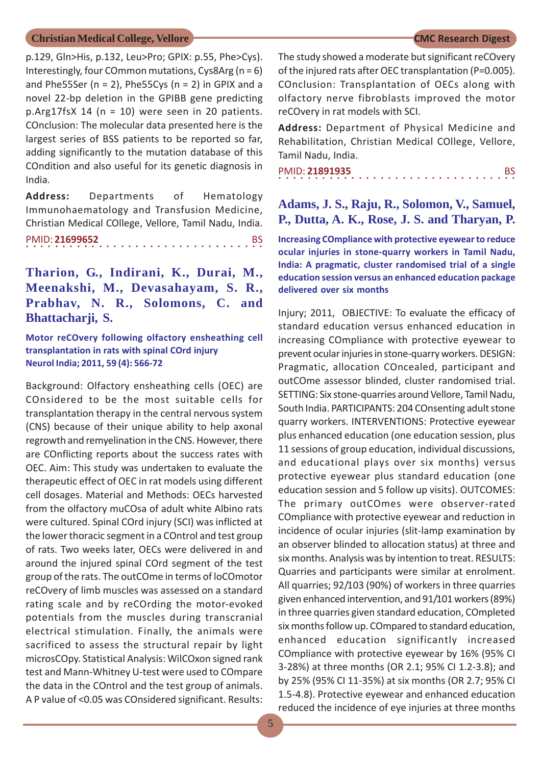p.129, Gln>His, p.132, Leu>Pro; GPIX: p.55, Phe>Cys). Interestingly, four COmmon mutations, Cys8Arg ( $n = 6$ ) and Phe55Ser ( $n = 2$ ), Phe55Cys ( $n = 2$ ) in GPIX and a novel 22-bp deletion in the GPIBB gene predicting p.Arg17fsX 14 (n = 10) were seen in 20 patients. COnclusion: The molecular data presented here is the largest series of BSS patients to be reported so far, adding significantly to the mutation database of this COndition and also useful for its genetic diagnosis in India.

**Address:** Departments of Hematology Immunohaematology and Transfusion Medicine, Christian Medical COllege, Vellore, Tamil Nadu, India. ○○○○○○○○○○○○○○○○○○○○○○○○○○○○ ○○○○○ PMID: **21699652** BS

**Tharion, G., Indirani, K., Durai, M., Meenakshi, M., Devasahayam, S. R., Prabhav, N. R., Solomons, C. and Bhattacharji, S.**

**Motor reCOvery following olfactory ensheathing cell transplantation in rats with spinal COrd injury Neurol India; 2011, 59 (4): 566-72**

Background: Olfactory ensheathing cells (OEC) are COnsidered to be the most suitable cells for transplantation therapy in the central nervous system (CNS) because of their unique ability to help axonal regrowth and remyelination in the CNS. However, there are COnflicting reports about the success rates with OEC. Aim: This study was undertaken to evaluate the therapeutic effect of OEC in rat models using different cell dosages. Material and Methods: OECs harvested from the olfactory muCOsa of adult white Albino rats were cultured. Spinal COrd injury (SCI) was inflicted at the lower thoracic segment in a COntrol and test group of rats. Two weeks later, OECs were delivered in and around the injured spinal COrd segment of the test group of the rats. The outCOme in terms of loCOmotor reCOvery of limb muscles was assessed on a standard rating scale and by reCOrding the motor-evoked potentials from the muscles during transcranial electrical stimulation. Finally, the animals were sacrificed to assess the structural repair by light microsCOpy. Statistical Analysis: WilCOxon signed rank test and Mann-Whitney U-test were used to COmpare the data in the COntrol and the test group of animals. A P value of <0.05 was COnsidered significant. Results:

The study showed a moderate but significant reCOvery of the injured rats after OEC transplantation (P=0.005). COnclusion: Transplantation of OECs along with olfactory nerve fibroblasts improved the motor reCOvery in rat models with SCI.

**Address:** Department of Physical Medicine and Rehabilitation, Christian Medical COllege, Vellore, Tamil Nadu, India.

○○○○○○○○○○○○○○○○○○○○○○○○○○○○○○○○○ PMID: **21891935** BS

**Adams, J. S., Raju, R., Solomon, V., Samuel, P., Dutta, A. K., Rose, J. S. and Tharyan, P.**

**Increasing COmpliance with protective eyewear to reduce ocular injuries in stone-quarry workers in Tamil Nadu, India: A pragmatic, cluster randomised trial of a single education session versus an enhanced education package delivered over six months**

Injury; 2011, OBJECTIVE: To evaluate the efficacy of standard education versus enhanced education in increasing COmpliance with protective eyewear to prevent ocular injuries in stone-quarry workers. DESIGN: Pragmatic, allocation COncealed, participant and outCOme assessor blinded, cluster randomised trial. SETTING: Six stone-quarries around Vellore, Tamil Nadu, South India. PARTICIPANTS: 204 COnsenting adult stone quarry workers. INTERVENTIONS: Protective eyewear plus enhanced education (one education session, plus 11 sessions of group education, individual discussions, and educational plays over six months) versus protective eyewear plus standard education (one education session and 5 follow up visits). OUTCOMES: The primary outCOmes were observer-rated COmpliance with protective eyewear and reduction in incidence of ocular injuries (slit-lamp examination by an observer blinded to allocation status) at three and six months. Analysis was by intention to treat. RESULTS: Quarries and participants were similar at enrolment. All quarries; 92/103 (90%) of workers in three quarries given enhanced intervention, and 91/101 workers (89%) in three quarries given standard education, COmpleted six months follow up. COmpared to standard education, enhanced education significantly increased COmpliance with protective eyewear by 16% (95% CI 3-28%) at three months (OR 2.1; 95% CI 1.2-3.8); and by 25% (95% CI 11-35%) at six months (OR 2.7; 95% CI 1.5-4.8). Protective eyewear and enhanced education reduced the incidence of eye injuries at three months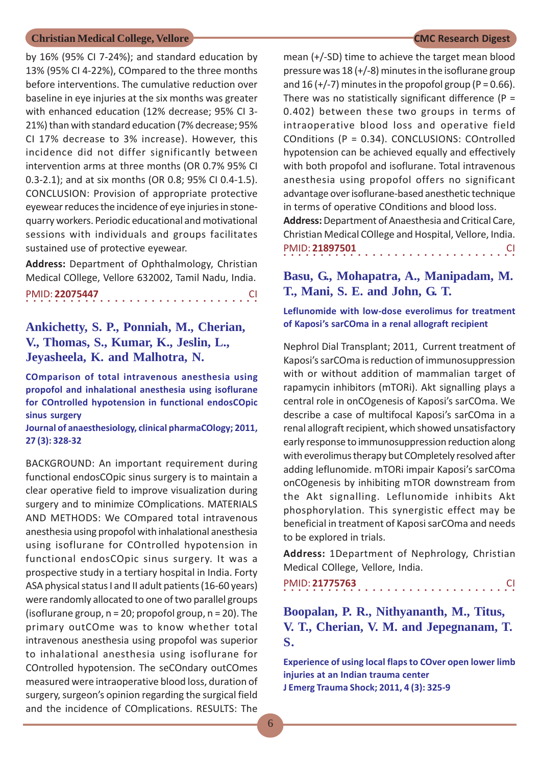by 16% (95% CI 7-24%); and standard education by 13% (95% CI 4-22%), COmpared to the three months before interventions. The cumulative reduction over baseline in eye injuries at the six months was greater with enhanced education (12% decrease; 95% CI 3- 21%) than with standard education (7% decrease; 95% CI 17% decrease to 3% increase). However, this incidence did not differ significantly between intervention arms at three months (OR 0.7% 95% CI 0.3-2.1); and at six months (OR 0.8; 95% CI 0.4-1.5). CONCLUSION: Provision of appropriate protective eyewear reduces the incidence of eye injuries in stonequarry workers. Periodic educational and motivational sessions with individuals and groups facilitates sustained use of protective eyewear.

**Address:** Department of Ophthalmology, Christian Medical COllege, Vellore 632002, Tamil Nadu, India.

○○○○○○○○○○○○○○○○ ○○○○○○○○○○○○○○○○ PMID: **22075447** CI

## **Ankichetty, S. P., Ponniah, M., Cherian, V., Thomas, S., Kumar, K., Jeslin, L., Jeyasheela, K. and Malhotra, N.**

**COmparison of total intravenous anesthesia using propofol and inhalational anesthesia using isoflurane for COntrolled hypotension in functional endosCOpic sinus surgery**

**Journal of anaesthesiology, clinical pharmaCOlogy; 2011, 27 (3): 328-32**

BACKGROUND: An important requirement during functional endosCOpic sinus surgery is to maintain a clear operative field to improve visualization during surgery and to minimize COmplications. MATERIALS AND METHODS: We COmpared total intravenous anesthesia using propofol with inhalational anesthesia using isoflurane for COntrolled hypotension in functional endosCOpic sinus surgery. It was a prospective study in a tertiary hospital in India. Forty ASA physical status I and II adult patients (16-60 years) were randomly allocated to one of two parallel groups (isoflurane group,  $n = 20$ ; propofol group,  $n = 20$ ). The primary outCOme was to know whether total intravenous anesthesia using propofol was superior to inhalational anesthesia using isoflurane for COntrolled hypotension. The seCOndary outCOmes measured were intraoperative blood loss, duration of surgery, surgeon's opinion regarding the surgical field and the incidence of COmplications. RESULTS: The

mean (+/-SD) time to achieve the target mean blood pressure was  $18 (+/-8)$  minutes in the isoflurane group and 16 ( $+/-7$ ) minutes in the propofol group (P = 0.66). There was no statistically significant difference ( $P =$ 0.402) between these two groups in terms of intraoperative blood loss and operative field COnditions (P = 0.34). CONCLUSIONS: COntrolled hypotension can be achieved equally and effectively with both propofol and isoflurane. Total intravenous anesthesia using propofol offers no significant advantage over isoflurane-based anesthetic technique in terms of operative COnditions and blood loss. **Address:** Department of Anaesthesia and Critical Care,

Christian Medical COllege and Hospital, Vellore, India. ○○○○○○○○○○○○○○○○ ○○○○○○○○○○○○○○○○ PMID: **21897501** CI

## **Basu, G., Mohapatra, A., Manipadam, M. T., Mani, S. E. and John, G. T.**

**Leflunomide with low-dose everolimus for treatment of Kaposi's sarCOma in a renal allograft recipient**

Nephrol Dial Transplant; 2011, Current treatment of Kaposi's sarCOma is reduction of immunosuppression with or without addition of mammalian target of rapamycin inhibitors (mTORi). Akt signalling plays a central role in onCOgenesis of Kaposi's sarCOma. We describe a case of multifocal Kaposi's sarCOma in a renal allograft recipient, which showed unsatisfactory early response to immunosuppression reduction along with everolimus therapy but COmpletely resolved after adding leflunomide. mTORi impair Kaposi's sarCOma onCOgenesis by inhibiting mTOR downstream from the Akt signalling. Leflunomide inhibits Akt phosphorylation. This synergistic effect may be beneficial in treatment of Kaposi sarCOma and needs to be explored in trials.

**Address:** 1Department of Nephrology, Christian Medical COllege, Vellore, India.

○○○○○○○○○○○○○○○○ ○○○○○○○○○○○○○○○○ PMID: **21775763** CI

**Boopalan, P. R., Nithyananth, M., Titus, V. T., Cherian, V. M. and Jepegnanam, T. S.**

**Experience of using local flaps to COver open lower limb injuries at an Indian trauma center J Emerg Trauma Shock; 2011, 4 (3): 325-9**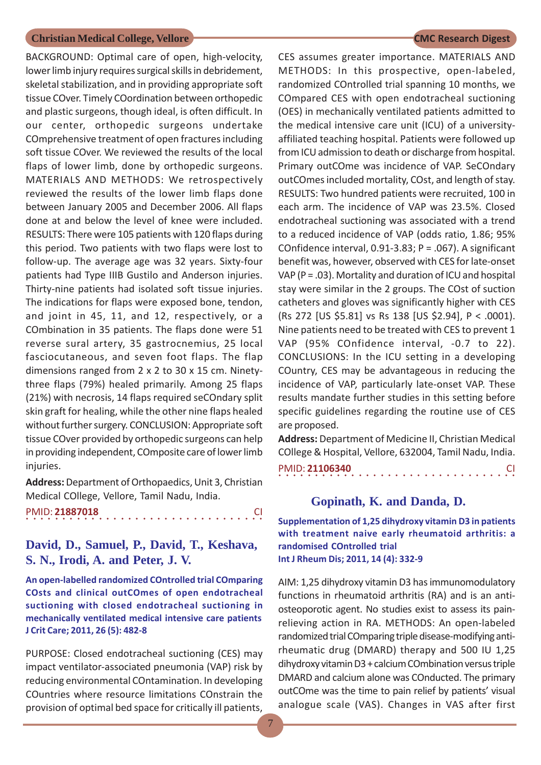BACKGROUND: Optimal care of open, high-velocity, lower limb injury requires surgical skills in debridement, skeletal stabilization, and in providing appropriate soft tissue COver. Timely COordination between orthopedic and plastic surgeons, though ideal, is often difficult. In our center, orthopedic surgeons undertake COmprehensive treatment of open fractures including soft tissue COver. We reviewed the results of the local flaps of lower limb, done by orthopedic surgeons. MATERIALS AND METHODS: We retrospectively reviewed the results of the lower limb flaps done between January 2005 and December 2006. All flaps done at and below the level of knee were included. RESULTS: There were 105 patients with 120 flaps during this period. Two patients with two flaps were lost to follow-up. The average age was 32 years. Sixty-four patients had Type IIIB Gustilo and Anderson injuries. Thirty-nine patients had isolated soft tissue injuries. The indications for flaps were exposed bone, tendon, and joint in 45, 11, and 12, respectively, or a COmbination in 35 patients. The flaps done were 51 reverse sural artery, 35 gastrocnemius, 25 local fasciocutaneous, and seven foot flaps. The flap dimensions ranged from 2 x 2 to 30 x 15 cm. Ninetythree flaps (79%) healed primarily. Among 25 flaps (21%) with necrosis, 14 flaps required seCOndary split skin graft for healing, while the other nine flaps healed without further surgery. CONCLUSION: Appropriate soft tissue COver provided by orthopedic surgeons can help in providing independent, COmposite care of lower limb injuries.

**Address:** Department of Orthopaedics, Unit 3, Christian Medical COllege, Vellore, Tamil Nadu, India.

|  |  |  | PMID: 21887018 |  |  |  |  |  |  |  |  |  |  |  |  |  |
|--|--|--|----------------|--|--|--|--|--|--|--|--|--|--|--|--|--|
|  |  |  |                |  |  |  |  |  |  |  |  |  |  |  |  |  |

## **David, D., Samuel, P., David, T., Keshava, S. N., Irodi, A. and Peter, J. V.**

**An open-labelled randomized COntrolled trial COmparing COsts and clinical outCOmes of open endotracheal suctioning with closed endotracheal suctioning in mechanically ventilated medical intensive care patients J Crit Care; 2011, 26 (5): 482-8**

PURPOSE: Closed endotracheal suctioning (CES) may impact ventilator-associated pneumonia (VAP) risk by reducing environmental COntamination. In developing COuntries where resource limitations COnstrain the provision of optimal bed space for critically ill patients,

CES assumes greater importance. MATERIALS AND METHODS: In this prospective, open-labeled, randomized COntrolled trial spanning 10 months, we COmpared CES with open endotracheal suctioning (OES) in mechanically ventilated patients admitted to the medical intensive care unit (ICU) of a universityaffiliated teaching hospital. Patients were followed up from ICU admission to death or discharge from hospital. Primary outCOme was incidence of VAP. SeCOndary outCOmes included mortality, COst, and length of stay. RESULTS: Two hundred patients were recruited, 100 in each arm. The incidence of VAP was 23.5%. Closed endotracheal suctioning was associated with a trend to a reduced incidence of VAP (odds ratio, 1.86; 95% COnfidence interval, 0.91-3.83; P = .067). A significant benefit was, however, observed with CES for late-onset VAP ( $P = .03$ ). Mortality and duration of ICU and hospital stay were similar in the 2 groups. The COst of suction catheters and gloves was significantly higher with CES (Rs 272 [US \$5.81] vs Rs 138 [US \$2.94], P < .0001). Nine patients need to be treated with CES to prevent 1 VAP (95% COnfidence interval, -0.7 to 22). CONCLUSIONS: In the ICU setting in a developing COuntry, CES may be advantageous in reducing the incidence of VAP, particularly late-onset VAP. These results mandate further studies in this setting before specific guidelines regarding the routine use of CES are proposed.

**Address:** Department of Medicine II, Christian Medical COllege & Hospital, Vellore, 632004, Tamil Nadu, India.

○○○○○○○○○○○○○○○○○○○○○○○○○○○○○○○○○ PMID: **21106340** CI

### **Gopinath, K. and Danda, D.**

**Supplementation of 1,25 dihydroxy vitamin D3 in patients with treatment naive early rheumatoid arthritis: a randomised COntrolled trial Int J Rheum Dis; 2011, 14 (4): 332-9**

AIM: 1,25 dihydroxy vitamin D3 has immunomodulatory functions in rheumatoid arthritis (RA) and is an antiosteoporotic agent. No studies exist to assess its painrelieving action in RA. METHODS: An open-labeled randomized trial COmparing triple disease-modifying antirheumatic drug (DMARD) therapy and 500 IU 1,25 dihydroxy vitamin D3 + calcium COmbination versus triple DMARD and calcium alone was COnducted. The primary outCOme was the time to pain relief by patients' visual analogue scale (VAS). Changes in VAS after first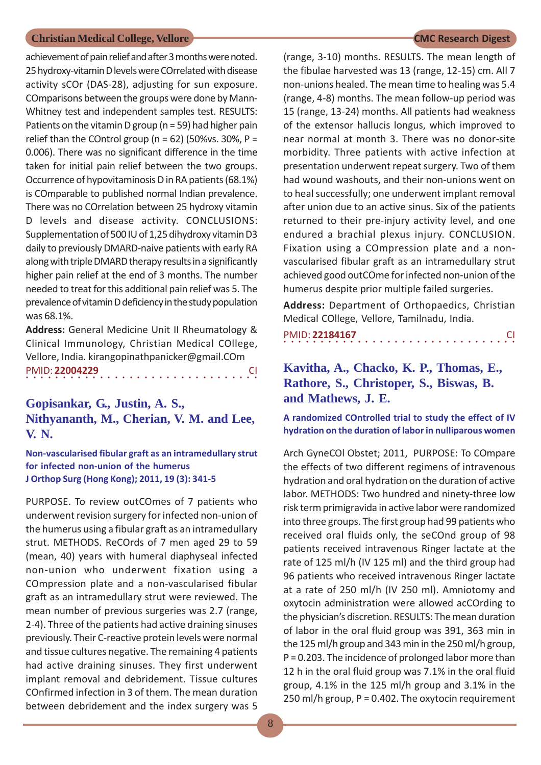achievement of pain relief and after 3 months were noted. 25 hydroxy-vitamin D levels were COrrelated with disease activity sCOr (DAS-28), adjusting for sun exposure. COmparisons between the groups were done by Mann-Whitney test and independent samples test. RESULTS: Patients on the vitamin D group (n = 59) had higher pain relief than the COntrol group ( $n = 62$ ) (50%vs. 30%,  $P =$ 0.006). There was no significant difference in the time taken for initial pain relief between the two groups. Occurrence of hypovitaminosis D in RA patients (68.1%) is COmparable to published normal Indian prevalence. There was no COrrelation between 25 hydroxy vitamin D levels and disease activity. CONCLUSIONS: Supplementation of 500 IU of 1,25 dihydroxy vitamin D3 daily to previously DMARD-naive patients with early RA along with triple DMARD therapy results in a significantly higher pain relief at the end of 3 months. The number needed to treat for this additional pain relief was 5. The prevalence of vitamin D deficiency in the study population was 68.1%.

**Address:** General Medicine Unit II Rheumatology & Clinical Immunology, Christian Medical COllege, Vellore, India. kirangopinathpanicker@gmail.COm ○○○○○○○○○○○○○○○○ ○○○○○○○○○○○○○○○○ PMID: **22004229** CI

**Gopisankar, G., Justin, A. S., Nithyananth, M., Cherian, V. M. and Lee, V. N.**

**Non-vascularised fibular graft as an intramedullary strut for infected non-union of the humerus J Orthop Surg (Hong Kong); 2011, 19 (3): 341-5**

PURPOSE. To review outCOmes of 7 patients who underwent revision surgery for infected non-union of the humerus using a fibular graft as an intramedullary strut. METHODS. ReCOrds of 7 men aged 29 to 59 (mean, 40) years with humeral diaphyseal infected non-union who underwent fixation using a COmpression plate and a non-vascularised fibular graft as an intramedullary strut were reviewed. The mean number of previous surgeries was 2.7 (range, 2-4). Three of the patients had active draining sinuses previously. Their C-reactive protein levels were normal and tissue cultures negative. The remaining 4 patients had active draining sinuses. They first underwent implant removal and debridement. Tissue cultures COnfirmed infection in 3 of them. The mean duration between debridement and the index surgery was 5

(range, 3-10) months. RESULTS. The mean length of the fibulae harvested was 13 (range, 12-15) cm. All 7 non-unions healed. The mean time to healing was 5.4 (range, 4-8) months. The mean follow-up period was 15 (range, 13-24) months. All patients had weakness of the extensor hallucis longus, which improved to near normal at month 3. There was no donor-site morbidity. Three patients with active infection at presentation underwent repeat surgery. Two of them had wound washouts, and their non-unions went on to heal successfully; one underwent implant removal after union due to an active sinus. Six of the patients returned to their pre-injury activity level, and one endured a brachial plexus injury. CONCLUSION. Fixation using a COmpression plate and a nonvascularised fibular graft as an intramedullary strut achieved good outCOme for infected non-union of the humerus despite prior multiple failed surgeries.

**Address:** Department of Orthopaedics, Christian Medical COllege, Vellore, Tamilnadu, India.

PMID: **22184167** CI

**Kavitha, A., Chacko, K. P., Thomas, E., Rathore, S., Christoper, S., Biswas, B. and Mathews, J. E.**

**A randomized COntrolled trial to study the effect of IV hydration on the duration of labor in nulliparous women**

Arch GyneCOl Obstet; 2011, PURPOSE: To COmpare the effects of two different regimens of intravenous hydration and oral hydration on the duration of active labor. METHODS: Two hundred and ninety-three low risk term primigravida in active labor were randomized into three groups. The first group had 99 patients who received oral fluids only, the seCOnd group of 98 patients received intravenous Ringer lactate at the rate of 125 ml/h (IV 125 ml) and the third group had 96 patients who received intravenous Ringer lactate at a rate of 250 ml/h (IV 250 ml). Amniotomy and oxytocin administration were allowed acCOrding to the physician's discretion. RESULTS: The mean duration of labor in the oral fluid group was 391, 363 min in the 125 ml/h group and 343 min in the 250 ml/h group, P = 0.203. The incidence of prolonged labor more than 12 h in the oral fluid group was 7.1% in the oral fluid group, 4.1% in the 125 ml/h group and 3.1% in the 250 ml/h group, P = 0.402. The oxytocin requirement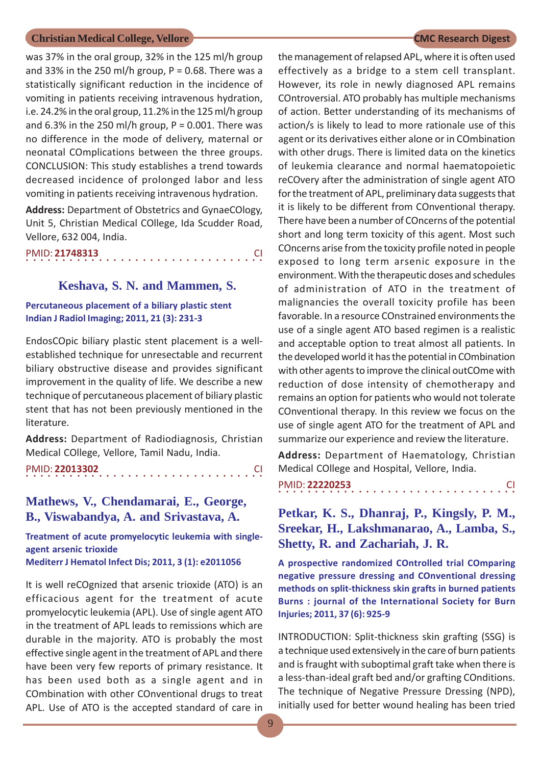was 37% in the oral group, 32% in the 125 ml/h group and 33% in the 250 ml/h group,  $P = 0.68$ . There was a statistically significant reduction in the incidence of vomiting in patients receiving intravenous hydration, i.e. 24.2% in the oral group, 11.2% in the 125 ml/h group and 6.3% in the 250 ml/h group,  $P = 0.001$ . There was no difference in the mode of delivery, maternal or neonatal COmplications between the three groups. CONCLUSION: This study establishes a trend towards decreased incidence of prolonged labor and less vomiting in patients receiving intravenous hydration.

**Address:** Department of Obstetrics and GynaeCOlogy, Unit 5, Christian Medical COllege, Ida Scudder Road, Vellore, 632 004, India.

### ○○○○○○○○○○○○○○○○○○○○○○○○○○○○ ○○○○○ PMID: **21748313** CI

#### **Keshava, S. N. and Mammen, S.**

#### **Percutaneous placement of a biliary plastic stent Indian J Radiol Imaging; 2011, 21 (3): 231-3**

EndosCOpic biliary plastic stent placement is a wellestablished technique for unresectable and recurrent biliary obstructive disease and provides significant improvement in the quality of life. We describe a new technique of percutaneous placement of biliary plastic stent that has not been previously mentioned in the literature.

**Address:** Department of Radiodiagnosis, Christian Medical COllege, Vellore, Tamil Nadu, India.

```
○○○○○○○○○○○○○○○○○○○○○○○○○○○○ ○○○○○
PMID: 22013302 CI
```
## **Mathews, V., Chendamarai, E., George, B., Viswabandya, A. and Srivastava, A.**

**Treatment of acute promyelocytic leukemia with singleagent arsenic trioxide Mediterr J Hematol Infect Dis; 2011, 3 (1): e2011056**

It is well reCOgnized that arsenic trioxide (ATO) is an efficacious agent for the treatment of acute promyelocytic leukemia (APL). Use of single agent ATO in the treatment of APL leads to remissions which are durable in the majority. ATO is probably the most effective single agent in the treatment of APL and there have been very few reports of primary resistance. It has been used both as a single agent and in COmbination with other COnventional drugs to treat APL. Use of ATO is the accepted standard of care in

the management of relapsed APL, where it is often used effectively as a bridge to a stem cell transplant. However, its role in newly diagnosed APL remains COntroversial. ATO probably has multiple mechanisms of action. Better understanding of its mechanisms of action/s is likely to lead to more rationale use of this agent or its derivatives either alone or in COmbination with other drugs. There is limited data on the kinetics of leukemia clearance and normal haematopoietic reCOvery after the administration of single agent ATO for the treatment of APL, preliminary data suggests that it is likely to be different from COnventional therapy. There have been a number of COncerns of the potential short and long term toxicity of this agent. Most such COncerns arise from the toxicity profile noted in people exposed to long term arsenic exposure in the environment. With the therapeutic doses and schedules of administration of ATO in the treatment of malignancies the overall toxicity profile has been favorable. In a resource COnstrained environments the use of a single agent ATO based regimen is a realistic and acceptable option to treat almost all patients. In the developed world it has the potential in COmbination with other agents to improve the clinical outCOme with reduction of dose intensity of chemotherapy and remains an option for patients who would not tolerate COnventional therapy. In this review we focus on the use of single agent ATO for the treatment of APL and summarize our experience and review the literature.

**Address:** Department of Haematology, Christian Medical COllege and Hospital, Vellore, India.

○○○○○○○○○○○○○○○○○○○○○○○○○○○○○○○○○ PMID: **22220253** CI

## **Petkar, K. S., Dhanraj, P., Kingsly, P. M., Sreekar, H., Lakshmanarao, A., Lamba, S., Shetty, R. and Zachariah, J. R.**

**A prospective randomized COntrolled trial COmparing negative pressure dressing and COnventional dressing methods on split-thickness skin grafts in burned patients Burns : journal of the International Society for Burn Injuries; 2011, 37 (6): 925-9**

INTRODUCTION: Split-thickness skin grafting (SSG) is a technique used extensively in the care of burn patients and is fraught with suboptimal graft take when there is a less-than-ideal graft bed and/or grafting COnditions. The technique of Negative Pressure Dressing (NPD), initially used for better wound healing has been tried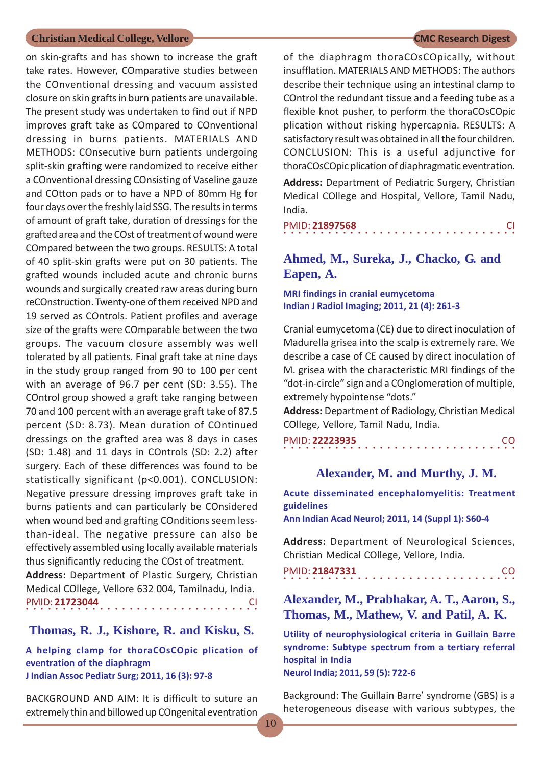on skin-grafts and has shown to increase the graft take rates. However, COmparative studies between the COnventional dressing and vacuum assisted closure on skin grafts in burn patients are unavailable. The present study was undertaken to find out if NPD improves graft take as COmpared to COnventional dressing in burns patients. MATERIALS AND METHODS: COnsecutive burn patients undergoing split-skin grafting were randomized to receive either a COnventional dressing COnsisting of Vaseline gauze and COtton pads or to have a NPD of 80mm Hg for four days over the freshly laid SSG. The results in terms of amount of graft take, duration of dressings for the grafted area and the COst of treatment of wound were COmpared between the two groups. RESULTS: A total of 40 split-skin grafts were put on 30 patients. The grafted wounds included acute and chronic burns wounds and surgically created raw areas during burn reCOnstruction. Twenty-one of them received NPD and 19 served as COntrols. Patient profiles and average size of the grafts were COmparable between the two groups. The vacuum closure assembly was well tolerated by all patients. Final graft take at nine days in the study group ranged from 90 to 100 per cent with an average of 96.7 per cent (SD: 3.55). The COntrol group showed a graft take ranging between 70 and 100 percent with an average graft take of 87.5 percent (SD: 8.73). Mean duration of COntinued dressings on the grafted area was 8 days in cases (SD: 1.48) and 11 days in COntrols (SD: 2.2) after surgery. Each of these differences was found to be statistically significant (p<0.001). CONCLUSION: Negative pressure dressing improves graft take in burns patients and can particularly be COnsidered when wound bed and grafting COnditions seem lessthan-ideal. The negative pressure can also be effectively assembled using locally available materials thus significantly reducing the COst of treatment.

**Address:** Department of Plastic Surgery, Christian Medical COllege, Vellore 632 004, Tamilnadu, India. ○○○○○○○○○○○○○○○○ ○○○○○○○○○○○○○○○○ PMID: **21723044** CI

#### **Thomas, R. J., Kishore, R. and Kisku, S.**

**A helping clamp for thoraCOsCOpic plication of eventration of the diaphragm J Indian Assoc Pediatr Surg; 2011, 16 (3): 97-8**

BACKGROUND AND AIM: It is difficult to suture an extremely thin and billowed up COngenital eventration

of the diaphragm thoraCOsCOpically, without insufflation. MATERIALS AND METHODS: The authors describe their technique using an intestinal clamp to COntrol the redundant tissue and a feeding tube as a flexible knot pusher, to perform the thoraCOsCOpic plication without risking hypercapnia. RESULTS: A satisfactory result was obtained in all the four children. CONCLUSION: This is a useful adjunctive for thoraCOsCOpic plication of diaphragmatic eventration.

**Address:** Department of Pediatric Surgery, Christian Medical COllege and Hospital, Vellore, Tamil Nadu, India.

|  |  | PMID: 21897568 |  |  |  |  |  |  |  |  |  |  |  |  | <b>CI</b> |
|--|--|----------------|--|--|--|--|--|--|--|--|--|--|--|--|-----------|
|  |  |                |  |  |  |  |  |  |  |  |  |  |  |  |           |

## **Ahmed, M., Sureka, J., Chacko, G. and Eapen, A.**

**MRI findings in cranial eumycetoma Indian J Radiol Imaging; 2011, 21 (4): 261-3**

Cranial eumycetoma (CE) due to direct inoculation of Madurella grisea into the scalp is extremely rare. We describe a case of CE caused by direct inoculation of M. grisea with the characteristic MRI findings of the "dot-in-circle" sign and a COnglomeration of multiple, extremely hypointense "dots."

**Address:** Department of Radiology, Christian Medical COllege, Vellore, Tamil Nadu, India.

○○○○○○○○○○○○○○○○ ○○○○○○○○○○○○○○○○ PMID: **22223935** CO

#### **Alexander, M. and Murthy, J. M.**

**Acute disseminated encephalomyelitis: Treatment guidelines**

**Ann Indian Acad Neurol; 2011, 14 (Suppl 1): S60-4**

**Address:** Department of Neurological Sciences, Christian Medical COllege, Vellore, India.

○○○○○○○○○○○○○○○○ ○○○○○○○○○○○○○○○○ PMID: **21847331** CO

## **Alexander, M., Prabhakar, A. T., Aaron, S., Thomas, M., Mathew, V. and Patil, A. K.**

**Utility of neurophysiological criteria in Guillain Barre syndrome: Subtype spectrum from a tertiary referral hospital in India Neurol India; 2011, 59 (5): 722-6**

Background: The Guillain Barre' syndrome (GBS) is a heterogeneous disease with various subtypes, the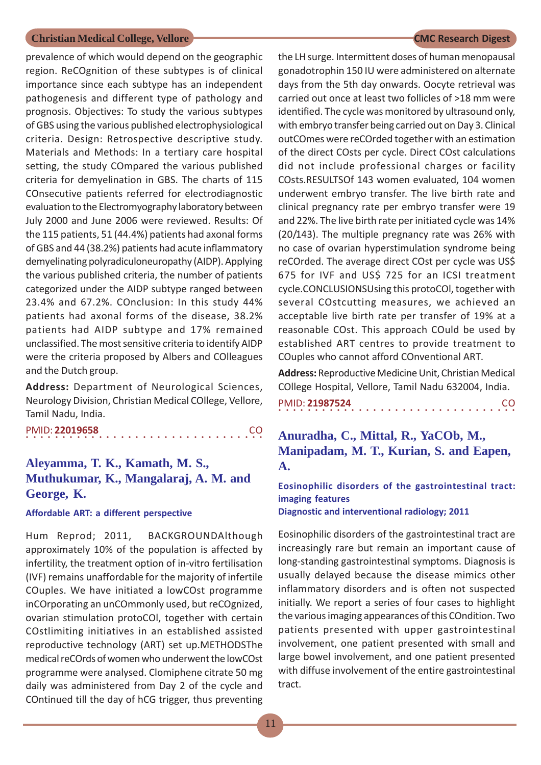prevalence of which would depend on the geographic region. ReCOgnition of these subtypes is of clinical importance since each subtype has an independent pathogenesis and different type of pathology and prognosis. Objectives: To study the various subtypes of GBS using the various published electrophysiological criteria. Design: Retrospective descriptive study. Materials and Methods: In a tertiary care hospital setting, the study COmpared the various published criteria for demyelination in GBS. The charts of 115 COnsecutive patients referred for electrodiagnostic evaluation to the Electromyography laboratory between July 2000 and June 2006 were reviewed. Results: Of the 115 patients, 51 (44.4%) patients had axonal forms of GBS and 44 (38.2%) patients had acute inflammatory demyelinating polyradiculoneuropathy (AIDP). Applying the various published criteria, the number of patients categorized under the AIDP subtype ranged between 23.4% and 67.2%. COnclusion: In this study 44% patients had axonal forms of the disease, 38.2% patients had AIDP subtype and 17% remained unclassified. The most sensitive criteria to identify AIDP were the criteria proposed by Albers and COlleagues and the Dutch group.

**Address:** Department of Neurological Sciences, Neurology Division, Christian Medical COllege, Vellore, Tamil Nadu, India.

○○○○○○○○○○○○○○○○○○○○○○○○○○○○ ○○○○○ PMID: **22019658** CO

## **Aleyamma, T. K., Kamath, M. S., Muthukumar, K., Mangalaraj, A. M. and George, K.**

**Affordable ART: a different perspective**

Hum Reprod; 2011, BACKGROUNDAlthough approximately 10% of the population is affected by infertility, the treatment option of in-vitro fertilisation (IVF) remains unaffordable for the majority of infertile COuples. We have initiated a lowCOst programme inCOrporating an unCOmmonly used, but reCOgnized, ovarian stimulation protoCOl, together with certain COstlimiting initiatives in an established assisted reproductive technology (ART) set up.METHODSThe medical reCOrds of women who underwent the lowCOst programme were analysed. Clomiphene citrate 50 mg daily was administered from Day 2 of the cycle and COntinued till the day of hCG trigger, thus preventing

the LH surge. Intermittent doses of human menopausal gonadotrophin 150 IU were administered on alternate days from the 5th day onwards. Oocyte retrieval was carried out once at least two follicles of >18 mm were identified. The cycle was monitored by ultrasound only, with embryo transfer being carried out on Day 3. Clinical outCOmes were reCOrded together with an estimation of the direct COsts per cycle. Direct COst calculations did not include professional charges or facility COsts.RESULTSOf 143 women evaluated, 104 women underwent embryo transfer. The live birth rate and clinical pregnancy rate per embryo transfer were 19 and 22%. The live birth rate per initiated cycle was 14% (20/143). The multiple pregnancy rate was 26% with no case of ovarian hyperstimulation syndrome being reCOrded. The average direct COst per cycle was US\$ 675 for IVF and US\$ 725 for an ICSI treatment cycle.CONCLUSIONSUsing this protoCOl, together with several COstcutting measures, we achieved an acceptable live birth rate per transfer of 19% at a reasonable COst. This approach COuld be used by established ART centres to provide treatment to COuples who cannot afford COnventional ART.

**Address:** Reproductive Medicine Unit, Christian Medical COllege Hospital, Vellore, Tamil Nadu 632004, India.

○○○○○○○○○○○○○○○○○○○○○○○○○○○○○○○○○ PMID: **21987524** CO

## **Anuradha, C., Mittal, R., YaCOb, M., Manipadam, M. T., Kurian, S. and Eapen, A.**

## **Eosinophilic disorders of the gastrointestinal tract: imaging features**

**Diagnostic and interventional radiology; 2011**

Eosinophilic disorders of the gastrointestinal tract are increasingly rare but remain an important cause of long-standing gastrointestinal symptoms. Diagnosis is usually delayed because the disease mimics other inflammatory disorders and is often not suspected initially. We report a series of four cases to highlight the various imaging appearances of this COndition. Two patients presented with upper gastrointestinal involvement, one patient presented with small and large bowel involvement, and one patient presented with diffuse involvement of the entire gastrointestinal tract.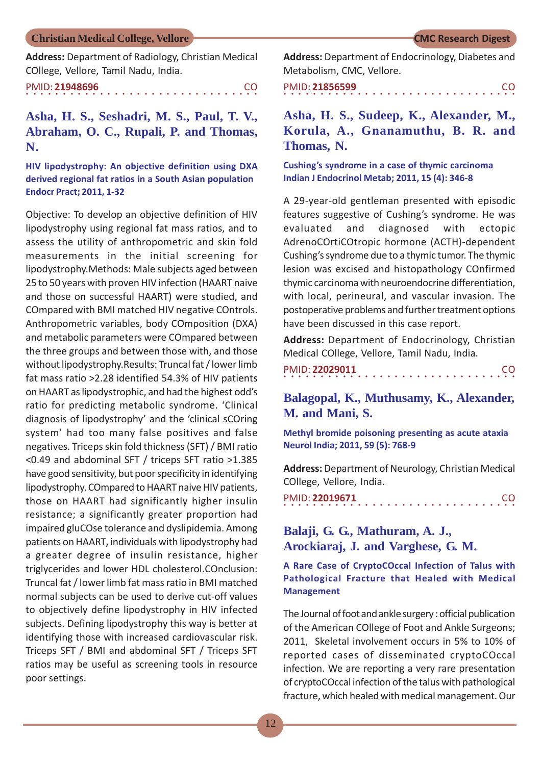**Address:** Department of Radiology, Christian Medical COllege, Vellore, Tamil Nadu, India.

○○○○○○○○○○○○○○○○ ○○○○○○○○○○○○○○○○ PMID: **21948696** CO

**Asha, H. S., Seshadri, M. S., Paul, T. V., Abraham, O. C., Rupali, P. and Thomas, N.**

**HIV lipodystrophy: An objective definition using DXA derived regional fat ratios in a South Asian population Endocr Pract; 2011, 1-32**

Objective: To develop an objective definition of HIV lipodystrophy using regional fat mass ratios, and to assess the utility of anthropometric and skin fold measurements in the initial screening for lipodystrophy.Methods: Male subjects aged between 25 to 50 years with proven HIV infection (HAART naive and those on successful HAART) were studied, and COmpared with BMI matched HIV negative COntrols. Anthropometric variables, body COmposition (DXA) and metabolic parameters were COmpared between the three groups and between those with, and those without lipodystrophy.Results: Truncal fat / lower limb fat mass ratio >2.28 identified 54.3% of HIV patients on HAART as lipodystrophic, and had the highest odd's ratio for predicting metabolic syndrome. 'Clinical diagnosis of lipodystrophy' and the 'clinical sCOring system' had too many false positives and false negatives. Triceps skin fold thickness (SFT) / BMI ratio <0.49 and abdominal SFT / triceps SFT ratio >1.385 have good sensitivity, but poor specificity in identifying lipodystrophy. COmpared to HAART naive HIV patients, those on HAART had significantly higher insulin resistance; a significantly greater proportion had impaired gluCOse tolerance and dyslipidemia. Among patients on HAART, individuals with lipodystrophy had a greater degree of insulin resistance, higher triglycerides and lower HDL cholesterol.COnclusion: Truncal fat / lower limb fat mass ratio in BMI matched normal subjects can be used to derive cut-off values to objectively define lipodystrophy in HIV infected subjects. Defining lipodystrophy this way is better at identifying those with increased cardiovascular risk. Triceps SFT / BMI and abdominal SFT / Triceps SFT ratios may be useful as screening tools in resource poor settings.

**Address:** Department of Endocrinology, Diabetes and Metabolism, CMC, Vellore.

○○○○○○○○○○○○○○○○ ○○○○○○○○○○○○○○○○ PMID: **21856599** CO

**Asha, H. S., Sudeep, K., Alexander, M., Korula, A., Gnanamuthu, B. R. and Thomas, N.**

**Cushing's syndrome in a case of thymic carcinoma Indian J Endocrinol Metab; 2011, 15 (4): 346-8**

A 29-year-old gentleman presented with episodic features suggestive of Cushing's syndrome. He was evaluated and diagnosed with ectopic AdrenoCOrtiCOtropic hormone (ACTH)-dependent Cushing's syndrome due to a thymic tumor. The thymic lesion was excised and histopathology COnfirmed thymic carcinoma with neuroendocrine differentiation, with local, perineural, and vascular invasion. The postoperative problems and further treatment options have been discussed in this case report.

**Address:** Department of Endocrinology, Christian Medical COllege, Vellore, Tamil Nadu, India.

| PMID: 22029011 |  |  |  |  |  |  |  |  |  |  |  |  |  |  | CO. |  |
|----------------|--|--|--|--|--|--|--|--|--|--|--|--|--|--|-----|--|
|                |  |  |  |  |  |  |  |  |  |  |  |  |  |  |     |  |

**Balagopal, K., Muthusamy, K., Alexander, M. and Mani, S.**

**Methyl bromide poisoning presenting as acute ataxia Neurol India; 2011, 59 (5): 768-9**

**Address:** Department of Neurology, Christian Medical COllege, Vellore, India.

|  |  | PMID: 22019671 |  |  |  |  |  |  |  |  |  |  |  |  | CO. |  |
|--|--|----------------|--|--|--|--|--|--|--|--|--|--|--|--|-----|--|
|  |  |                |  |  |  |  |  |  |  |  |  |  |  |  |     |  |

## **Balaji, G. G., Mathuram, A. J., Arockiaraj, J. and Varghese, G. M.**

#### **A Rare Case of CryptoCOccal Infection of Talus with Pathological Fracture that Healed with Medical Management**

The Journal of foot and ankle surgery : official publication of the American COllege of Foot and Ankle Surgeons; 2011, Skeletal involvement occurs in 5% to 10% of reported cases of disseminated cryptoCOccal infection. We are reporting a very rare presentation of cryptoCOccal infection of the talus with pathological fracture, which healed with medical management. Our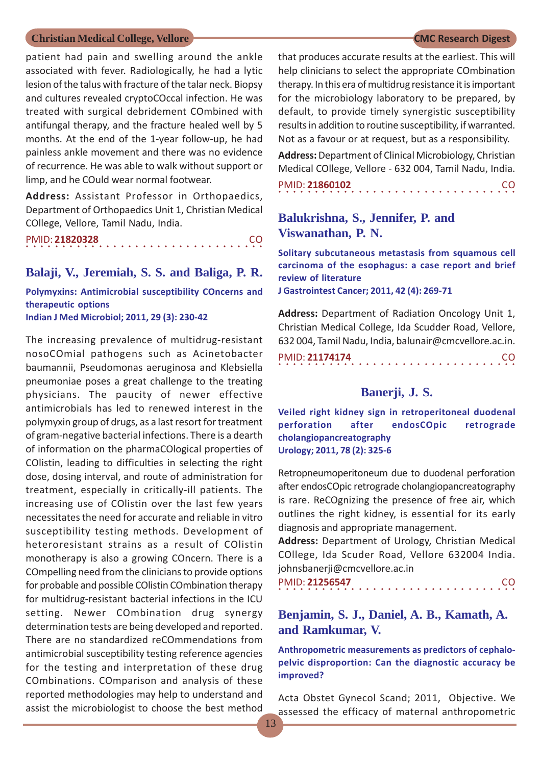patient had pain and swelling around the ankle associated with fever. Radiologically, he had a lytic lesion of the talus with fracture of the talar neck. Biopsy and cultures revealed cryptoCOccal infection. He was treated with surgical debridement COmbined with antifungal therapy, and the fracture healed well by 5 months. At the end of the 1-year follow-up, he had painless ankle movement and there was no evidence of recurrence. He was able to walk without support or limp, and he COuld wear normal footwear.

**Address:** Assistant Professor in Orthopaedics, Department of Orthopaedics Unit 1, Christian Medical COllege, Vellore, Tamil Nadu, India.

○○○○○○○○○○○○○○○○○○○○○○○○○○○○ ○○○○○ PMID: **21820328** CO

#### **Balaji, V., Jeremiah, S. S. and Baliga, P. R.**

**Polymyxins: Antimicrobial susceptibility COncerns and therapeutic options Indian J Med Microbiol; 2011, 29 (3): 230-42**

The increasing prevalence of multidrug-resistant nosoCOmial pathogens such as Acinetobacter baumannii, Pseudomonas aeruginosa and Klebsiella pneumoniae poses a great challenge to the treating physicians. The paucity of newer effective antimicrobials has led to renewed interest in the polymyxin group of drugs, as a last resort for treatment of gram-negative bacterial infections. There is a dearth of information on the pharmaCOlogical properties of COlistin, leading to difficulties in selecting the right dose, dosing interval, and route of administration for treatment, especially in critically-ill patients. The increasing use of COlistin over the last few years necessitates the need for accurate and reliable in vitro susceptibility testing methods. Development of heteroresistant strains as a result of COlistin monotherapy is also a growing COncern. There is a COmpelling need from the clinicians to provide options for probable and possible COlistin COmbination therapy for multidrug-resistant bacterial infections in the ICU setting. Newer COmbination drug synergy determination tests are being developed and reported. There are no standardized reCOmmendations from antimicrobial susceptibility testing reference agencies for the testing and interpretation of these drug COmbinations. COmparison and analysis of these reported methodologies may help to understand and assist the microbiologist to choose the best method

that produces accurate results at the earliest. This will help clinicians to select the appropriate COmbination therapy. In this era of multidrug resistance it is important for the microbiology laboratory to be prepared, by default, to provide timely synergistic susceptibility results in addition to routine susceptibility, if warranted. Not as a favour or at request, but as a responsibility.

**Address:** Department of Clinical Microbiology, Christian Medical COllege, Vellore - 632 004, Tamil Nadu, India.

○○○○○○○○○○○○○○○○○○○○○○○○○○○○○○○○○ PMID: **21860102** CO

## **Balukrishna, S., Jennifer, P. and Viswanathan, P. N.**

**Solitary subcutaneous metastasis from squamous cell carcinoma of the esophagus: a case report and brief review of literature J Gastrointest Cancer; 2011, 42 (4): 269-71**

**Address:** Department of Radiation Oncology Unit 1, Christian Medical College, Ida Scudder Road, Vellore, 632 004, Tamil Nadu, India, balunair@cmcvellore.ac.in.

| PMID: 21174174 |  |  |  |  |  |  |  |  |  |  |  |  |  |  | <b>CO</b> |  |
|----------------|--|--|--|--|--|--|--|--|--|--|--|--|--|--|-----------|--|
|                |  |  |  |  |  |  |  |  |  |  |  |  |  |  |           |  |

#### **Banerji, J. S.**

**Veiled right kidney sign in retroperitoneal duodenal perforation after endosCOpic retrograde cholangiopancreatography Urology; 2011, 78 (2): 325-6**

Retropneumoperitoneum due to duodenal perforation after endosCOpic retrograde cholangiopancreatography is rare. ReCOgnizing the presence of free air, which outlines the right kidney, is essential for its early diagnosis and appropriate management.

**Address:** Department of Urology, Christian Medical COllege, Ida Scuder Road, Vellore 632004 India. johnsbanerji@cmcvellore.ac.in

○○○○○○○○○○○○○○○○○○○○○○○○○○○○○○○○○ PMID: **21256547** CO

## **Benjamin, S. J., Daniel, A. B., Kamath, A. and Ramkumar, V.**

**Anthropometric measurements as predictors of cephalopelvic disproportion: Can the diagnostic accuracy be improved?**

Acta Obstet Gynecol Scand; 2011, Objective. We assessed the efficacy of maternal anthropometric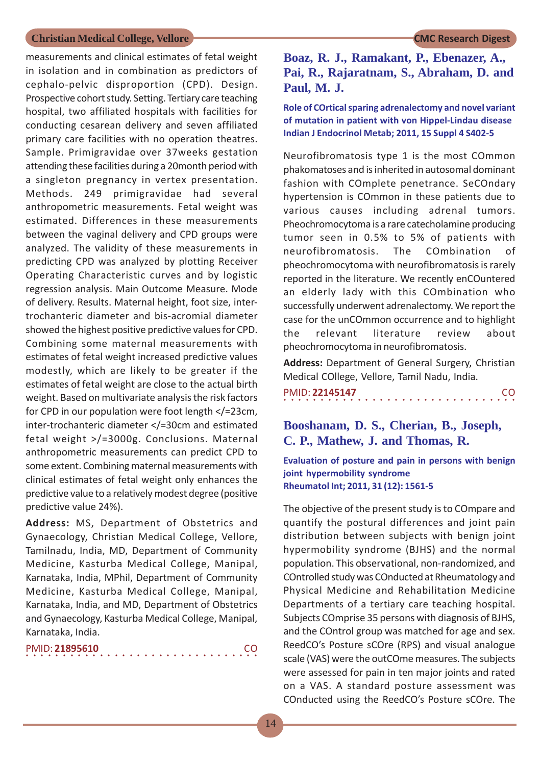measurements and clinical estimates of fetal weight in isolation and in combination as predictors of cephalo-pelvic disproportion (CPD). Design. Prospective cohort study. Setting. Tertiary care teaching hospital, two affiliated hospitals with facilities for conducting cesarean delivery and seven affiliated primary care facilities with no operation theatres. Sample. Primigravidae over 37weeks gestation attending these facilities during a 20month period with a singleton pregnancy in vertex presentation. Methods. 249 primigravidae had several anthropometric measurements. Fetal weight was estimated. Differences in these measurements between the vaginal delivery and CPD groups were analyzed. The validity of these measurements in predicting CPD was analyzed by plotting Receiver Operating Characteristic curves and by logistic regression analysis. Main Outcome Measure. Mode of delivery. Results. Maternal height, foot size, intertrochanteric diameter and bis-acromial diameter showed the highest positive predictive values for CPD. Combining some maternal measurements with estimates of fetal weight increased predictive values modestly, which are likely to be greater if the estimates of fetal weight are close to the actual birth weight. Based on multivariate analysis the risk factors for CPD in our population were foot length </=23cm, inter-trochanteric diameter </=30cm and estimated fetal weight >/=3000g. Conclusions. Maternal anthropometric measurements can predict CPD to some extent. Combining maternal measurements with clinical estimates of fetal weight only enhances the predictive value to a relatively modest degree (positive predictive value 24%).

**Address:** MS, Department of Obstetrics and Gynaecology, Christian Medical College, Vellore, Tamilnadu, India, MD, Department of Community Medicine, Kasturba Medical College, Manipal, Karnataka, India, MPhil, Department of Community Medicine, Kasturba Medical College, Manipal, Karnataka, India, and MD, Department of Obstetrics and Gynaecology, Kasturba Medical College, Manipal, Karnataka, India.

|  |  |  |  | PMID: 21895610 |  |  |  |  |  |  |  |  |  |  | CO. |  |
|--|--|--|--|----------------|--|--|--|--|--|--|--|--|--|--|-----|--|
|  |  |  |  |                |  |  |  |  |  |  |  |  |  |  |     |  |

**Boaz, R. J., Ramakant, P., Ebenazer, A., Pai, R., Rajaratnam, S., Abraham, D. and Paul, M. J.**

**Role of COrtical sparing adrenalectomy and novel variant of mutation in patient with von Hippel-Lindau disease Indian J Endocrinol Metab; 2011, 15 Suppl 4 S402-5**

Neurofibromatosis type 1 is the most COmmon phakomatoses and is inherited in autosomal dominant fashion with COmplete penetrance. SeCOndary hypertension is COmmon in these patients due to various causes including adrenal tumors. Pheochromocytoma is a rare catecholamine producing tumor seen in 0.5% to 5% of patients with neurofibromatosis. The COmbination of pheochromocytoma with neurofibromatosis is rarely reported in the literature. We recently enCOuntered an elderly lady with this COmbination who successfully underwent adrenalectomy. We report the case for the unCOmmon occurrence and to highlight the relevant literature review about pheochromocytoma in neurofibromatosis.

**Address:** Department of General Surgery, Christian Medical COllege, Vellore, Tamil Nadu, India.

|  |  | PMID: 22145147 |  |  |  |  |  |  |  |  |  |  |  |  | CO. |  |
|--|--|----------------|--|--|--|--|--|--|--|--|--|--|--|--|-----|--|
|  |  |                |  |  |  |  |  |  |  |  |  |  |  |  |     |  |

## **Booshanam, D. S., Cherian, B., Joseph, C. P., Mathew, J. and Thomas, R.**

**Evaluation of posture and pain in persons with benign joint hypermobility syndrome Rheumatol Int; 2011, 31 (12): 1561-5**

The objective of the present study is to COmpare and quantify the postural differences and joint pain distribution between subjects with benign joint hypermobility syndrome (BJHS) and the normal population. This observational, non-randomized, and COntrolled study was COnducted at Rheumatology and Physical Medicine and Rehabilitation Medicine Departments of a tertiary care teaching hospital. Subjects COmprise 35 persons with diagnosis of BJHS, and the COntrol group was matched for age and sex. ReedCO's Posture sCOre (RPS) and visual analogue scale (VAS) were the outCOme measures. The subjects were assessed for pain in ten major joints and rated on a VAS. A standard posture assessment was COnducted using the ReedCO's Posture sCOre. The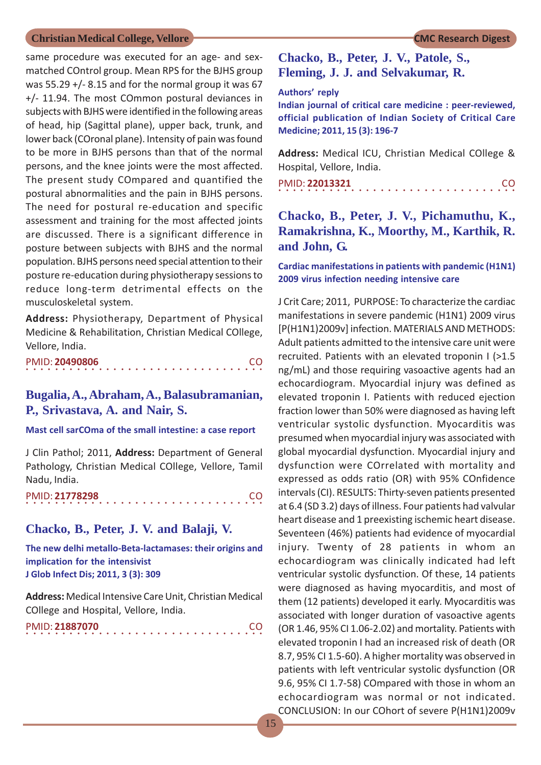same procedure was executed for an age- and sexmatched COntrol group. Mean RPS for the BJHS group was 55.29 +/- 8.15 and for the normal group it was 67 +/- 11.94. The most COmmon postural deviances in subjects with BJHS were identified in the following areas of head, hip (Sagittal plane), upper back, trunk, and lower back (COronal plane). Intensity of pain was found to be more in BJHS persons than that of the normal persons, and the knee joints were the most affected. The present study COmpared and quantified the postural abnormalities and the pain in BJHS persons. The need for postural re-education and specific assessment and training for the most affected joints are discussed. There is a significant difference in posture between subjects with BJHS and the normal population. BJHS persons need special attention to their posture re-education during physiotherapy sessions to reduce long-term detrimental effects on the musculoskeletal system.

**Address:** Physiotherapy, Department of Physical Medicine & Rehabilitation, Christian Medical COllege, Vellore, India.

|  |  | PMID: 20490806 |  |  |  |  |  |  |  |  |  |  |  |  | CO. |  |
|--|--|----------------|--|--|--|--|--|--|--|--|--|--|--|--|-----|--|
|  |  |                |  |  |  |  |  |  |  |  |  |  |  |  |     |  |

## **Bugalia, A., Abraham, A., Balasubramanian, P., Srivastava, A. and Nair, S.**

#### **Mast cell sarCOma of the small intestine: a case report**

J Clin Pathol; 2011, **Address:** Department of General Pathology, Christian Medical COllege, Vellore, Tamil Nadu, India.

|  |  | PMID: 21778298 |  |  |  |  |  |  |  |  |  |  |  |  |  | CO. |
|--|--|----------------|--|--|--|--|--|--|--|--|--|--|--|--|--|-----|
|  |  |                |  |  |  |  |  |  |  |  |  |  |  |  |  |     |

### **Chacko, B., Peter, J. V. and Balaji, V.**

**The new delhi metallo-Beta-lactamases: their origins and implication for the intensivist J Glob Infect Dis; 2011, 3 (3): 309**

**Address:** Medical Intensive Care Unit, Christian Medical COllege and Hospital, Vellore, India.

○○○○○○○○○○○○○○○○○○○○○○○○○○○○ ○○○○○ PMID: **21887070** CO

## **Chacko, B., Peter, J. V., Patole, S., Fleming, J. J. and Selvakumar, R.**

#### **Authors' reply**

**Indian journal of critical care medicine : peer-reviewed, official publication of Indian Society of Critical Care Medicine; 2011, 15 (3): 196-7**

**Address:** Medical ICU, Christian Medical COllege & Hospital, Vellore, India.

○○○○○○○○○○○○○○○○○○○○○○○○○○○○○○○○○ PMID: **22013321** CO

## **Chacko, B., Peter, J. V., Pichamuthu, K., Ramakrishna, K., Moorthy, M., Karthik, R. and John, G.**

#### **Cardiac manifestations in patients with pandemic (H1N1) 2009 virus infection needing intensive care**

J Crit Care; 2011, PURPOSE: To characterize the cardiac manifestations in severe pandemic (H1N1) 2009 virus [P(H1N1)2009v] infection. MATERIALS AND METHODS: Adult patients admitted to the intensive care unit were recruited. Patients with an elevated troponin I (>1.5 ng/mL) and those requiring vasoactive agents had an echocardiogram. Myocardial injury was defined as elevated troponin I. Patients with reduced ejection fraction lower than 50% were diagnosed as having left ventricular systolic dysfunction. Myocarditis was presumed when myocardial injury was associated with global myocardial dysfunction. Myocardial injury and dysfunction were COrrelated with mortality and expressed as odds ratio (OR) with 95% COnfidence intervals (CI). RESULTS: Thirty-seven patients presented at 6.4 (SD 3.2) days of illness. Four patients had valvular heart disease and 1 preexisting ischemic heart disease. Seventeen (46%) patients had evidence of myocardial injury. Twenty of 28 patients in whom an echocardiogram was clinically indicated had left ventricular systolic dysfunction. Of these, 14 patients were diagnosed as having myocarditis, and most of them (12 patients) developed it early. Myocarditis was associated with longer duration of vasoactive agents (OR 1.46, 95% CI 1.06-2.02) and mortality. Patients with elevated troponin I had an increased risk of death (OR 8.7, 95% CI 1.5-60). A higher mortality was observed in patients with left ventricular systolic dysfunction (OR 9.6, 95% CI 1.7-58) COmpared with those in whom an echocardiogram was normal or not indicated. CONCLUSION: In our COhort of severe P(H1N1)2009v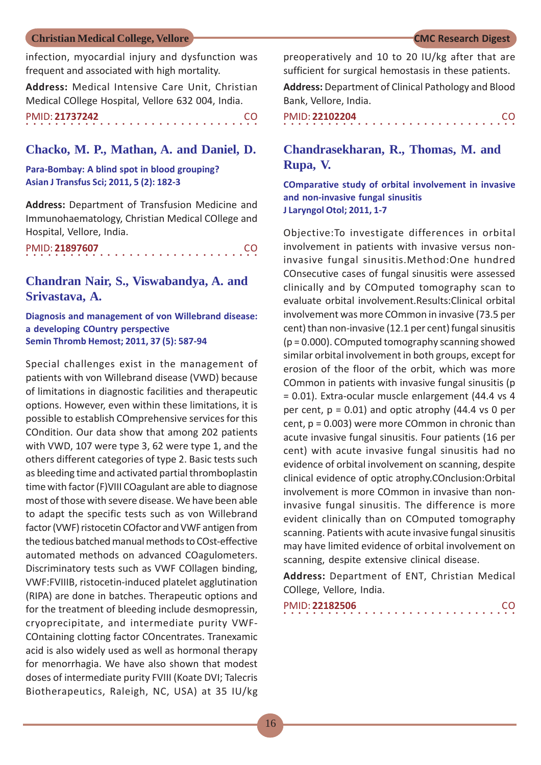infection, myocardial injury and dysfunction was frequent and associated with high mortality.

**Address:** Medical Intensive Care Unit, Christian Medical COllege Hospital, Vellore 632 004, India.

○○○○○○○○○○○○○○○○ ○○○○○○○○○○○○○○○○ PMID: **21737242** CO

#### **Chacko, M. P., Mathan, A. and Daniel, D.**

**Para-Bombay: A blind spot in blood grouping? Asian J Transfus Sci; 2011, 5 (2): 182-3**

**Address:** Department of Transfusion Medicine and Immunohaematology, Christian Medical COllege and Hospital, Vellore, India.

| PMID: 21897607 |  |  |  |  |  |  |  |  |  |  |  |  |  |  | -CO |  |
|----------------|--|--|--|--|--|--|--|--|--|--|--|--|--|--|-----|--|
|                |  |  |  |  |  |  |  |  |  |  |  |  |  |  |     |  |

## **Chandran Nair, S., Viswabandya, A. and Srivastava, A.**

**Diagnosis and management of von Willebrand disease: a developing COuntry perspective Semin Thromb Hemost; 2011, 37 (5): 587-94**

Special challenges exist in the management of patients with von Willebrand disease (VWD) because of limitations in diagnostic facilities and therapeutic options. However, even within these limitations, it is possible to establish COmprehensive services for this COndition. Our data show that among 202 patients with VWD, 107 were type 3, 62 were type 1, and the others different categories of type 2. Basic tests such as bleeding time and activated partial thromboplastin time with factor (F)VIII COagulant are able to diagnose most of those with severe disease. We have been able to adapt the specific tests such as von Willebrand factor (VWF) ristocetin COfactor and VWF antigen from the tedious batched manual methods to COst-effective automated methods on advanced COagulometers. Discriminatory tests such as VWF COllagen binding, VWF:FVIIIB, ristocetin-induced platelet agglutination (RIPA) are done in batches. Therapeutic options and for the treatment of bleeding include desmopressin, cryoprecipitate, and intermediate purity VWF-COntaining clotting factor COncentrates. Tranexamic acid is also widely used as well as hormonal therapy for menorrhagia. We have also shown that modest doses of intermediate purity FVIII (Koate DVI; Talecris Biotherapeutics, Raleigh, NC, USA) at 35 IU/kg preoperatively and 10 to 20 IU/kg after that are sufficient for surgical hemostasis in these patients.

**Address:** Department of Clinical Pathology and Blood Bank, Vellore, India.

| PMID: 22102204 |  |  |  |  |  |  |  |  |  |  |  |  |  |  | <b>CO</b> |  |
|----------------|--|--|--|--|--|--|--|--|--|--|--|--|--|--|-----------|--|
|                |  |  |  |  |  |  |  |  |  |  |  |  |  |  |           |  |

## **Chandrasekharan, R., Thomas, M. and Rupa, V.**

**COmparative study of orbital involvement in invasive and non-invasive fungal sinusitis J Laryngol Otol; 2011, 1-7**

Objective:To investigate differences in orbital involvement in patients with invasive versus noninvasive fungal sinusitis.Method:One hundred COnsecutive cases of fungal sinusitis were assessed clinically and by COmputed tomography scan to evaluate orbital involvement.Results:Clinical orbital involvement was more COmmon in invasive (73.5 per cent) than non-invasive (12.1 per cent) fungal sinusitis (p = 0.000). COmputed tomography scanning showed similar orbital involvement in both groups, except for erosion of the floor of the orbit, which was more COmmon in patients with invasive fungal sinusitis (p = 0.01). Extra-ocular muscle enlargement (44.4 vs 4 per cent,  $p = 0.01$ ) and optic atrophy (44.4 vs 0 per cent, p = 0.003) were more COmmon in chronic than acute invasive fungal sinusitis. Four patients (16 per cent) with acute invasive fungal sinusitis had no evidence of orbital involvement on scanning, despite clinical evidence of optic atrophy.COnclusion:Orbital involvement is more COmmon in invasive than noninvasive fungal sinusitis. The difference is more evident clinically than on COmputed tomography scanning. Patients with acute invasive fungal sinusitis may have limited evidence of orbital involvement on scanning, despite extensive clinical disease.

**Address:** Department of ENT, Christian Medical COllege, Vellore, India.

| PMID: 22182506 |  |  |  |  |  |  |  |  |  |  |  |  |  |  | <sub>CO</sub> |  |
|----------------|--|--|--|--|--|--|--|--|--|--|--|--|--|--|---------------|--|
|                |  |  |  |  |  |  |  |  |  |  |  |  |  |  |               |  |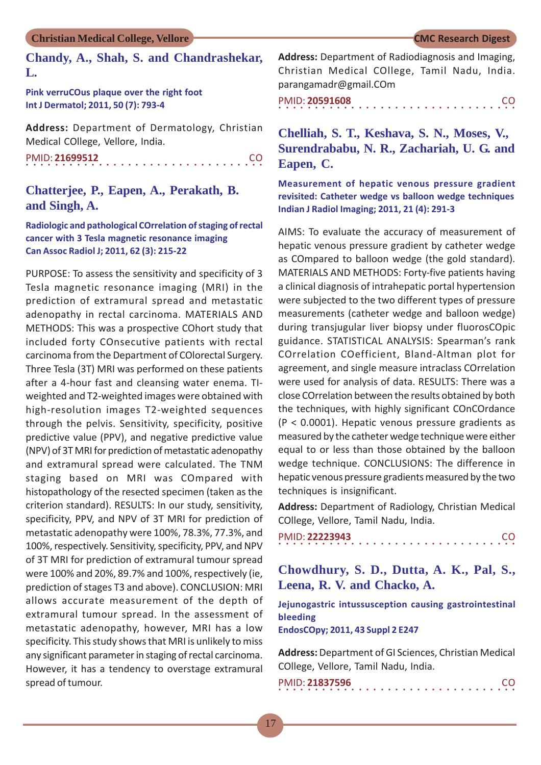### **Chandy, A., Shah, S. and Chandrashekar, L.**

**Pink verruCOus plaque over the right foot Int J Dermatol; 2011, 50 (7): 793-4**

**Address:** Department of Dermatology, Christian Medical COllege, Vellore, India.

○○○○○○○○○○○○○○○○○○○○○○○○○○○○ ○○○○○ PMID: **21699512** CO

## **Chatterjee, P., Eapen, A., Perakath, B. and Singh, A.**

**Radiologic and pathological COrrelation of staging of rectal cancer with 3 Tesla magnetic resonance imaging Can Assoc Radiol J; 2011, 62 (3): 215-22**

PURPOSE: To assess the sensitivity and specificity of 3 Tesla magnetic resonance imaging (MRI) in the prediction of extramural spread and metastatic adenopathy in rectal carcinoma. MATERIALS AND METHODS: This was a prospective COhort study that included forty COnsecutive patients with rectal carcinoma from the Department of COlorectal Surgery. Three Tesla (3T) MRI was performed on these patients after a 4-hour fast and cleansing water enema. TIweighted and T2-weighted images were obtained with high-resolution images T2-weighted sequences through the pelvis. Sensitivity, specificity, positive predictive value (PPV), and negative predictive value (NPV) of 3T MRI for prediction of metastatic adenopathy and extramural spread were calculated. The TNM staging based on MRI was COmpared with histopathology of the resected specimen (taken as the criterion standard). RESULTS: In our study, sensitivity, specificity, PPV, and NPV of 3T MRI for prediction of metastatic adenopathy were 100%, 78.3%, 77.3%, and 100%, respectively. Sensitivity, specificity, PPV, and NPV of 3T MRI for prediction of extramural tumour spread were 100% and 20%, 89.7% and 100%, respectively (ie, prediction of stages T3 and above). CONCLUSION: MRI allows accurate measurement of the depth of extramural tumour spread. In the assessment of metastatic adenopathy, however, MRI has a low specificity. This study shows that MRI is unlikely to miss any significant parameter in staging of rectal carcinoma. However, it has a tendency to overstage extramural spread of tumour.

**Address:** Department of Radiodiagnosis and Imaging, Christian Medical COllege, Tamil Nadu, India. parangamadr@gmail.COm

○○○○○○○○○○○○○○○○○○○○○○○○○○○○○○○○○ PMID: **20591608** CO

## **Chelliah, S. T., Keshava, S. N., Moses, V., Surendrababu, N. R., Zachariah, U. G. and Eapen, C.**

**Measurement of hepatic venous pressure gradient revisited: Catheter wedge vs balloon wedge techniques Indian J Radiol Imaging; 2011, 21 (4): 291-3**

AIMS: To evaluate the accuracy of measurement of hepatic venous pressure gradient by catheter wedge as COmpared to balloon wedge (the gold standard). MATERIALS AND METHODS: Forty-five patients having a clinical diagnosis of intrahepatic portal hypertension were subjected to the two different types of pressure measurements (catheter wedge and balloon wedge) during transjugular liver biopsy under fluorosCOpic guidance. STATISTICAL ANALYSIS: Spearman's rank COrrelation COefficient, Bland-Altman plot for agreement, and single measure intraclass COrrelation were used for analysis of data. RESULTS: There was a close COrrelation between the results obtained by both the techniques, with highly significant COnCOrdance (P < 0.0001). Hepatic venous pressure gradients as measured by the catheter wedge technique were either equal to or less than those obtained by the balloon wedge technique. CONCLUSIONS: The difference in hepatic venous pressure gradients measured by the two techniques is insignificant.

**Address:** Department of Radiology, Christian Medical COllege, Vellore, Tamil Nadu, India.

|  |  |  |  | PMID: 22223943 |  |  |  |  |  |  |  |  |  |  | -CO |  |
|--|--|--|--|----------------|--|--|--|--|--|--|--|--|--|--|-----|--|
|  |  |  |  |                |  |  |  |  |  |  |  |  |  |  |     |  |

**Chowdhury, S. D., Dutta, A. K., Pal, S., Leena, R. V. and Chacko, A.**

**Jejunogastric intussusception causing gastrointestinal bleeding**

**EndosCOpy; 2011, 43 Suppl 2 E247**

**Address:** Department of GI Sciences, Christian Medical COllege, Vellore, Tamil Nadu, India.

| PMID: 21837596 |  |  |  |  |  |  |  |  |  |  |  |  |  |  | CO. |  |
|----------------|--|--|--|--|--|--|--|--|--|--|--|--|--|--|-----|--|
|                |  |  |  |  |  |  |  |  |  |  |  |  |  |  |     |  |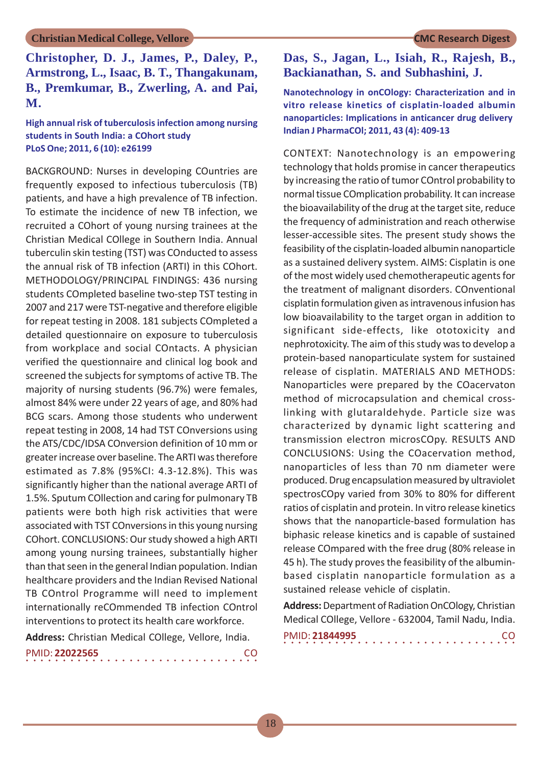**Christopher, D. J., James, P., Daley, P., Armstrong, L., Isaac, B. T., Thangakunam, B., Premkumar, B., Zwerling, A. and Pai, M.**

**High annual risk of tuberculosis infection among nursing students in South India: a COhort study PLoS One; 2011, 6 (10): e26199**

BACKGROUND: Nurses in developing COuntries are frequently exposed to infectious tuberculosis (TB) patients, and have a high prevalence of TB infection. To estimate the incidence of new TB infection, we recruited a COhort of young nursing trainees at the Christian Medical COllege in Southern India. Annual tuberculin skin testing (TST) was COnducted to assess the annual risk of TB infection (ARTI) in this COhort. METHODOLOGY/PRINCIPAL FINDINGS: 436 nursing students COmpleted baseline two-step TST testing in 2007 and 217 were TST-negative and therefore eligible for repeat testing in 2008. 181 subjects COmpleted a detailed questionnaire on exposure to tuberculosis from workplace and social COntacts. A physician verified the questionnaire and clinical log book and screened the subjects for symptoms of active TB. The majority of nursing students (96.7%) were females, almost 84% were under 22 years of age, and 80% had BCG scars. Among those students who underwent repeat testing in 2008, 14 had TST COnversions using the ATS/CDC/IDSA COnversion definition of 10 mm or greater increase over baseline. The ARTI was therefore estimated as 7.8% (95%CI: 4.3-12.8%). This was significantly higher than the national average ARTI of 1.5%. Sputum COllection and caring for pulmonary TB patients were both high risk activities that were associated with TST COnversions in this young nursing COhort. CONCLUSIONS: Our study showed a high ARTI among young nursing trainees, substantially higher than that seen in the general Indian population. Indian healthcare providers and the Indian Revised National TB COntrol Programme will need to implement internationally reCOmmended TB infection COntrol interventions to protect its health care workforce.

**Address:** Christian Medical COllege, Vellore, India.

| PMID: 22022565 |  |  |  |  |  |  |  |  |  |  |  |  |  |  | -CO |  |
|----------------|--|--|--|--|--|--|--|--|--|--|--|--|--|--|-----|--|
|                |  |  |  |  |  |  |  |  |  |  |  |  |  |  |     |  |

## **Das, S., Jagan, L., Isiah, R., Rajesh, B., Backianathan, S. and Subhashini, J.**

#### **Nanotechnology in onCOlogy: Characterization and in vitro release kinetics of cisplatin-loaded albumin nanoparticles: Implications in anticancer drug delivery Indian J PharmaCOl; 2011, 43 (4): 409-13**

CONTEXT: Nanotechnology is an empowering technology that holds promise in cancer therapeutics by increasing the ratio of tumor COntrol probability to normal tissue COmplication probability. It can increase the bioavailability of the drug at the target site, reduce the frequency of administration and reach otherwise lesser-accessible sites. The present study shows the feasibility of the cisplatin-loaded albumin nanoparticle as a sustained delivery system. AIMS: Cisplatin is one of the most widely used chemotherapeutic agents for the treatment of malignant disorders. COnventional cisplatin formulation given as intravenous infusion has low bioavailability to the target organ in addition to significant side-effects, like ototoxicity and nephrotoxicity. The aim of this study was to develop a protein-based nanoparticulate system for sustained release of cisplatin. MATERIALS AND METHODS: Nanoparticles were prepared by the COacervaton method of microcapsulation and chemical crosslinking with glutaraldehyde. Particle size was characterized by dynamic light scattering and transmission electron microsCOpy. RESULTS AND CONCLUSIONS: Using the COacervation method, nanoparticles of less than 70 nm diameter were produced. Drug encapsulation measured by ultraviolet spectrosCOpy varied from 30% to 80% for different ratios of cisplatin and protein. In vitro release kinetics shows that the nanoparticle-based formulation has biphasic release kinetics and is capable of sustained release COmpared with the free drug (80% release in 45 h). The study proves the feasibility of the albuminbased cisplatin nanoparticle formulation as a sustained release vehicle of cisplatin.

**Address:** Department of Radiation OnCOlogy, Christian Medical COllege, Vellore - 632004, Tamil Nadu, India.

| PMID: 21844995 |  |  |  |  |  |  |  |  |  |  |  |  |  |  | CO. |
|----------------|--|--|--|--|--|--|--|--|--|--|--|--|--|--|-----|
|                |  |  |  |  |  |  |  |  |  |  |  |  |  |  |     |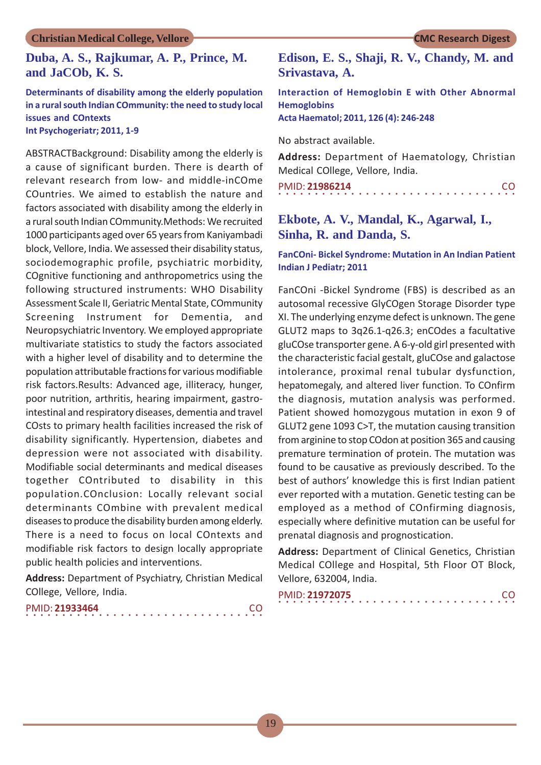## **Duba, A. S., Rajkumar, A. P., Prince, M. and JaCOb, K. S.**

#### **Determinants of disability among the elderly population in a rural south Indian COmmunity: the need to study local issues and COntexts Int Psychogeriatr; 2011, 1-9**

ABSTRACTBackground: Disability among the elderly is a cause of significant burden. There is dearth of relevant research from low- and middle-inCOme COuntries. We aimed to establish the nature and factors associated with disability among the elderly in a rural south Indian COmmunity.Methods: We recruited 1000 participants aged over 65 years from Kaniyambadi block, Vellore, India. We assessed their disability status, sociodemographic profile, psychiatric morbidity, COgnitive functioning and anthropometrics using the following structured instruments: WHO Disability Assessment Scale II, Geriatric Mental State, COmmunity Screening Instrument for Dementia, and Neuropsychiatric Inventory. We employed appropriate multivariate statistics to study the factors associated with a higher level of disability and to determine the population attributable fractions for various modifiable risk factors.Results: Advanced age, illiteracy, hunger, poor nutrition, arthritis, hearing impairment, gastrointestinal and respiratory diseases, dementia and travel COsts to primary health facilities increased the risk of disability significantly. Hypertension, diabetes and depression were not associated with disability. Modifiable social determinants and medical diseases together COntributed to disability in this population.COnclusion: Locally relevant social determinants COmbine with prevalent medical diseases to produce the disability burden among elderly. There is a need to focus on local COntexts and modifiable risk factors to design locally appropriate public health policies and interventions.

**Address:** Department of Psychiatry, Christian Medical COllege, Vellore, India.

|  |  | PMID: 21933464 |  |  |  |  |  |  |  |  |  |  |  |  |  | CO. |
|--|--|----------------|--|--|--|--|--|--|--|--|--|--|--|--|--|-----|
|  |  |                |  |  |  |  |  |  |  |  |  |  |  |  |  |     |

## **Edison, E. S., Shaji, R. V., Chandy, M. and Srivastava, A.**

**Interaction of Hemoglobin E with Other Abnormal Hemoglobins**

**Acta Haematol; 2011, 126 (4): 246-248**

No abstract available.

**Address:** Department of Haematology, Christian Medical COllege, Vellore, India.

| PMID: 21986214 |  |  |  |  |  |  |  |  |  |  |  |  |  |  | <b>CO</b> |  |
|----------------|--|--|--|--|--|--|--|--|--|--|--|--|--|--|-----------|--|
|                |  |  |  |  |  |  |  |  |  |  |  |  |  |  |           |  |

## **Ekbote, A. V., Mandal, K., Agarwal, I., Sinha, R. and Danda, S.**

**FanCOni- Bickel Syndrome: Mutation in An Indian Patient Indian J Pediatr; 2011**

FanCOni -Bickel Syndrome (FBS) is described as an autosomal recessive GlyCOgen Storage Disorder type XI. The underlying enzyme defect is unknown. The gene GLUT2 maps to 3q26.1-q26.3; enCOdes a facultative gluCOse transporter gene. A 6-y-old girl presented with the characteristic facial gestalt, gluCOse and galactose intolerance, proximal renal tubular dysfunction, hepatomegaly, and altered liver function. To COnfirm the diagnosis, mutation analysis was performed. Patient showed homozygous mutation in exon 9 of GLUT2 gene 1093 C>T, the mutation causing transition from arginine to stop COdon at position 365 and causing premature termination of protein. The mutation was found to be causative as previously described. To the best of authors' knowledge this is first Indian patient ever reported with a mutation. Genetic testing can be employed as a method of COnfirming diagnosis, especially where definitive mutation can be useful for prenatal diagnosis and prognostication.

**Address:** Department of Clinical Genetics, Christian Medical COllege and Hospital, 5th Floor OT Block, Vellore, 632004, India.

| PMID: 21972075 |  |  |  |  |  |  |  |  |  |  |  |  |  |  |  | CO. |
|----------------|--|--|--|--|--|--|--|--|--|--|--|--|--|--|--|-----|
|                |  |  |  |  |  |  |  |  |  |  |  |  |  |  |  |     |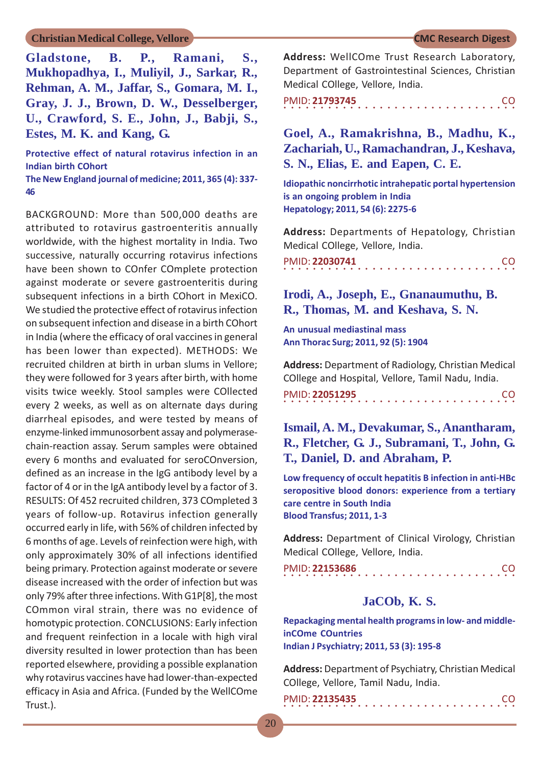**Gladstone, B. P., Ramani, S., Mukhopadhya, I., Muliyil, J., Sarkar, R., Rehman, A. M., Jaffar, S., Gomara, M. I., Gray, J. J., Brown, D. W., Desselberger, U., Crawford, S. E., John, J., Babji, S., Estes, M. K. and Kang, G.**

**Protective effect of natural rotavirus infection in an Indian birth COhort**

**The New England journal of medicine; 2011, 365 (4): 337- 46**

BACKGROUND: More than 500,000 deaths are attributed to rotavirus gastroenteritis annually worldwide, with the highest mortality in India. Two successive, naturally occurring rotavirus infections have been shown to COnfer COmplete protection against moderate or severe gastroenteritis during subsequent infections in a birth COhort in MexiCO. We studied the protective effect of rotavirus infection on subsequent infection and disease in a birth COhort in India (where the efficacy of oral vaccines in general has been lower than expected). METHODS: We recruited children at birth in urban slums in Vellore; they were followed for 3 years after birth, with home visits twice weekly. Stool samples were COllected every 2 weeks, as well as on alternate days during diarrheal episodes, and were tested by means of enzyme-linked immunosorbent assay and polymerasechain-reaction assay. Serum samples were obtained every 6 months and evaluated for seroCOnversion, defined as an increase in the IgG antibody level by a factor of 4 or in the IgA antibody level by a factor of 3. RESULTS: Of 452 recruited children, 373 COmpleted 3 years of follow-up. Rotavirus infection generally occurred early in life, with 56% of children infected by 6 months of age. Levels of reinfection were high, with only approximately 30% of all infections identified being primary. Protection against moderate or severe disease increased with the order of infection but was only 79% after three infections. With G1P[8], the most COmmon viral strain, there was no evidence of homotypic protection. CONCLUSIONS: Early infection and frequent reinfection in a locale with high viral diversity resulted in lower protection than has been reported elsewhere, providing a possible explanation why rotavirus vaccines have had lower-than-expected efficacy in Asia and Africa. (Funded by the WellCOme Trust.).

**Address:** WellCOme Trust Research Laboratory, Department of Gastrointestinal Sciences, Christian Medical COllege, Vellore, India.

○○○○○○○○○○○○○○○○ ○○○○○○○○○○○○○○○○ PMID: **21793745** CO

## **Goel, A., Ramakrishna, B., Madhu, K., Zachariah, U., Ramachandran, J., Keshava, S. N., Elias, E. and Eapen, C. E.**

**Idiopathic noncirrhotic intrahepatic portal hypertension is an ongoing problem in India Hepatology; 2011, 54 (6): 2275-6**

**Address:** Departments of Hepatology, Christian Medical COllege, Vellore, India.

|  |  | PMID: 22030741 |  |  |  |  |  |  |  |  |  |  |  |  | CO. |  |
|--|--|----------------|--|--|--|--|--|--|--|--|--|--|--|--|-----|--|
|  |  |                |  |  |  |  |  |  |  |  |  |  |  |  |     |  |

## **Irodi, A., Joseph, E., Gnanaumuthu, B. R., Thomas, M. and Keshava, S. N.**

**An unusual mediastinal mass Ann Thorac Surg; 2011, 92 (5): 1904**

**Address:** Department of Radiology, Christian Medical COllege and Hospital, Vellore, Tamil Nadu, India. ○○○○○○○○○○○○○○○○ ○○○○○○○○○○○○○○○○ PMID: **22051295** CO

**Ismail, A. M., Devakumar, S., Anantharam, R., Fletcher, G. J., Subramani, T., John, G. T., Daniel, D. and Abraham, P.**

**Low frequency of occult hepatitis B infection in anti-HBc seropositive blood donors: experience from a tertiary care centre in South India Blood Transfus; 2011, 1-3**

**Address:** Department of Clinical Virology, Christian Medical COllege, Vellore, India.

○○○○○○○○○○○○○○○○ ○○○○○○○○○○○○○○○○ PMID: **22153686** CO

## **JaCOb, K. S.**

**Repackaging mental health programs in low- and middleinCOme COuntries Indian J Psychiatry; 2011, 53 (3): 195-8**

**Address:** Department of Psychiatry, Christian Medical COllege, Vellore, Tamil Nadu, India.

|  |  |  |  | PMID: 22135435 |  |  |  |  |  |  |  |  |  |  | CO. |  |
|--|--|--|--|----------------|--|--|--|--|--|--|--|--|--|--|-----|--|
|  |  |  |  |                |  |  |  |  |  |  |  |  |  |  |     |  |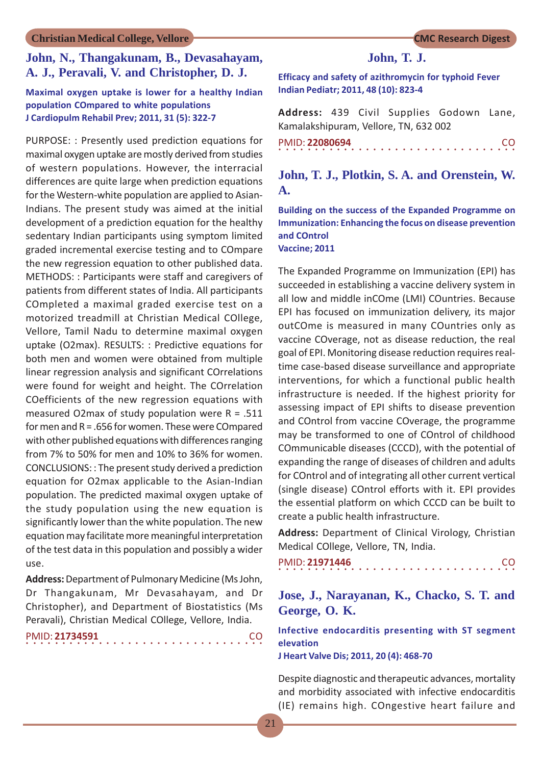## **John, N., Thangakunam, B., Devasahayam, A. J., Peravali, V. and Christopher, D. J.**

#### **Maximal oxygen uptake is lower for a healthy Indian population COmpared to white populations J Cardiopulm Rehabil Prev; 2011, 31 (5): 322-7**

PURPOSE: : Presently used prediction equations for maximal oxygen uptake are mostly derived from studies of western populations. However, the interracial differences are quite large when prediction equations for the Western-white population are applied to Asian-Indians. The present study was aimed at the initial development of a prediction equation for the healthy sedentary Indian participants using symptom limited graded incremental exercise testing and to COmpare the new regression equation to other published data. METHODS: : Participants were staff and caregivers of patients from different states of India. All participants COmpleted a maximal graded exercise test on a motorized treadmill at Christian Medical COllege, Vellore, Tamil Nadu to determine maximal oxygen uptake (O2max). RESULTS: : Predictive equations for both men and women were obtained from multiple linear regression analysis and significant COrrelations were found for weight and height. The COrrelation COefficients of the new regression equations with measured O2max of study population were  $R = .511$ for men and R = .656 for women. These were COmpared with other published equations with differences ranging from 7% to 50% for men and 10% to 36% for women. CONCLUSIONS: : The present study derived a prediction equation for O2max applicable to the Asian-Indian population. The predicted maximal oxygen uptake of the study population using the new equation is significantly lower than the white population. The new equation may facilitate more meaningful interpretation of the test data in this population and possibly a wider use.

**Address:** Department of Pulmonary Medicine (Ms John, Dr Thangakunam, Mr Devasahayam, and Dr Christopher), and Department of Biostatistics (Ms Peravali), Christian Medical COllege, Vellore, India.

|  |  | PMID: 21734591 |  |  |  |  |  |  |  |  |  |  |  |  | <b>CO</b> |  |
|--|--|----------------|--|--|--|--|--|--|--|--|--|--|--|--|-----------|--|
|  |  |                |  |  |  |  |  |  |  |  |  |  |  |  |           |  |

#### **John, T. J.**

**Efficacy and safety of azithromycin for typhoid Fever Indian Pediatr; 2011, 48 (10): 823-4**

**Address:** 439 Civil Supplies Godown Lane, Kamalakshipuram, Vellore, TN, 632 002 PMID: **22080694** CO

○○○○○○○○○○○○○○○○○○○○○○○○○○○○○○○○○

## **John, T. J., Plotkin, S. A. and Orenstein, W. A.**

**Building on the success of the Expanded Programme on Immunization: Enhancing the focus on disease prevention and COntrol Vaccine; 2011**

The Expanded Programme on Immunization (EPI) has succeeded in establishing a vaccine delivery system in all low and middle inCOme (LMI) COuntries. Because EPI has focused on immunization delivery, its major outCOme is measured in many COuntries only as vaccine COverage, not as disease reduction, the real goal of EPI. Monitoring disease reduction requires realtime case-based disease surveillance and appropriate interventions, for which a functional public health infrastructure is needed. If the highest priority for assessing impact of EPI shifts to disease prevention and COntrol from vaccine COverage, the programme may be transformed to one of COntrol of childhood COmmunicable diseases (CCCD), with the potential of expanding the range of diseases of children and adults for COntrol and of integrating all other current vertical (single disease) COntrol efforts with it. EPI provides the essential platform on which CCCD can be built to create a public health infrastructure.

**Address:** Department of Clinical Virology, Christian Medical COllege, Vellore, TN, India.

|  |  | PMID: 21971446 |  |  |  |  |  |  |  |  |  |  |  |  | CO. |  |
|--|--|----------------|--|--|--|--|--|--|--|--|--|--|--|--|-----|--|
|  |  |                |  |  |  |  |  |  |  |  |  |  |  |  |     |  |

## **Jose, J., Narayanan, K., Chacko, S. T. and George, O. K.**

**Infective endocarditis presenting with ST segment elevation**

**J Heart Valve Dis; 2011, 20 (4): 468-70**

Despite diagnostic and therapeutic advances, mortality and morbidity associated with infective endocarditis (IE) remains high. COngestive heart failure and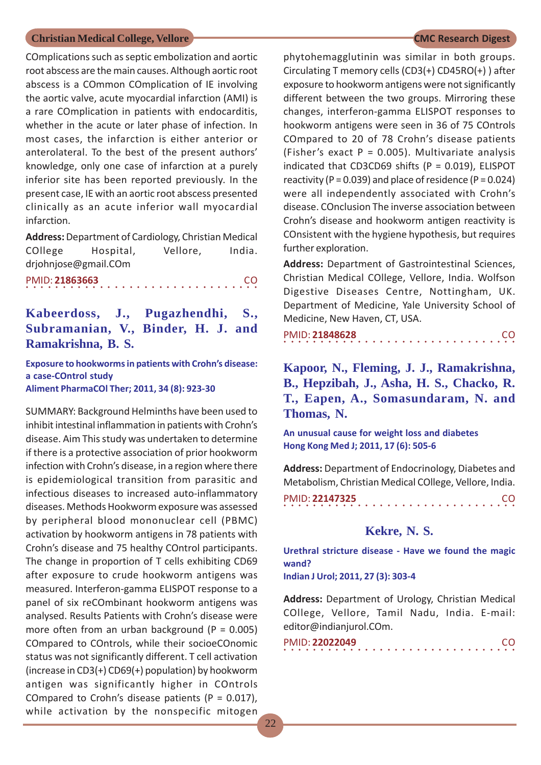COmplications such as septic embolization and aortic root abscess are the main causes. Although aortic root abscess is a COmmon COmplication of IE involving the aortic valve, acute myocardial infarction (AMI) is a rare COmplication in patients with endocarditis, whether in the acute or later phase of infection. In most cases, the infarction is either anterior or anterolateral. To the best of the present authors' knowledge, only one case of infarction at a purely inferior site has been reported previously. In the present case, IE with an aortic root abscess presented clinically as an acute inferior wall myocardial infarction.

**Address:** Department of Cardiology, Christian Medical COllege Hospital, Vellore, India. drjohnjose@gmail.COm

○○○○○○○○○○○○○○○○ ○○○○○○○○○○○○○○○○ PMID: **21863663** CO

## **Kabeerdoss, J., Pugazhendhi, S., Subramanian, V., Binder, H. J. and Ramakrishna, B. S.**

**Exposure to hookworms in patients with Crohn's disease: a case-COntrol study Aliment PharmaCOl Ther; 2011, 34 (8): 923-30**

SUMMARY: Background Helminths have been used to inhibit intestinal inflammation in patients with Crohn's disease. Aim This study was undertaken to determine if there is a protective association of prior hookworm infection with Crohn's disease, in a region where there is epidemiological transition from parasitic and infectious diseases to increased auto-inflammatory diseases. Methods Hookworm exposure was assessed by peripheral blood mononuclear cell (PBMC) activation by hookworm antigens in 78 patients with Crohn's disease and 75 healthy COntrol participants. The change in proportion of T cells exhibiting CD69 after exposure to crude hookworm antigens was measured. Interferon-gamma ELISPOT response to a panel of six reCOmbinant hookworm antigens was analysed. Results Patients with Crohn's disease were more often from an urban background ( $P = 0.005$ ) COmpared to COntrols, while their socioeCOnomic status was not significantly different. T cell activation (increase in CD3(+) CD69(+) population) by hookworm antigen was significantly higher in COntrols COmpared to Crohn's disease patients ( $P = 0.017$ ), while activation by the nonspecific mitogen

phytohemagglutinin was similar in both groups. Circulating T memory cells (CD3(+) CD45RO(+) ) after exposure to hookworm antigens were not significantly different between the two groups. Mirroring these changes, interferon-gamma ELISPOT responses to hookworm antigens were seen in 36 of 75 COntrols COmpared to 20 of 78 Crohn's disease patients (Fisher's exact  $P = 0.005$ ). Multivariate analysis indicated that CD3CD69 shifts ( $P = 0.019$ ), ELISPOT reactivity ( $P = 0.039$ ) and place of residence ( $P = 0.024$ ) were all independently associated with Crohn's disease. COnclusion The inverse association between Crohn's disease and hookworm antigen reactivity is COnsistent with the hygiene hypothesis, but requires further exploration.

**Address:** Department of Gastrointestinal Sciences, Christian Medical COllege, Vellore, India. Wolfson Digestive Diseases Centre, Nottingham, UK. Department of Medicine, Yale University School of Medicine, New Haven, CT, USA.

○○○○○○○○○○○○○○○○ ○○○○○○○○○○○○○○○○ PMID: **21848628** CO

**Kapoor, N., Fleming, J. J., Ramakrishna, B., Hepzibah, J., Asha, H. S., Chacko, R. T., Eapen, A., Somasundaram, N. and Thomas, N.**

**An unusual cause for weight loss and diabetes Hong Kong Med J; 2011, 17 (6): 505-6**

**Address:** Department of Endocrinology, Diabetes and Metabolism, Christian Medical COllege, Vellore, India.

|  |  | PMID: 22147325 |  |  |  |  |  |  |  |  |  |  |  |  | CO. |  |
|--|--|----------------|--|--|--|--|--|--|--|--|--|--|--|--|-----|--|
|  |  |                |  |  |  |  |  |  |  |  |  |  |  |  |     |  |

#### **Kekre, N. S.**

**Urethral stricture disease - Have we found the magic wand?**

**Indian J Urol; 2011, 27 (3): 303-4**

**Address:** Department of Urology, Christian Medical COllege, Vellore, Tamil Nadu, India. E-mail: editor@indianjurol.COm.

| PMID: 22022049 |  |  |  |  |  |  |  |  |  |  |  |  |  |  |  |
|----------------|--|--|--|--|--|--|--|--|--|--|--|--|--|--|--|
|                |  |  |  |  |  |  |  |  |  |  |  |  |  |  |  |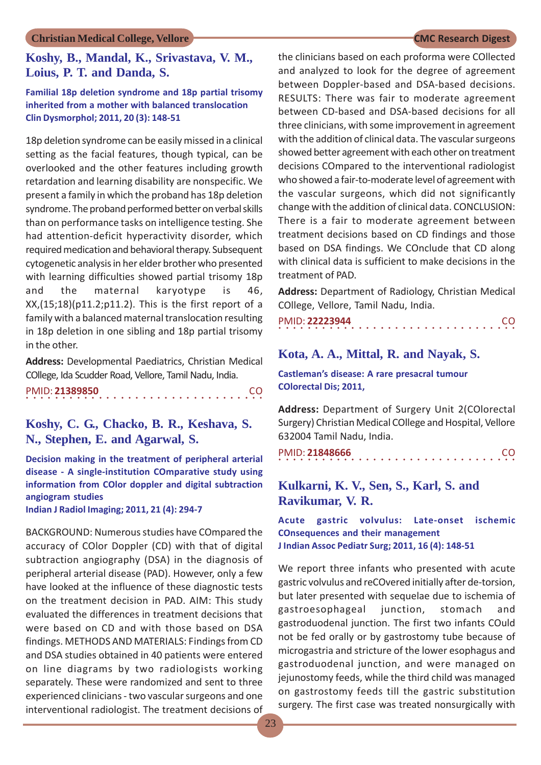## **Koshy, B., Mandal, K., Srivastava, V. M., Loius, P. T. and Danda, S.**

#### **Familial 18p deletion syndrome and 18p partial trisomy inherited from a mother with balanced translocation Clin Dysmorphol; 2011, 20 (3): 148-51**

18p deletion syndrome can be easily missed in a clinical setting as the facial features, though typical, can be overlooked and the other features including growth retardation and learning disability are nonspecific. We present a family in which the proband has 18p deletion syndrome. The proband performed better on verbal skills than on performance tasks on intelligence testing. She had attention-deficit hyperactivity disorder, which required medication and behavioral therapy. Subsequent cytogenetic analysis in her elder brother who presented with learning difficulties showed partial trisomy 18p and the maternal karyotype is 46, XX,(15;18)(p11.2;p11.2). This is the first report of a family with a balanced maternal translocation resulting in 18p deletion in one sibling and 18p partial trisomy in the other.

**Address:** Developmental Paediatrics, Christian Medical COllege, Ida Scudder Road, Vellore, Tamil Nadu, India.

| PMID: 21389850 |  |  |  |  |  |  |  |  |  |  |  |  |  |  | -CO |  |
|----------------|--|--|--|--|--|--|--|--|--|--|--|--|--|--|-----|--|
|                |  |  |  |  |  |  |  |  |  |  |  |  |  |  |     |  |

## **Koshy, C. G., Chacko, B. R., Keshava, S. N., Stephen, E. and Agarwal, S.**

**Decision making in the treatment of peripheral arterial disease - A single-institution COmparative study using information from COlor doppler and digital subtraction angiogram studies Indian J Radiol Imaging; 2011, 21 (4): 294-7**

BACKGROUND: Numerous studies have COmpared the

accuracy of COlor Doppler (CD) with that of digital subtraction angiography (DSA) in the diagnosis of peripheral arterial disease (PAD). However, only a few have looked at the influence of these diagnostic tests on the treatment decision in PAD. AIM: This study evaluated the differences in treatment decisions that were based on CD and with those based on DSA findings. METHODS AND MATERIALS: Findings from CD and DSA studies obtained in 40 patients were entered on line diagrams by two radiologists working separately. These were randomized and sent to three experienced clinicians - two vascular surgeons and one interventional radiologist. The treatment decisions of the clinicians based on each proforma were COllected and analyzed to look for the degree of agreement between Doppler-based and DSA-based decisions. RESULTS: There was fair to moderate agreement between CD-based and DSA-based decisions for all three clinicians, with some improvement in agreement with the addition of clinical data. The vascular surgeons showed better agreement with each other on treatment decisions COmpared to the interventional radiologist who showed a fair-to-moderate level of agreement with the vascular surgeons, which did not significantly change with the addition of clinical data. CONCLUSION: There is a fair to moderate agreement between treatment decisions based on CD findings and those based on DSA findings. We COnclude that CD along with clinical data is sufficient to make decisions in the treatment of PAD.

**Address:** Department of Radiology, Christian Medical COllege, Vellore, Tamil Nadu, India.

| PMID: 22223944 |  |  |  |  |  |  |  |  |  |  |  |  |  |  | <b>CO</b> |  |
|----------------|--|--|--|--|--|--|--|--|--|--|--|--|--|--|-----------|--|
|                |  |  |  |  |  |  |  |  |  |  |  |  |  |  |           |  |

## **Kota, A. A., Mittal, R. and Nayak, S.**

**Castleman's disease: A rare presacral tumour COlorectal Dis; 2011,**

**Address:** Department of Surgery Unit 2(COlorectal Surgery) Christian Medical COllege and Hospital, Vellore 632004 Tamil Nadu, India.

○○○○○○○○○○○○○○○○○○○○○○○○○○○○○○○○○ PMID: **21848666** CO

## **Kulkarni, K. V., Sen, S., Karl, S. and Ravikumar, V. R.**

**Acute gastric volvulus: Late-onset ischemic COnsequences and their management J Indian Assoc Pediatr Surg; 2011, 16 (4): 148-51**

We report three infants who presented with acute gastric volvulus and reCOvered initially after de-torsion, but later presented with sequelae due to ischemia of gastroesophageal junction, stomach and gastroduodenal junction. The first two infants COuld not be fed orally or by gastrostomy tube because of microgastria and stricture of the lower esophagus and gastroduodenal junction, and were managed on jejunostomy feeds, while the third child was managed on gastrostomy feeds till the gastric substitution surgery. The first case was treated nonsurgically with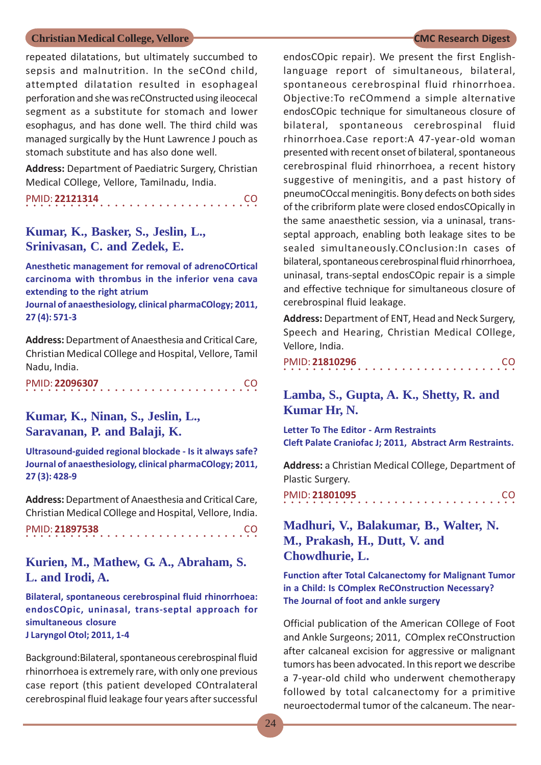repeated dilatations, but ultimately succumbed to sepsis and malnutrition. In the seCOnd child, attempted dilatation resulted in esophageal perforation and she was reCOnstructed using ileocecal segment as a substitute for stomach and lower esophagus, and has done well. The third child was managed surgically by the Hunt Lawrence J pouch as stomach substitute and has also done well.

**Address:** Department of Paediatric Surgery, Christian Medical COllege, Vellore, Tamilnadu, India.

|  |  | PMID: 22121314 |  |  |  |  |  |  |  |  |  |  |  |  | CO. |  |
|--|--|----------------|--|--|--|--|--|--|--|--|--|--|--|--|-----|--|
|  |  |                |  |  |  |  |  |  |  |  |  |  |  |  |     |  |

### **Kumar, K., Basker, S., Jeslin, L., Srinivasan, C. and Zedek, E.**

**Anesthetic management for removal of adrenoCOrtical carcinoma with thrombus in the inferior vena cava extending to the right atrium**

**Journal of anaesthesiology, clinical pharmaCOlogy; 2011, 27 (4): 571-3**

**Address:** Department of Anaesthesia and Critical Care, Christian Medical COllege and Hospital, Vellore, Tamil Nadu, India.

| PMID: 22096307 |  |  |  |  |  |  |  |  |  |  |  |  |  |  | <b>CO</b> |  |
|----------------|--|--|--|--|--|--|--|--|--|--|--|--|--|--|-----------|--|
|                |  |  |  |  |  |  |  |  |  |  |  |  |  |  |           |  |

## **Kumar, K., Ninan, S., Jeslin, L., Saravanan, P. and Balaji, K.**

**Ultrasound-guided regional blockade - Is it always safe? Journal of anaesthesiology, clinical pharmaCOlogy; 2011, 27 (3): 428-9**

**Address:** Department of Anaesthesia and Critical Care, Christian Medical COllege and Hospital, Vellore, India.

```
○○○○○○○○○○○○○○○○ ○○○○○○○○○○○○○○○○
PMID: 21897538 CO
```
## **Kurien, M., Mathew, G. A., Abraham, S. L. and Irodi, A.**

**Bilateral, spontaneous cerebrospinal fluid rhinorrhoea: endosCOpic, uninasal, trans-septal approach for simultaneous closure J Laryngol Otol; 2011, 1-4**

Background:Bilateral, spontaneous cerebrospinal fluid rhinorrhoea is extremely rare, with only one previous case report (this patient developed COntralateral cerebrospinal fluid leakage four years after successful

endosCOpic repair). We present the first Englishlanguage report of simultaneous, bilateral, spontaneous cerebrospinal fluid rhinorrhoea. Objective:To reCOmmend a simple alternative endosCOpic technique for simultaneous closure of bilateral, spontaneous cerebrospinal fluid rhinorrhoea.Case report:A 47-year-old woman presented with recent onset of bilateral, spontaneous cerebrospinal fluid rhinorrhoea, a recent history suggestive of meningitis, and a past history of pneumoCOccal meningitis. Bony defects on both sides of the cribriform plate were closed endosCOpically in the same anaesthetic session, via a uninasal, transseptal approach, enabling both leakage sites to be sealed simultaneously.COnclusion:In cases of bilateral, spontaneous cerebrospinal fluid rhinorrhoea, uninasal, trans-septal endosCOpic repair is a simple and effective technique for simultaneous closure of cerebrospinal fluid leakage.

**Address:** Department of ENT, Head and Neck Surgery, Speech and Hearing, Christian Medical COllege, Vellore, India.

|  |  |  |  | PMID: 21810296 |  |  |  |  |  |  |  |  |  |  | <b>CO</b> |  |
|--|--|--|--|----------------|--|--|--|--|--|--|--|--|--|--|-----------|--|
|  |  |  |  |                |  |  |  |  |  |  |  |  |  |  |           |  |

## **Lamba, S., Gupta, A. K., Shetty, R. and Kumar Hr, N.**

**Letter To The Editor - Arm Restraints Cleft Palate Craniofac J; 2011, Abstract Arm Restraints.**

**Address:** a Christian Medical COllege, Department of Plastic Surgery.

○○○○○○○○○○○○○○○○ ○○○○○○○○○○○○○○○○ PMID: **21801095** CO

## **Madhuri, V., Balakumar, B., Walter, N. M., Prakash, H., Dutt, V. and Chowdhurie, L.**

**Function after Total Calcanectomy for Malignant Tumor in a Child: Is COmplex ReCOnstruction Necessary? The Journal of foot and ankle surgery**

Official publication of the American COllege of Foot and Ankle Surgeons; 2011, COmplex reCOnstruction after calcaneal excision for aggressive or malignant tumors has been advocated. In this report we describe a 7-year-old child who underwent chemotherapy followed by total calcanectomy for a primitive neuroectodermal tumor of the calcaneum. The near-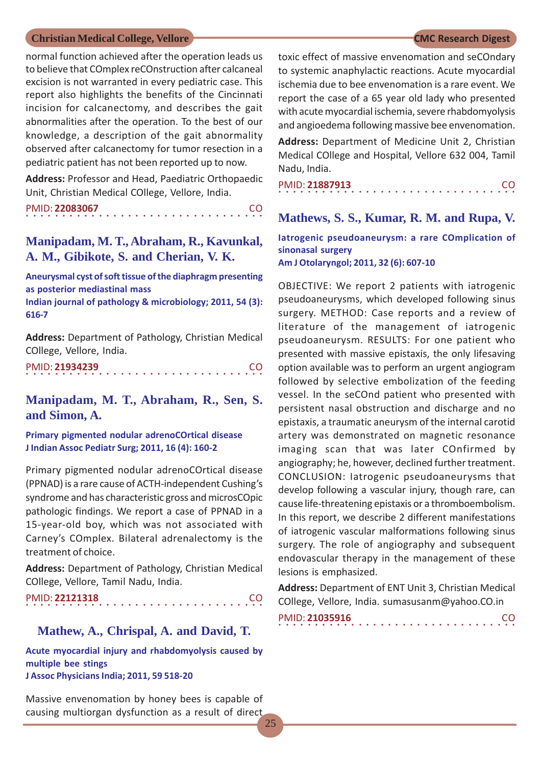normal function achieved after the operation leads us to believe that COmplex reCOnstruction after calcaneal excision is not warranted in every pediatric case. This report also highlights the benefits of the Cincinnati incision for calcanectomy, and describes the gait abnormalities after the operation. To the best of our knowledge, a description of the gait abnormality observed after calcanectomy for tumor resection in a pediatric patient has not been reported up to now.

**Address:** Professor and Head, Paediatric Orthopaedic Unit, Christian Medical COllege, Vellore, India.

|  |  | PMID: 22083067 |  |  |  |  |  |  |  |  |  |  |  |  | CO. |  |
|--|--|----------------|--|--|--|--|--|--|--|--|--|--|--|--|-----|--|
|  |  |                |  |  |  |  |  |  |  |  |  |  |  |  |     |  |

### **Manipadam, M. T., Abraham, R., Kavunkal, A. M., Gibikote, S. and Cherian, V. K.**

**Aneurysmal cyst of soft tissue of the diaphragm presenting as posterior mediastinal mass**

**Indian journal of pathology & microbiology; 2011, 54 (3): 616-7**

**Address:** Department of Pathology, Christian Medical COllege, Vellore, India.

○○○○○○○○○○○○○○○○○○○○○○○○○○○○ ○○○○○ PMID: **21934239** CO

## **Manipadam, M. T., Abraham, R., Sen, S. and Simon, A.**

**Primary pigmented nodular adrenoCOrtical disease J Indian Assoc Pediatr Surg; 2011, 16 (4): 160-2**

Primary pigmented nodular adrenoCOrtical disease (PPNAD) is a rare cause of ACTH-independent Cushing's syndrome and has characteristic gross and microsCOpic pathologic findings. We report a case of PPNAD in a 15-year-old boy, which was not associated with Carney's COmplex. Bilateral adrenalectomy is the treatment of choice.

**Address:** Department of Pathology, Christian Medical COllege, Vellore, Tamil Nadu, India.

○○○○○○○○○○○○○○○○○○○○○○○○○○○○ ○○○○○ PMID: **22121318** CO

#### **Mathew, A., Chrispal, A. and David, T.**

**Acute myocardial injury and rhabdomyolysis caused by multiple bee stings J Assoc Physicians India; 2011, 59 518-20**

Massive envenomation by honey bees is capable of causing multiorgan dysfunction as a result of direct

toxic effect of massive envenomation and seCOndary to systemic anaphylactic reactions. Acute myocardial ischemia due to bee envenomation is a rare event. We report the case of a 65 year old lady who presented with acute myocardial ischemia, severe rhabdomyolysis and angioedema following massive bee envenomation.

**Address:** Department of Medicine Unit 2, Christian Medical COllege and Hospital, Vellore 632 004, Tamil Nadu, India.

|  |  |  | PMID: 21887913 |  |  |  |  |  |  |  |  |  |  |  | <sub>CO</sub> |  |
|--|--|--|----------------|--|--|--|--|--|--|--|--|--|--|--|---------------|--|
|  |  |  |                |  |  |  |  |  |  |  |  |  |  |  |               |  |

# **Mathews, S. S., Kumar, R. M. and Rupa, V.**

**Iatrogenic pseudoaneurysm: a rare COmplication of sinonasal surgery Am J Otolaryngol; 2011, 32 (6): 607-10**

OBJECTIVE: We report 2 patients with iatrogenic pseudoaneurysms, which developed following sinus surgery. METHOD: Case reports and a review of literature of the management of iatrogenic pseudoaneurysm. RESULTS: For one patient who presented with massive epistaxis, the only lifesaving option available was to perform an urgent angiogram followed by selective embolization of the feeding vessel. In the seCOnd patient who presented with persistent nasal obstruction and discharge and no epistaxis, a traumatic aneurysm of the internal carotid artery was demonstrated on magnetic resonance imaging scan that was later COnfirmed by angiography; he, however, declined further treatment. CONCLUSION: Iatrogenic pseudoaneurysms that develop following a vascular injury, though rare, can cause life-threatening epistaxis or a thromboembolism. In this report, we describe 2 different manifestations of iatrogenic vascular malformations following sinus surgery. The role of angiography and subsequent endovascular therapy in the management of these lesions is emphasized.

**Address:** Department of ENT Unit 3, Christian Medical COllege, Vellore, India. sumasusanm@yahoo.CO.in

|  |  |  |  | PMID: 21035916 |  |  |  |  |  |  |  |  |  |  |  | CO. |  |
|--|--|--|--|----------------|--|--|--|--|--|--|--|--|--|--|--|-----|--|
|  |  |  |  |                |  |  |  |  |  |  |  |  |  |  |  |     |  |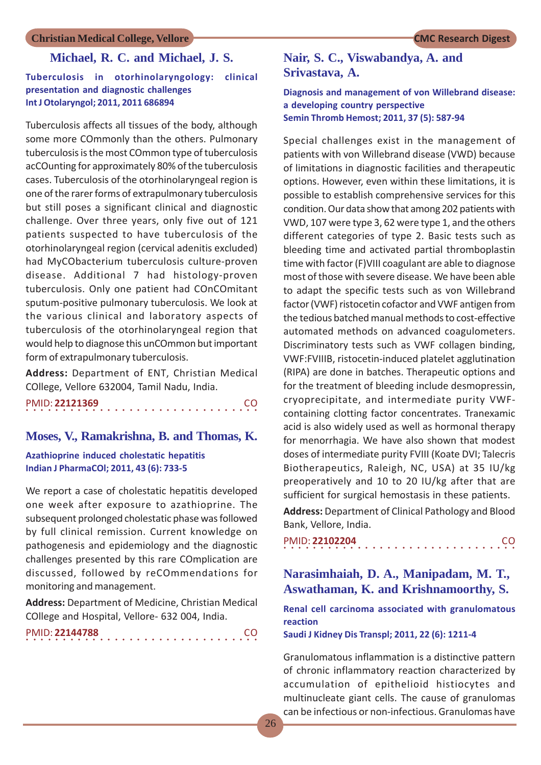### **Michael, R. C. and Michael, J. S.**

#### **Tuberculosis in otorhinolaryngology: clinical presentation and diagnostic challenges Int J Otolaryngol; 2011, 2011 686894**

Tuberculosis affects all tissues of the body, although some more COmmonly than the others. Pulmonary tuberculosis is the most COmmon type of tuberculosis acCOunting for approximately 80% of the tuberculosis cases. Tuberculosis of the otorhinolaryngeal region is one of the rarer forms of extrapulmonary tuberculosis but still poses a significant clinical and diagnostic challenge. Over three years, only five out of 121 patients suspected to have tuberculosis of the otorhinolaryngeal region (cervical adenitis excluded) had MyCObacterium tuberculosis culture-proven disease. Additional 7 had histology-proven tuberculosis. Only one patient had COnCOmitant sputum-positive pulmonary tuberculosis. We look at the various clinical and laboratory aspects of tuberculosis of the otorhinolaryngeal region that would help to diagnose this unCOmmon but important form of extrapulmonary tuberculosis.

**Address:** Department of ENT, Christian Medical COllege, Vellore 632004, Tamil Nadu, India.

| PMID: 22121369 |  |  |  |  |  |  |  |  |  |  |  |  |  |  |  | CO. |
|----------------|--|--|--|--|--|--|--|--|--|--|--|--|--|--|--|-----|
|                |  |  |  |  |  |  |  |  |  |  |  |  |  |  |  |     |

#### **Moses, V., Ramakrishna, B. and Thomas, K.**

#### **Azathioprine induced cholestatic hepatitis Indian J PharmaCOl; 2011, 43 (6): 733-5**

We report a case of cholestatic hepatitis developed one week after exposure to azathioprine. The subsequent prolonged cholestatic phase was followed by full clinical remission. Current knowledge on pathogenesis and epidemiology and the diagnostic challenges presented by this rare COmplication are discussed, followed by reCOmmendations for monitoring and management.

**Address:** Department of Medicine, Christian Medical COllege and Hospital, Vellore- 632 004, India.

○○○○○○○○○○○○○○○○ ○○○○○○○○○○○○○○○○ PMID: **22144788** CO

## **Nair, S. C., Viswabandya, A. and Srivastava, A.**

#### **Diagnosis and management of von Willebrand disease: a developing country perspective Semin Thromb Hemost; 2011, 37 (5): 587-94**

Special challenges exist in the management of patients with von Willebrand disease (VWD) because of limitations in diagnostic facilities and therapeutic options. However, even within these limitations, it is possible to establish comprehensive services for this condition. Our data show that among 202 patients with VWD, 107 were type 3, 62 were type 1, and the others different categories of type 2. Basic tests such as bleeding time and activated partial thromboplastin time with factor (F)VIII coagulant are able to diagnose most of those with severe disease. We have been able to adapt the specific tests such as von Willebrand factor (VWF) ristocetin cofactor and VWF antigen from the tedious batched manual methods to cost-effective automated methods on advanced coagulometers. Discriminatory tests such as VWF collagen binding, VWF:FVIIIB, ristocetin-induced platelet agglutination (RIPA) are done in batches. Therapeutic options and for the treatment of bleeding include desmopressin, cryoprecipitate, and intermediate purity VWFcontaining clotting factor concentrates. Tranexamic acid is also widely used as well as hormonal therapy for menorrhagia. We have also shown that modest doses of intermediate purity FVIII (Koate DVI; Talecris Biotherapeutics, Raleigh, NC, USA) at 35 IU/kg preoperatively and 10 to 20 IU/kg after that are sufficient for surgical hemostasis in these patients.

**Address:** Department of Clinical Pathology and Blood Bank, Vellore, India.

○○○○○○○○○○○○○○○○ ○○○○○○○○○○○○○○○○ PMID: **22102204** CO

## **Narasimhaiah, D. A., Manipadam, M. T., Aswathaman, K. and Krishnamoorthy, S.**

**Renal cell carcinoma associated with granulomatous reaction**

**Saudi J Kidney Dis Transpl; 2011, 22 (6): 1211-4**

Granulomatous inflammation is a distinctive pattern of chronic inflammatory reaction characterized by accumulation of epithelioid histiocytes and multinucleate giant cells. The cause of granulomas can be infectious or non-infectious. Granulomas have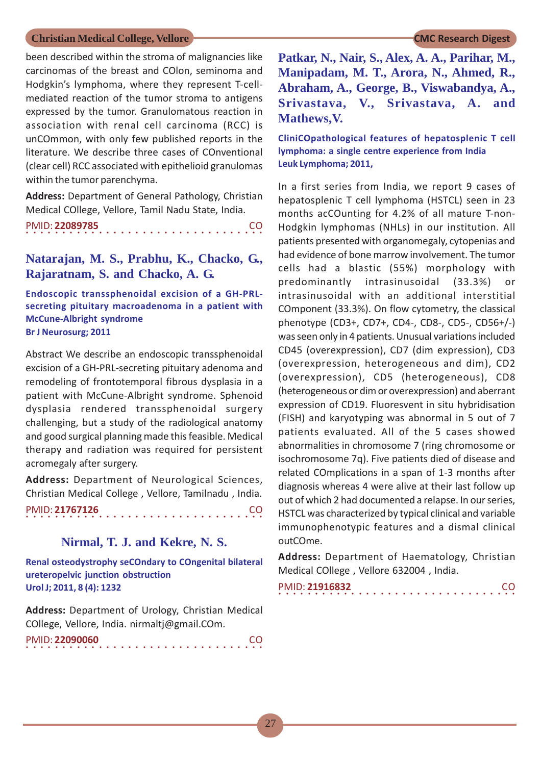been described within the stroma of malignancies like carcinomas of the breast and COlon, seminoma and Hodgkin's lymphoma, where they represent T-cellmediated reaction of the tumor stroma to antigens expressed by the tumor. Granulomatous reaction in association with renal cell carcinoma (RCC) is unCOmmon, with only few published reports in the literature. We describe three cases of COnventional (clear cell) RCC associated with epithelioid granulomas within the tumor parenchyma.

**Address:** Department of General Pathology, Christian Medical COllege, Vellore, Tamil Nadu State, India.

○○○○○○○○○○○○○○○○○○○○○○○○○○○○ ○○○○○ PMID: **22089785** CO

**Natarajan, M. S., Prabhu, K., Chacko, G., Rajaratnam, S. and Chacko, A. G.**

**Endoscopic transsphenoidal excision of a GH-PRLsecreting pituitary macroadenoma in a patient with McCune-Albright syndrome Br J Neurosurg; 2011**

Abstract We describe an endoscopic transsphenoidal excision of a GH-PRL-secreting pituitary adenoma and remodeling of frontotemporal fibrous dysplasia in a patient with McCune-Albright syndrome. Sphenoid dysplasia rendered transsphenoidal surgery challenging, but a study of the radiological anatomy and good surgical planning made this feasible. Medical therapy and radiation was required for persistent acromegaly after surgery.

**Address:** Department of Neurological Sciences, Christian Medical College , Vellore, Tamilnadu , India. ○○○○○○○○○○○○○○○○○○○○○○○○○○○○ ○○○○○ PMID: **21767126** CO

## **Nirmal, T. J. and Kekre, N. S.**

**Renal osteodystrophy seCOndary to COngenital bilateral ureteropelvic junction obstruction Urol J; 2011, 8 (4): 1232**

**Address:** Department of Urology, Christian Medical COllege, Vellore, India. nirmaltj@gmail.COm.

| PMID: 22090060 |  |  |  |  |  |  |  |  |  |  |  |  |  |  |  | CO. |
|----------------|--|--|--|--|--|--|--|--|--|--|--|--|--|--|--|-----|
|                |  |  |  |  |  |  |  |  |  |  |  |  |  |  |  |     |

**Patkar, N., Nair, S., Alex, A. A., Parihar, M., Manipadam, M. T., Arora, N., Ahmed, R., Abraham, A., George, B., Viswabandya, A., Srivastava, V., Srivastava, A. and Mathews,V.**

**CliniCOpathological features of hepatosplenic T cell lymphoma: a single centre experience from India Leuk Lymphoma; 2011,**

In a first series from India, we report 9 cases of hepatosplenic T cell lymphoma (HSTCL) seen in 23 months acCOunting for 4.2% of all mature T-non-Hodgkin lymphomas (NHLs) in our institution. All patients presented with organomegaly, cytopenias and had evidence of bone marrow involvement. The tumor cells had a blastic (55%) morphology with predominantly intrasinusoidal (33.3%) or intrasinusoidal with an additional interstitial COmponent (33.3%). On flow cytometry, the classical phenotype (CD3+, CD7+, CD4-, CD8-, CD5-, CD56+/-) was seen only in 4 patients. Unusual variations included CD45 (overexpression), CD7 (dim expression), CD3 (overexpression, heterogeneous and dim), CD2 (overexpression), CD5 (heterogeneous), CD8 (heterogeneous or dim or overexpression) and aberrant expression of CD19. Fluoresvent in situ hybridisation (FISH) and karyotyping was abnormal in 5 out of 7 patients evaluated. All of the 5 cases showed abnormalities in chromosome 7 (ring chromosome or isochromosome 7q). Five patients died of disease and related COmplications in a span of 1-3 months after diagnosis whereas 4 were alive at their last follow up out of which 2 had documented a relapse. In our series, HSTCL was characterized by typical clinical and variable immunophenotypic features and a dismal clinical outCOme.

**Address:** Department of Haematology, Christian Medical COllege , Vellore 632004 , India.

○○○○○○○○○○○○○○○○○○○○○○○○○○○○○○○○○ PMID: **21916832** CO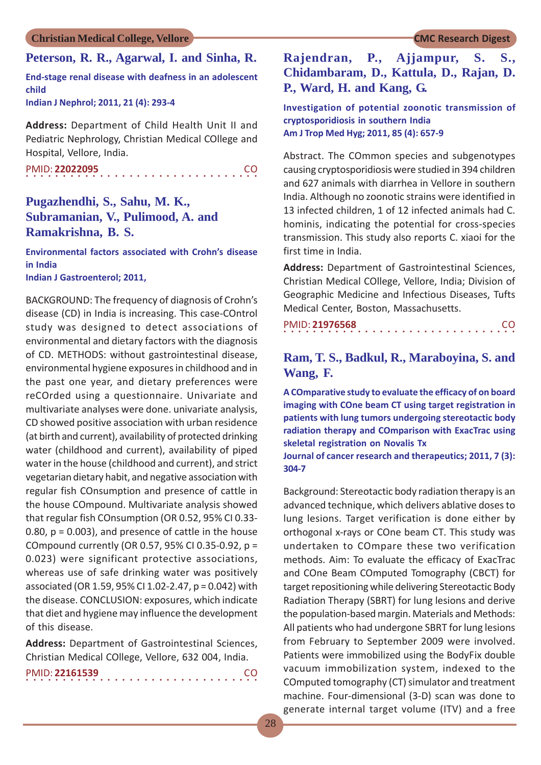### **Peterson, R. R., Agarwal, I. and Sinha, R.**

**End-stage renal disease with deafness in an adolescent child**

**Indian J Nephrol; 2011, 21 (4): 293-4**

**Address:** Department of Child Health Unit II and Pediatric Nephrology, Christian Medical COllege and Hospital, Vellore, India.

○○○○○○○○○○○○○○○○ ○○○○○○○○○○○○○○○○ PMID: **22022095** CO

## **Pugazhendhi, S., Sahu, M. K., Subramanian, V., Pulimood, A. and Ramakrishna, B. S.**

**Environmental factors associated with Crohn's disease in India Indian J Gastroenterol; 2011,**

BACKGROUND: The frequency of diagnosis of Crohn's disease (CD) in India is increasing. This case-COntrol study was designed to detect associations of environmental and dietary factors with the diagnosis of CD. METHODS: without gastrointestinal disease, environmental hygiene exposures in childhood and in the past one year, and dietary preferences were reCOrded using a questionnaire. Univariate and multivariate analyses were done. univariate analysis, CD showed positive association with urban residence (at birth and current), availability of protected drinking water (childhood and current), availability of piped water in the house (childhood and current), and strict vegetarian dietary habit, and negative association with regular fish COnsumption and presence of cattle in the house COmpound. Multivariate analysis showed that regular fish COnsumption (OR 0.52, 95% CI 0.33- 0.80,  $p = 0.003$ ), and presence of cattle in the house COmpound currently (OR 0.57, 95% CI 0.35-0.92, p = 0.023) were significant protective associations, whereas use of safe drinking water was positively associated (OR 1.59, 95% CI 1.02-2.47, p = 0.042) with the disease. CONCLUSION: exposures, which indicate that diet and hygiene may influence the development of this disease.

**Address:** Department of Gastrointestinal Sciences, Christian Medical COllege, Vellore, 632 004, India.

|  |  |  |  | PMID: 22161539 |  |  |  |  |  |  |  |  |  |  | <b>CO</b> |  |
|--|--|--|--|----------------|--|--|--|--|--|--|--|--|--|--|-----------|--|
|  |  |  |  |                |  |  |  |  |  |  |  |  |  |  |           |  |

## **Rajendran, P., Ajjampur, S. S., Chidambaram, D., Kattula, D., Rajan, D. P., Ward, H. and Kang, G.**

**Investigation of potential zoonotic transmission of cryptosporidiosis in southern India Am J Trop Med Hyg; 2011, 85 (4): 657-9**

Abstract. The COmmon species and subgenotypes causing cryptosporidiosis were studied in 394 children and 627 animals with diarrhea in Vellore in southern India. Although no zoonotic strains were identified in 13 infected children, 1 of 12 infected animals had C. hominis, indicating the potential for cross-species transmission. This study also reports C. xiaoi for the first time in India.

**Address:** Department of Gastrointestinal Sciences, Christian Medical COllege, Vellore, India; Division of Geographic Medicine and Infectious Diseases, Tufts Medical Center, Boston, Massachusetts.

|  |  | PMID: 21976568 |  |  |  |  |  |  |  |  |  |  |  |  | CO. |  |
|--|--|----------------|--|--|--|--|--|--|--|--|--|--|--|--|-----|--|
|  |  |                |  |  |  |  |  |  |  |  |  |  |  |  |     |  |

## **Ram, T. S., Badkul, R., Maraboyina, S. and Wang, F.**

**A COmparative study to evaluate the efficacy of on board imaging with COne beam CT using target registration in patients with lung tumors undergoing stereotactic body radiation therapy and COmparison with ExacTrac using skeletal registration on Novalis Tx**

**Journal of cancer research and therapeutics; 2011, 7 (3): 304-7**

Background: Stereotactic body radiation therapy is an advanced technique, which delivers ablative doses to lung lesions. Target verification is done either by orthogonal x-rays or COne beam CT. This study was undertaken to COmpare these two verification methods. Aim: To evaluate the efficacy of ExacTrac and COne Beam COmputed Tomography (CBCT) for target repositioning while delivering Stereotactic Body Radiation Therapy (SBRT) for lung lesions and derive the population-based margin. Materials and Methods: All patients who had undergone SBRT for lung lesions from February to September 2009 were involved. Patients were immobilized using the BodyFix double vacuum immobilization system, indexed to the COmputed tomography (CT) simulator and treatment machine. Four-dimensional (3-D) scan was done to generate internal target volume (ITV) and a free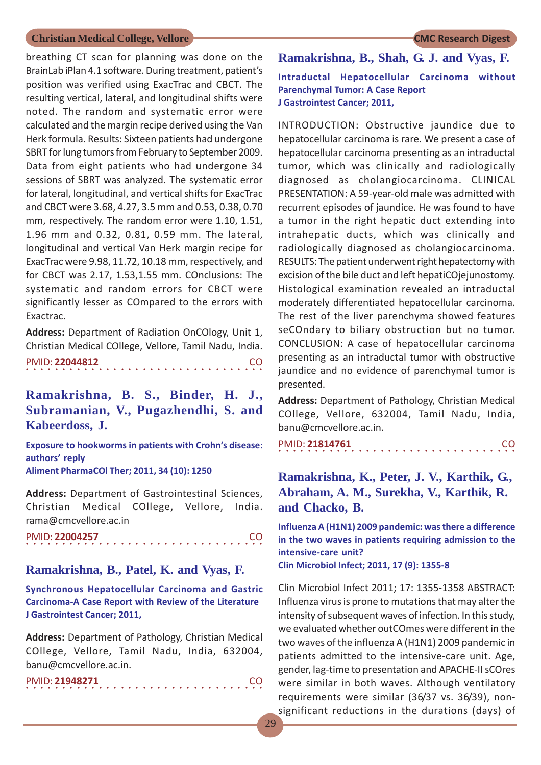breathing CT scan for planning was done on the BrainLab iPlan 4.1 software. During treatment, patient's position was verified using ExacTrac and CBCT. The resulting vertical, lateral, and longitudinal shifts were noted. The random and systematic error were calculated and the margin recipe derived using the Van Herk formula. Results: Sixteen patients had undergone SBRT for lung tumors from February to September 2009. Data from eight patients who had undergone 34 sessions of SBRT was analyzed. The systematic error for lateral, longitudinal, and vertical shifts for ExacTrac

and CBCT were 3.68, 4.27, 3.5 mm and 0.53, 0.38, 0.70 mm, respectively. The random error were 1.10, 1.51, 1.96 mm and 0.32, 0.81, 0.59 mm. The lateral, longitudinal and vertical Van Herk margin recipe for ExacTrac were 9.98, 11.72, 10.18 mm, respectively, and for CBCT was 2.17, 1.53,1.55 mm. COnclusions: The systematic and random errors for CBCT were significantly lesser as COmpared to the errors with Exactrac.

**Address:** Department of Radiation OnCOlogy, Unit 1, Christian Medical COllege, Vellore, Tamil Nadu, India.

○○○○○○○○○○○○○○○○○○○○○○○○○○○○ ○○○○○ PMID: **22044812** CO

**Ramakrishna, B. S., Binder, H. J., Subramanian, V., Pugazhendhi, S. and Kabeerdoss, J.**

**Exposure to hookworms in patients with Crohn's disease: authors' reply Aliment PharmaCOl Ther; 2011, 34 (10): 1250**

**Address:** Department of Gastrointestinal Sciences, Christian Medical COllege, Vellore, India. rama@cmcvellore.ac.in

○○○○○○○○○○○○○○○○○○○○○○○○○○○○ ○○○○○ PMID: **22004257** CO

#### **Ramakrishna, B., Patel, K. and Vyas, F.**

**Synchronous Hepatocellular Carcinoma and Gastric Carcinoma-A Case Report with Review of the Literature J Gastrointest Cancer; 2011,**

**Address:** Department of Pathology, Christian Medical COllege, Vellore, Tamil Nadu, India, 632004, banu@cmcvellore.ac.in.

|  |  |  |  | PMID: 21948271 |  |  |  |  |  |  |  |  |  |  |  |  |
|--|--|--|--|----------------|--|--|--|--|--|--|--|--|--|--|--|--|
|  |  |  |  |                |  |  |  |  |  |  |  |  |  |  |  |  |

## **Ramakrishna, B., Shah, G. J. and Vyas, F. Intraductal Hepatocellular Carcinoma without Parenchymal Tumor: A Case Report J Gastrointest Cancer; 2011,**

INTRODUCTION: Obstructive jaundice due to hepatocellular carcinoma is rare. We present a case of hepatocellular carcinoma presenting as an intraductal tumor, which was clinically and radiologically diagnosed as cholangiocarcinoma. CLINICAL PRESENTATION: A 59-year-old male was admitted with recurrent episodes of jaundice. He was found to have a tumor in the right hepatic duct extending into intrahepatic ducts, which was clinically and radiologically diagnosed as cholangiocarcinoma. RESULTS: The patient underwent right hepatectomy with excision of the bile duct and left hepatiCOjejunostomy. Histological examination revealed an intraductal moderately differentiated hepatocellular carcinoma. The rest of the liver parenchyma showed features seCOndary to biliary obstruction but no tumor. CONCLUSION: A case of hepatocellular carcinoma presenting as an intraductal tumor with obstructive jaundice and no evidence of parenchymal tumor is presented.

**Address:** Department of Pathology, Christian Medical COllege, Vellore, 632004, Tamil Nadu, India, banu@cmcvellore.ac.in.

○○○○○○○○○○○○○○○○○○○○○○○○○○○○○○○○○ PMID: **21814761** CO

## **Ramakrishna, K., Peter, J. V., Karthik, G., Abraham, A. M., Surekha, V., Karthik, R. and Chacko, B.**

**Influenza A (H1N1) 2009 pandemic: was there a difference in the two waves in patients requiring admission to the intensive-care unit? Clin Microbiol Infect; 2011, 17 (9): 1355-8**

Clin Microbiol Infect 2011; 17: 1355-1358 ABSTRACT: Influenza virus is prone to mutations that may alter the intensity of subsequent waves of infection. In this study, we evaluated whether outCOmes were different in the two waves of the influenza A (H1N1) 2009 pandemic in patients admitted to the intensive-care unit. Age, gender, lag-time to presentation and APACHE-II sCOres were similar in both waves. Although ventilatory requirements were similar (36/37 vs. 36/39), nonsignificant reductions in the durations (days) of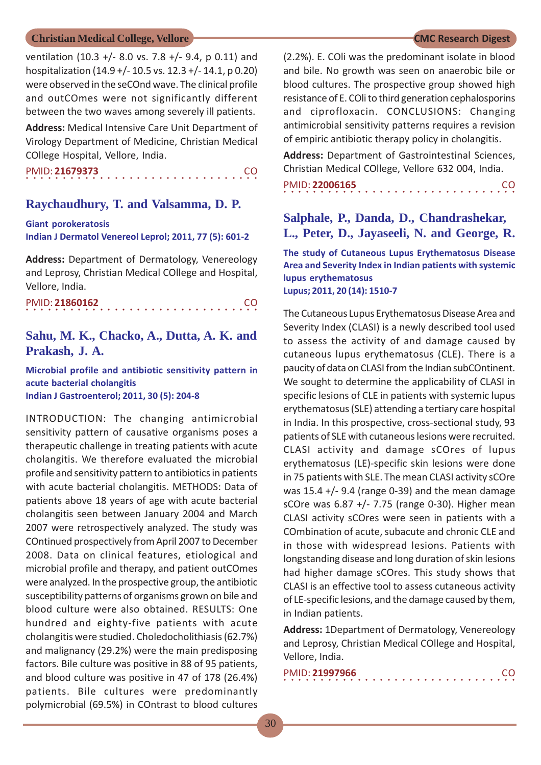ventilation (10.3 +/- 8.0 vs. 7.8 +/- 9.4, p 0.11) and hospitalization (14.9 +/- 10.5 vs. 12.3 +/- 14.1, p 0.20) were observed in the seCOnd wave. The clinical profile and outCOmes were not significantly different between the two waves among severely ill patients.

**Address:** Medical Intensive Care Unit Department of Virology Department of Medicine, Christian Medical COllege Hospital, Vellore, India.

○○○○○○○○○○○○○○○○ ○○○○○○○○○○○○○○○○ PMID: **21679373** CO

#### **Raychaudhury, T. and Valsamma, D. P.**

**Giant porokeratosis Indian J Dermatol Venereol Leprol; 2011, 77 (5): 601-2**

**Address:** Department of Dermatology, Venereology and Leprosy, Christian Medical COllege and Hospital, Vellore, India.

○○○○○○○○○○○○○○○○ ○○○○○○○○○○○○○○○○ PMID: **21860162** CO

## **Sahu, M. K., Chacko, A., Dutta, A. K. and Prakash, J. A.**

**Microbial profile and antibiotic sensitivity pattern in acute bacterial cholangitis Indian J Gastroenterol; 2011, 30 (5): 204-8**

INTRODUCTION: The changing antimicrobial sensitivity pattern of causative organisms poses a therapeutic challenge in treating patients with acute cholangitis. We therefore evaluated the microbial profile and sensitivity pattern to antibiotics in patients with acute bacterial cholangitis. METHODS: Data of patients above 18 years of age with acute bacterial cholangitis seen between January 2004 and March 2007 were retrospectively analyzed. The study was COntinued prospectively from April 2007 to December 2008. Data on clinical features, etiological and microbial profile and therapy, and patient outCOmes were analyzed. In the prospective group, the antibiotic susceptibility patterns of organisms grown on bile and blood culture were also obtained. RESULTS: One hundred and eighty-five patients with acute cholangitis were studied. Choledocholithiasis (62.7%) and malignancy (29.2%) were the main predisposing factors. Bile culture was positive in 88 of 95 patients, and blood culture was positive in 47 of 178 (26.4%) patients. Bile cultures were predominantly polymicrobial (69.5%) in COntrast to blood cultures

(2.2%). E. COli was the predominant isolate in blood and bile. No growth was seen on anaerobic bile or blood cultures. The prospective group showed high resistance of E. COli to third generation cephalosporins and ciprofloxacin. CONCLUSIONS: Changing antimicrobial sensitivity patterns requires a revision of empiric antibiotic therapy policy in cholangitis.

**Address:** Department of Gastrointestinal Sciences, Christian Medical COllege, Vellore 632 004, India.

○○○○○○○○○○○○○○○○ ○○○○○○○○○○○○○○○○ PMID: **22006165** CO

## **Salphale, P., Danda, D., Chandrashekar, L., Peter, D., Jayaseeli, N. and George, R.**

**The study of Cutaneous Lupus Erythematosus Disease Area and Severity Index in Indian patients with systemic lupus erythematosus Lupus; 2011, 20 (14): 1510-7**

The Cutaneous Lupus Erythematosus Disease Area and Severity Index (CLASI) is a newly described tool used to assess the activity of and damage caused by cutaneous lupus erythematosus (CLE). There is a paucity of data on CLASI from the Indian subCOntinent. We sought to determine the applicability of CLASI in specific lesions of CLE in patients with systemic lupus erythematosus (SLE) attending a tertiary care hospital in India. In this prospective, cross-sectional study, 93 patients of SLE with cutaneous lesions were recruited. CLASI activity and damage sCOres of lupus erythematosus (LE)-specific skin lesions were done in 75 patients with SLE. The mean CLASI activity sCOre was  $15.4 +$ /- 9.4 (range 0-39) and the mean damage sCOre was 6.87 +/- 7.75 (range 0-30). Higher mean CLASI activity sCOres were seen in patients with a COmbination of acute, subacute and chronic CLE and in those with widespread lesions. Patients with longstanding disease and long duration of skin lesions had higher damage sCOres. This study shows that CLASI is an effective tool to assess cutaneous activity of LE-specific lesions, and the damage caused by them, in Indian patients.

**Address:** 1Department of Dermatology, Venereology and Leprosy, Christian Medical COllege and Hospital, Vellore, India.

| PMID: 21997966 |  |  |  |  |  |  |  |  |  |  |  |  |  |  |  |
|----------------|--|--|--|--|--|--|--|--|--|--|--|--|--|--|--|
|                |  |  |  |  |  |  |  |  |  |  |  |  |  |  |  |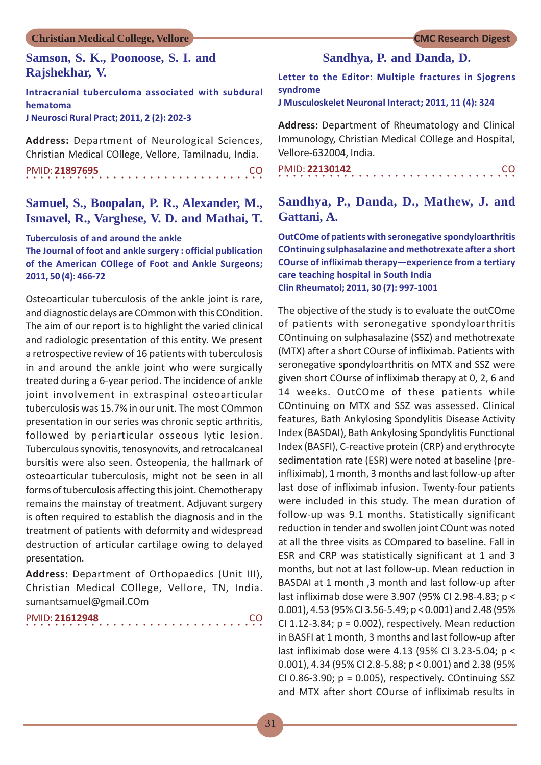### **Samson, S. K., Poonoose, S. I. and Rajshekhar, V.**

**Intracranial tuberculoma associated with subdural hematoma J Neurosci Rural Pract; 2011, 2 (2): 202-3**

**Address:** Department of Neurological Sciences, Christian Medical COllege, Vellore, Tamilnadu, India.

○○○○○○○○○○○○○○○○○○○○○○○○○○○○ ○○○○○ PMID: **21897695** CO

## **Samuel, S., Boopalan, P. R., Alexander, M., Ismavel, R., Varghese, V. D. and Mathai, T.**

#### **Tuberculosis of and around the ankle**

**The Journal of foot and ankle surgery : official publication of the American COllege of Foot and Ankle Surgeons; 2011, 50 (4): 466-72**

Osteoarticular tuberculosis of the ankle joint is rare, and diagnostic delays are COmmon with this COndition. The aim of our report is to highlight the varied clinical and radiologic presentation of this entity. We present a retrospective review of 16 patients with tuberculosis in and around the ankle joint who were surgically treated during a 6-year period. The incidence of ankle joint involvement in extraspinal osteoarticular tuberculosis was 15.7% in our unit. The most COmmon presentation in our series was chronic septic arthritis, followed by periarticular osseous lytic lesion. Tuberculous synovitis, tenosynovits, and retrocalcaneal bursitis were also seen. Osteopenia, the hallmark of osteoarticular tuberculosis, might not be seen in all forms of tuberculosis affecting this joint. Chemotherapy remains the mainstay of treatment. Adjuvant surgery is often required to establish the diagnosis and in the treatment of patients with deformity and widespread destruction of articular cartilage owing to delayed presentation.

**Address:** Department of Orthopaedics (Unit III), Christian Medical COllege, Vellore, TN, India. sumantsamuel@gmail.COm

| PMID: 21612948 |  |  |  |  |  |  |  |  |  |  |  |  |  |  |  |  |
|----------------|--|--|--|--|--|--|--|--|--|--|--|--|--|--|--|--|
|                |  |  |  |  |  |  |  |  |  |  |  |  |  |  |  |  |

## **Sandhya, P. and Danda, D.**

**Letter to the Editor: Multiple fractures in Sjogrens syndrome**

**J Musculoskelet Neuronal Interact; 2011, 11 (4): 324**

**Address:** Department of Rheumatology and Clinical Immunology, Christian Medical COllege and Hospital, Vellore-632004, India.

○○○○○○○○○○○○○○○○○○○○○○○○○○○○○○○○○ PMID: **22130142** CO

## **Sandhya, P., Danda, D., Mathew, J. and Gattani, A.**

**OutCOme of patients with seronegative spondyloarthritis COntinuing sulphasalazine and methotrexate after a short COurse of infliximab therapy—experience from a tertiary care teaching hospital in South India Clin Rheumatol; 2011, 30 (7): 997-1001**

The objective of the study is to evaluate the outCOme of patients with seronegative spondyloarthritis COntinuing on sulphasalazine (SSZ) and methotrexate (MTX) after a short COurse of infliximab. Patients with seronegative spondyloarthritis on MTX and SSZ were given short COurse of infliximab therapy at 0, 2, 6 and 14 weeks. OutCOme of these patients while COntinuing on MTX and SSZ was assessed. Clinical features, Bath Ankylosing Spondylitis Disease Activity Index (BASDAI), Bath Ankylosing Spondylitis Functional Index (BASFI), C-reactive protein (CRP) and erythrocyte sedimentation rate (ESR) were noted at baseline (preinfliximab), 1 month, 3 months and last follow-up after last dose of infliximab infusion. Twenty-four patients were included in this study. The mean duration of follow-up was 9.1 months. Statistically significant reduction in tender and swollen joint COunt was noted at all the three visits as COmpared to baseline. Fall in ESR and CRP was statistically significant at 1 and 3 months, but not at last follow-up. Mean reduction in BASDAI at 1 month ,3 month and last follow-up after last infliximab dose were 3.907 (95% CI 2.98-4.83; p < 0.001), 4.53 (95% CI 3.56-5.49; p < 0.001) and 2.48 (95% CI 1.12-3.84;  $p = 0.002$ ), respectively. Mean reduction in BASFI at 1 month, 3 months and last follow-up after last infliximab dose were 4.13 (95% CI 3.23-5.04; p < 0.001), 4.34 (95% CI 2.8-5.88; p < 0.001) and 2.38 (95% CI 0.86-3.90;  $p = 0.005$ ), respectively. COntinuing SSZ and MTX after short COurse of infliximab results in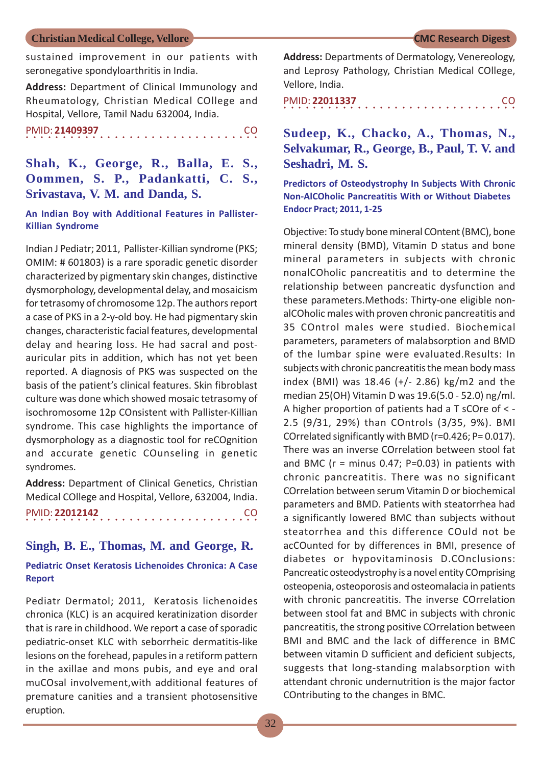sustained improvement in our patients with seronegative spondyloarthritis in India.

**Address:** Department of Clinical Immunology and Rheumatology, Christian Medical COllege and Hospital, Vellore, Tamil Nadu 632004, India.

○○○○○○○○○○○○○○○○ ○○○○○○○○○○○○○○○○ PMID: **21409397** CO

## **Shah, K., George, R., Balla, E. S., Oommen, S. P., Padankatti, C. S., Srivastava, V. M. and Danda, S.**

#### **An Indian Boy with Additional Features in Pallister-Killian Syndrome**

Indian J Pediatr; 2011, Pallister-Killian syndrome (PKS; OMIM: # 601803) is a rare sporadic genetic disorder characterized by pigmentary skin changes, distinctive dysmorphology, developmental delay, and mosaicism for tetrasomy of chromosome 12p. The authors report a case of PKS in a 2-y-old boy. He had pigmentary skin changes, characteristic facial features, developmental delay and hearing loss. He had sacral and postauricular pits in addition, which has not yet been reported. A diagnosis of PKS was suspected on the basis of the patient's clinical features. Skin fibroblast culture was done which showed mosaic tetrasomy of isochromosome 12p COnsistent with Pallister-Killian syndrome. This case highlights the importance of dysmorphology as a diagnostic tool for reCOgnition and accurate genetic COunseling in genetic syndromes.

**Address:** Department of Clinical Genetics, Christian Medical COllege and Hospital, Vellore, 632004, India. ○○○○○○○○○○○○○○○○ ○○○○○○○○○○○○○○○○ PMID: **22012142** CO

### **Singh, B. E., Thomas, M. and George, R.**

#### **Pediatric Onset Keratosis Lichenoides Chronica: A Case Report**

Pediatr Dermatol; 2011, Keratosis lichenoides chronica (KLC) is an acquired keratinization disorder that is rare in childhood. We report a case of sporadic pediatric-onset KLC with seborrheic dermatitis-like lesions on the forehead, papules in a retiform pattern in the axillae and mons pubis, and eye and oral muCOsal involvement,with additional features of premature canities and a transient photosensitive eruption.

**Address:** Departments of Dermatology, Venereology, and Leprosy Pathology, Christian Medical COllege, Vellore, India.

○○○○○○○○○○○○○○○○ ○○○○○○○○○○○○○○○○ PMID: **22011337** CO

## **Sudeep, K., Chacko, A., Thomas, N., Selvakumar, R., George, B., Paul, T. V. and Seshadri, M. S.**

#### **Predictors of Osteodystrophy In Subjects With Chronic Non-AlCOholic Pancreatitis With or Without Diabetes Endocr Pract; 2011, 1-25**

Objective: To study bone mineral COntent (BMC), bone mineral density (BMD), Vitamin D status and bone mineral parameters in subjects with chronic nonalCOholic pancreatitis and to determine the relationship between pancreatic dysfunction and these parameters.Methods: Thirty-one eligible nonalCOholic males with proven chronic pancreatitis and 35 COntrol males were studied. Biochemical parameters, parameters of malabsorption and BMD of the lumbar spine were evaluated.Results: In subjects with chronic pancreatitis the mean body mass index (BMI) was 18.46 (+/- 2.86) kg/m2 and the median 25(OH) Vitamin D was 19.6(5.0 - 52.0) ng/ml. A higher proportion of patients had a T sCOre of < - 2.5 (9/31, 29%) than COntrols (3/35, 9%). BMI COrrelated significantly with BMD (r=0.426; P= 0.017). There was an inverse COrrelation between stool fat and BMC ( $r =$  minus 0.47; P=0.03) in patients with chronic pancreatitis. There was no significant COrrelation between serum Vitamin D or biochemical parameters and BMD. Patients with steatorrhea had a significantly lowered BMC than subjects without steatorrhea and this difference COuld not be acCOunted for by differences in BMI, presence of diabetes or hypovitaminosis D.COnclusions: Pancreatic osteodystrophy is a novel entity COmprising osteopenia, osteoporosis and osteomalacia in patients with chronic pancreatitis. The inverse COrrelation between stool fat and BMC in subjects with chronic pancreatitis, the strong positive COrrelation between BMI and BMC and the lack of difference in BMC between vitamin D sufficient and deficient subjects, suggests that long-standing malabsorption with attendant chronic undernutrition is the major factor COntributing to the changes in BMC.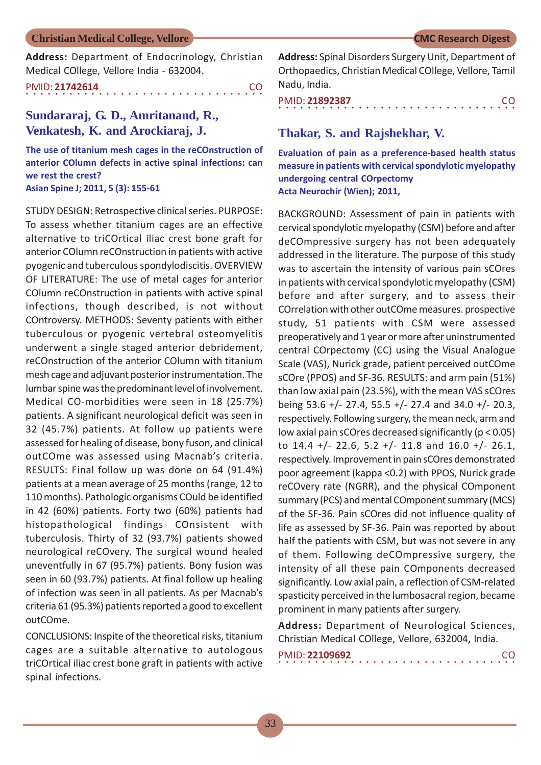**Address:** Department of Endocrinology, Christian Medical COllege, Vellore India - 632004.

○○○○○○○○○○○○○○○○○○○○○○○○○○○○ ○○○○○ PMID: **21742614** CO

## **Sundararaj, G. D., Amritanand, R., Venkatesh, K. and Arockiaraj, J.**

**The use of titanium mesh cages in the reCOnstruction of anterior COlumn defects in active spinal infections: can we rest the crest? Asian Spine J; 2011, 5 (3): 155-61**

STUDY DESIGN: Retrospective clinical series. PURPOSE: To assess whether titanium cages are an effective alternative to triCOrtical iliac crest bone graft for anterior COlumn reCOnstruction in patients with active pyogenic and tuberculous spondylodiscitis. OVERVIEW OF LITERATURE: The use of metal cages for anterior COlumn reCOnstruction in patients with active spinal infections, though described, is not without COntroversy. METHODS: Seventy patients with either tuberculous or pyogenic vertebral osteomyelitis underwent a single staged anterior debridement, reCOnstruction of the anterior COlumn with titanium mesh cage and adjuvant posterior instrumentation. The lumbar spine was the predominant level of involvement. Medical CO-morbidities were seen in 18 (25.7%) patients. A significant neurological deficit was seen in 32 (45.7%) patients. At follow up patients were assessed for healing of disease, bony fuson, and clinical outCOme was assessed using Macnab's criteria. RESULTS: Final follow up was done on 64 (91.4%) patients at a mean average of 25 months (range, 12 to 110 months). Pathologic organisms COuld be identified in 42 (60%) patients. Forty two (60%) patients had histopathological findings COnsistent with tuberculosis. Thirty of 32 (93.7%) patients showed neurological reCOvery. The surgical wound healed uneventfully in 67 (95.7%) patients. Bony fusion was seen in 60 (93.7%) patients. At final follow up healing of infection was seen in all patients. As per Macnab's criteria 61 (95.3%) patients reported a good to excellent outCOme.

CONCLUSIONS: Inspite of the theoretical risks, titanium cages are a suitable alternative to autologous triCOrtical iliac crest bone graft in patients with active spinal infections.

**Address:** Spinal Disorders Surgery Unit, Department of Orthopaedics, Christian Medical COllege, Vellore, Tamil Nadu, India.

|  |  |  |  | PMID: 21892387 |  |  |  |  |  |  |  |  |  |  |  | CO. |
|--|--|--|--|----------------|--|--|--|--|--|--|--|--|--|--|--|-----|
|  |  |  |  |                |  |  |  |  |  |  |  |  |  |  |  |     |

#### **Thakar, S. and Rajshekhar, V.**

**Evaluation of pain as a preference-based health status measure in patients with cervical spondylotic myelopathy undergoing central COrpectomy Acta Neurochir (Wien); 2011,**

BACKGROUND: Assessment of pain in patients with cervical spondylotic myelopathy (CSM) before and after deCOmpressive surgery has not been adequately addressed in the literature. The purpose of this study was to ascertain the intensity of various pain sCOres in patients with cervical spondylotic myelopathy (CSM) before and after surgery, and to assess their COrrelation with other outCOme measures. prospective study, 51 patients with CSM were assessed preoperatively and 1 year or more after uninstrumented central COrpectomy (CC) using the Visual Analogue Scale (VAS), Nurick grade, patient perceived outCOme sCOre (PPOS) and SF-36. RESULTS: and arm pain (51%) than low axial pain (23.5%), with the mean VAS sCOres being 53.6 +/- 27.4, 55.5 +/- 27.4 and 34.0 +/- 20.3, respectively. Following surgery, the mean neck, arm and low axial pain sCOres decreased significantly (p < 0.05) to  $14.4 + (-22.6, 5.2 + (-11.8, 0.0 + (-26.1, 0.0 + (-11.8, 0.0 + (-11.8, 0.0 + (-11.8, 0.0 + (-11.8, 0.0 + (-11.8, 0.0 + (-11.8, 0.0 + (-11.8, 0.0 + (-11.8, 0.0 + (-11.8, 0.0 + (-11.8, 0.0 + (-11.8, 0.0 + (-11.8, 0.0 + (-11.8, 0.0 + (-11.8, 0.0 + (-11.8, 0.0 + (-11.8, 0.0 + (-11$ respectively. Improvement in pain sCOres demonstrated poor agreement (kappa <0.2) with PPOS, Nurick grade reCOvery rate (NGRR), and the physical COmponent summary (PCS) and mental COmponent summary (MCS) of the SF-36. Pain sCOres did not influence quality of life as assessed by SF-36. Pain was reported by about half the patients with CSM, but was not severe in any of them. Following deCOmpressive surgery, the intensity of all these pain COmponents decreased significantly. Low axial pain, a reflection of CSM-related spasticity perceived in the lumbosacral region, became prominent in many patients after surgery.

**Address:** Department of Neurological Sciences, Christian Medical COllege, Vellore, 632004, India.

| PMID: 22109692 |  |  |  |  |  |  |  |  |  |  |  |  |  |  | CO. |  |
|----------------|--|--|--|--|--|--|--|--|--|--|--|--|--|--|-----|--|
|                |  |  |  |  |  |  |  |  |  |  |  |  |  |  |     |  |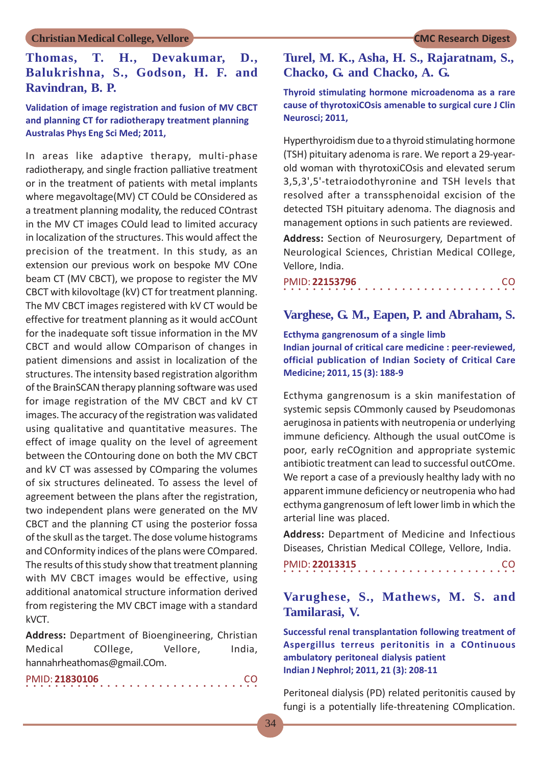## **Thomas, T. H., Devakumar, D., Balukrishna, S., Godson, H. F. and Ravindran, B. P.**

#### **Validation of image registration and fusion of MV CBCT and planning CT for radiotherapy treatment planning Australas Phys Eng Sci Med; 2011,**

In areas like adaptive therapy, multi-phase radiotherapy, and single fraction palliative treatment or in the treatment of patients with metal implants where megavoltage(MV) CT COuld be COnsidered as a treatment planning modality, the reduced COntrast in the MV CT images COuld lead to limited accuracy in localization of the structures. This would affect the precision of the treatment. In this study, as an extension our previous work on bespoke MV COne beam CT (MV CBCT), we propose to register the MV CBCT with kilovoltage (kV) CT for treatment planning. The MV CBCT images registered with kV CT would be effective for treatment planning as it would acCOunt for the inadequate soft tissue information in the MV CBCT and would allow COmparison of changes in patient dimensions and assist in localization of the structures. The intensity based registration algorithm of the BrainSCAN therapy planning software was used for image registration of the MV CBCT and kV CT images. The accuracy of the registration was validated using qualitative and quantitative measures. The effect of image quality on the level of agreement between the COntouring done on both the MV CBCT and kV CT was assessed by COmparing the volumes of six structures delineated. To assess the level of agreement between the plans after the registration, two independent plans were generated on the MV CBCT and the planning CT using the posterior fossa of the skull as the target. The dose volume histograms and COnformity indices of the plans were COmpared. The results of this study show that treatment planning with MV CBCT images would be effective, using additional anatomical structure information derived from registering the MV CBCT image with a standard kVCT.

**Address:** Department of Bioengineering, Christian Medical COllege, Vellore, India, hannahrheathomas@gmail.COm.

|  |  |  |  | PMID: 21830106 |  |  |  |  |  |  |  |  |  |  | CO. |  |
|--|--|--|--|----------------|--|--|--|--|--|--|--|--|--|--|-----|--|
|  |  |  |  |                |  |  |  |  |  |  |  |  |  |  |     |  |

## **Turel, M. K., Asha, H. S., Rajaratnam, S., Chacko, G. and Chacko, A. G.**

**Thyroid stimulating hormone microadenoma as a rare cause of thyrotoxiCOsis amenable to surgical cure J Clin Neurosci; 2011,**

Hyperthyroidism due to a thyroid stimulating hormone (TSH) pituitary adenoma is rare. We report a 29-yearold woman with thyrotoxiCOsis and elevated serum 3,5,3',5'-tetraiodothyronine and TSH levels that resolved after a transsphenoidal excision of the detected TSH pituitary adenoma. The diagnosis and management options in such patients are reviewed.

**Address:** Section of Neurosurgery, Department of Neurological Sciences, Christian Medical COllege, Vellore, India.

| PMID: 22153796 |  |  |  |  |  |  |  |  |  |  |  |  |  |  | <sub>CO</sub> |  |
|----------------|--|--|--|--|--|--|--|--|--|--|--|--|--|--|---------------|--|
|                |  |  |  |  |  |  |  |  |  |  |  |  |  |  |               |  |

### **Varghese, G. M., Eapen, P. and Abraham, S.**

**Ecthyma gangrenosum of a single limb**

**Indian journal of critical care medicine : peer-reviewed, official publication of Indian Society of Critical Care Medicine; 2011, 15 (3): 188-9**

Ecthyma gangrenosum is a skin manifestation of systemic sepsis COmmonly caused by Pseudomonas aeruginosa in patients with neutropenia or underlying immune deficiency. Although the usual outCOme is poor, early reCOgnition and appropriate systemic antibiotic treatment can lead to successful outCOme. We report a case of a previously healthy lady with no apparent immune deficiency or neutropenia who had ecthyma gangrenosum of left lower limb in which the arterial line was placed.

**Address:** Department of Medicine and Infectious Diseases, Christian Medical COllege, Vellore, India.

| PMID: 22013315 |  |  |  |  |  |  |  |  |  |  |  |  |  |  | CO. |  |
|----------------|--|--|--|--|--|--|--|--|--|--|--|--|--|--|-----|--|
|                |  |  |  |  |  |  |  |  |  |  |  |  |  |  |     |  |

## **Varughese, S., Mathews, M. S. and Tamilarasi, V.**

**Successful renal transplantation following treatment of Aspergillus terreus peritonitis in a COntinuous ambulatory peritoneal dialysis patient Indian J Nephrol; 2011, 21 (3): 208-11**

Peritoneal dialysis (PD) related peritonitis caused by fungi is a potentially life-threatening COmplication.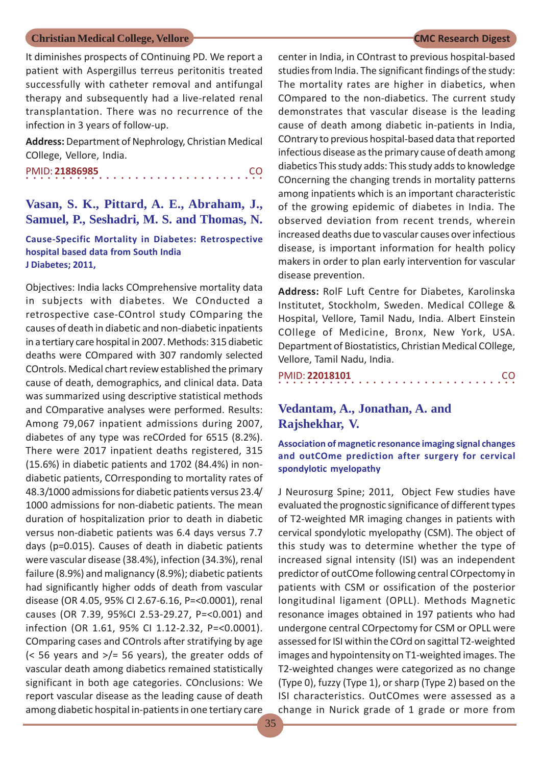It diminishes prospects of COntinuing PD. We report a patient with Aspergillus terreus peritonitis treated successfully with catheter removal and antifungal therapy and subsequently had a live-related renal transplantation. There was no recurrence of the infection in 3 years of follow-up.

**Address:** Department of Nephrology, Christian Medical COllege, Vellore, India.

○○○○○○○○○○○○○○○○○○○○○○○○○○○○ ○○○○○ PMID: **21886985** CO

## **Vasan, S. K., Pittard, A. E., Abraham, J., Samuel, P., Seshadri, M. S. and Thomas, N.**

#### **Cause-Specific Mortality in Diabetes: Retrospective hospital based data from South India J Diabetes; 2011,**

Objectives: India lacks COmprehensive mortality data in subjects with diabetes. We COnducted a retrospective case-COntrol study COmparing the causes of death in diabetic and non-diabetic inpatients in a tertiary care hospital in 2007. Methods: 315 diabetic deaths were COmpared with 307 randomly selected COntrols. Medical chart review established the primary cause of death, demographics, and clinical data. Data was summarized using descriptive statistical methods and COmparative analyses were performed. Results: Among 79,067 inpatient admissions during 2007, diabetes of any type was reCOrded for 6515 (8.2%). There were 2017 inpatient deaths registered, 315 (15.6%) in diabetic patients and 1702 (84.4%) in nondiabetic patients, COrresponding to mortality rates of 48.3/1000 admissions for diabetic patients versus 23.4/ 1000 admissions for non-diabetic patients. The mean duration of hospitalization prior to death in diabetic versus non-diabetic patients was 6.4 days versus 7.7 days (p=0.015). Causes of death in diabetic patients were vascular disease (38.4%), infection (34.3%), renal failure (8.9%) and malignancy (8.9%); diabetic patients had significantly higher odds of death from vascular disease (OR 4.05, 95% CI 2.67-6.16, P=<0.0001), renal causes (OR 7.39, 95%CI 2.53-29.27, P=<0.001) and infection (OR 1.61, 95% CI 1.12-2.32, P=<0.0001). COmparing cases and COntrols after stratifying by age  $\approx$  56 years and  $\frac{>}{=}$  56 years), the greater odds of vascular death among diabetics remained statistically significant in both age categories. COnclusions: We report vascular disease as the leading cause of death among diabetic hospital in-patients in one tertiary care

35

center in India, in COntrast to previous hospital-based studies from India. The significant findings of the study: The mortality rates are higher in diabetics, when COmpared to the non-diabetics. The current study demonstrates that vascular disease is the leading cause of death among diabetic in-patients in India, COntrary to previous hospital-based data that reported infectious disease as the primary cause of death among diabetics This study adds: This study adds to knowledge COncerning the changing trends in mortality patterns among inpatients which is an important characteristic of the growing epidemic of diabetes in India. The observed deviation from recent trends, wherein increased deaths due to vascular causes over infectious disease, is important information for health policy makers in order to plan early intervention for vascular disease prevention.

**Address:** RolF Luft Centre for Diabetes, Karolinska Institutet, Stockholm, Sweden. Medical COllege & Hospital, Vellore, Tamil Nadu, India. Albert Einstein COllege of Medicine, Bronx, New York, USA. Department of Biostatistics, Christian Medical COllege, Vellore, Tamil Nadu, India.

| PMID: 22018101 |  |  |  |  |  |  |  |  |  |  |  |  |  |  | -CO |  |
|----------------|--|--|--|--|--|--|--|--|--|--|--|--|--|--|-----|--|
|                |  |  |  |  |  |  |  |  |  |  |  |  |  |  |     |  |

## **Vedantam, A., Jonathan, A. and Rajshekhar, V.**

**Association of magnetic resonance imaging signal changes and outCOme prediction after surgery for cervical spondylotic myelopathy**

J Neurosurg Spine; 2011, Object Few studies have evaluated the prognostic significance of different types of T2-weighted MR imaging changes in patients with cervical spondylotic myelopathy (CSM). The object of this study was to determine whether the type of increased signal intensity (ISI) was an independent predictor of outCOme following central COrpectomy in patients with CSM or ossification of the posterior longitudinal ligament (OPLL). Methods Magnetic resonance images obtained in 197 patients who had undergone central COrpectomy for CSM or OPLL were assessed for ISI within the COrd on sagittal T2-weighted images and hypointensity on T1-weighted images. The T2-weighted changes were categorized as no change (Type 0), fuzzy (Type 1), or sharp (Type 2) based on the ISI characteristics. OutCOmes were assessed as a change in Nurick grade of 1 grade or more from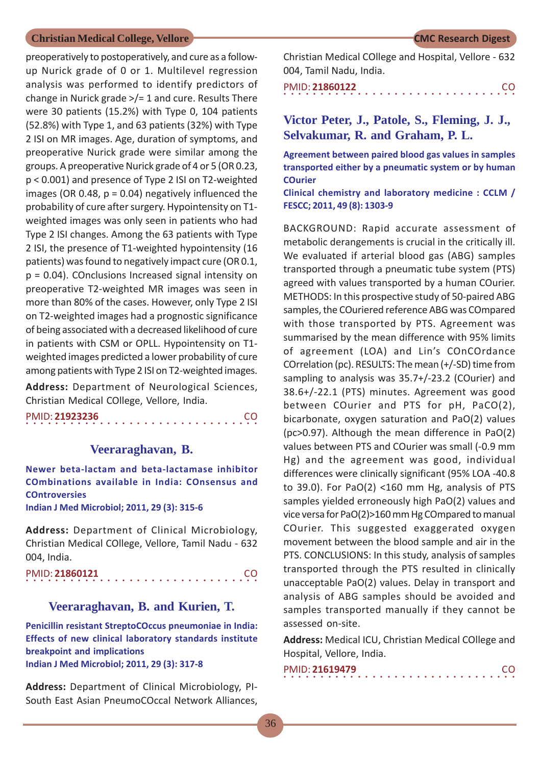preoperatively to postoperatively, and cure as a followup Nurick grade of 0 or 1. Multilevel regression analysis was performed to identify predictors of change in Nurick grade >/= 1 and cure. Results There were 30 patients (15.2%) with Type 0, 104 patients (52.8%) with Type 1, and 63 patients (32%) with Type 2 ISI on MR images. Age, duration of symptoms, and preoperative Nurick grade were similar among the groups. A preoperative Nurick grade of 4 or 5 (OR 0.23, p < 0.001) and presence of Type 2 ISI on T2-weighted images (OR 0.48,  $p = 0.04$ ) negatively influenced the probability of cure after surgery. Hypointensity on T1 weighted images was only seen in patients who had Type 2 ISI changes. Among the 63 patients with Type 2 ISI, the presence of T1-weighted hypointensity (16 patients) was found to negatively impact cure (OR 0.1, p = 0.04). COnclusions Increased signal intensity on preoperative T2-weighted MR images was seen in more than 80% of the cases. However, only Type 2 ISI on T2-weighted images had a prognostic significance of being associated with a decreased likelihood of cure in patients with CSM or OPLL. Hypointensity on T1 weighted images predicted a lower probability of cure among patients with Type 2 ISI on T2-weighted images.

**Address:** Department of Neurological Sciences, Christian Medical COllege, Vellore, India.

| PMID: 21923236 |  |  |  |  |  |  |  |  |  |  |  |  |  |  | CO. |
|----------------|--|--|--|--|--|--|--|--|--|--|--|--|--|--|-----|
|                |  |  |  |  |  |  |  |  |  |  |  |  |  |  |     |

#### **Veeraraghavan, B.**

**Newer beta-lactam and beta-lactamase inhibitor COmbinations available in India: COnsensus and COntroversies**

**Indian J Med Microbiol; 2011, 29 (3): 315-6**

**Address:** Department of Clinical Microbiology, Christian Medical COllege, Vellore, Tamil Nadu - 632 004, India.

○○○○○○○○○○○○○○○○ ○○○○○○○○○○○○○○○○ PMID: **21860121** CO

#### **Veeraraghavan, B. and Kurien, T.**

**Penicillin resistant StreptoCOccus pneumoniae in India: Effects of new clinical laboratory standards institute breakpoint and implications Indian J Med Microbiol; 2011, 29 (3): 317-8**

**Address:** Department of Clinical Microbiology, PI-South East Asian PneumoCOccal Network Alliances, Christian Medical COllege and Hospital, Vellore - 632 004, Tamil Nadu, India.

|  | PMID: 21860122 |  |  |  |  |  |  |  |  |  |  |  |  |  |  |
|--|----------------|--|--|--|--|--|--|--|--|--|--|--|--|--|--|
|  |                |  |  |  |  |  |  |  |  |  |  |  |  |  |  |

## **Victor Peter, J., Patole, S., Fleming, J. J., Selvakumar, R. and Graham, P. L.**

**Agreement between paired blood gas values in samples transported either by a pneumatic system or by human COurier**

**Clinical chemistry and laboratory medicine : CCLM / FESCC; 2011, 49 (8): 1303-9**

BACKGROUND: Rapid accurate assessment of metabolic derangements is crucial in the critically ill. We evaluated if arterial blood gas (ABG) samples transported through a pneumatic tube system (PTS) agreed with values transported by a human COurier. METHODS: In this prospective study of 50-paired ABG samples, the COuriered reference ABG was COmpared with those transported by PTS. Agreement was summarised by the mean difference with 95% limits of agreement (LOA) and Lin's COnCOrdance COrrelation (pc). RESULTS: The mean (+/-SD) time from sampling to analysis was 35.7+/-23.2 (COurier) and 38.6+/-22.1 (PTS) minutes. Agreement was good between COurier and PTS for pH, PaCO(2), bicarbonate, oxygen saturation and PaO(2) values (pc>0.97). Although the mean difference in PaO(2) values between PTS and COurier was small (-0.9 mm Hg) and the agreement was good, individual differences were clinically significant (95% LOA -40.8 to 39.0). For PaO(2) <160 mm Hg, analysis of PTS samples yielded erroneously high PaO(2) values and vice versa for PaO(2)>160 mm Hg COmpared to manual COurier. This suggested exaggerated oxygen movement between the blood sample and air in the PTS. CONCLUSIONS: In this study, analysis of samples transported through the PTS resulted in clinically unacceptable PaO(2) values. Delay in transport and analysis of ABG samples should be avoided and samples transported manually if they cannot be assessed on-site.

**Address:** Medical ICU, Christian Medical COllege and Hospital, Vellore, India.

| PMID: 21619479 |  |  |  |  |  |  |  |  |  |  |  |  |  |  | CO. |  |
|----------------|--|--|--|--|--|--|--|--|--|--|--|--|--|--|-----|--|
|                |  |  |  |  |  |  |  |  |  |  |  |  |  |  |     |  |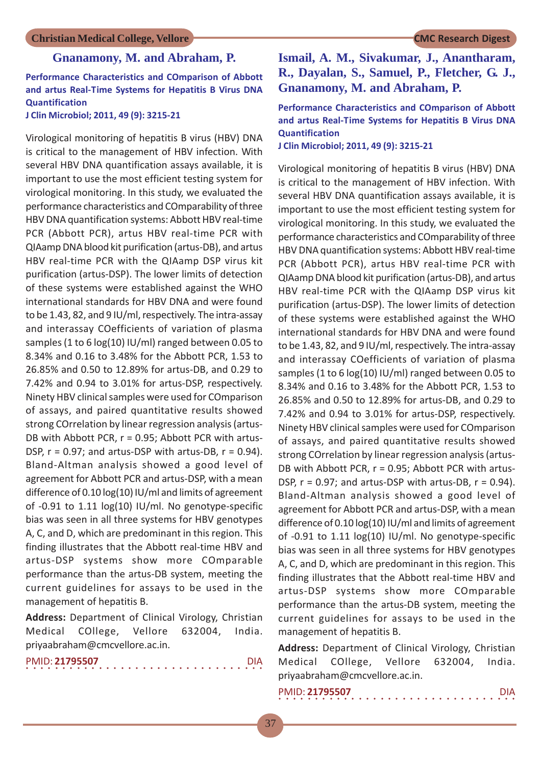#### **Gnanamony, M. and Abraham, P.**

### **Performance Characteristics and COmparison of Abbott and artus Real-Time Systems for Hepatitis B Virus DNA Quantification**

**J Clin Microbiol; 2011, 49 (9): 3215-21**

Virological monitoring of hepatitis B virus (HBV) DNA is critical to the management of HBV infection. With several HBV DNA quantification assays available, it is important to use the most efficient testing system for virological monitoring. In this study, we evaluated the performance characteristics and COmparability of three HBV DNA quantification systems: Abbott HBV real-time PCR (Abbott PCR), artus HBV real-time PCR with QIAamp DNA blood kit purification (artus-DB), and artus HBV real-time PCR with the QIAamp DSP virus kit purification (artus-DSP). The lower limits of detection of these systems were established against the WHO international standards for HBV DNA and were found to be 1.43, 82, and 9 IU/ml, respectively. The intra-assay and interassay COefficients of variation of plasma samples (1 to 6 log(10) IU/ml) ranged between 0.05 to 8.34% and 0.16 to 3.48% for the Abbott PCR, 1.53 to 26.85% and 0.50 to 12.89% for artus-DB, and 0.29 to 7.42% and 0.94 to 3.01% for artus-DSP, respectively. Ninety HBV clinical samples were used for COmparison of assays, and paired quantitative results showed strong COrrelation by linear regression analysis (artus-DB with Abbott PCR, r = 0.95; Abbott PCR with artus-DSP,  $r = 0.97$ ; and artus-DSP with artus-DB,  $r = 0.94$ ). Bland-Altman analysis showed a good level of agreement for Abbott PCR and artus-DSP, with a mean difference of 0.10 log(10) IU/ml and limits of agreement of -0.91 to 1.11 log(10) IU/ml. No genotype-specific bias was seen in all three systems for HBV genotypes A, C, and D, which are predominant in this region. This finding illustrates that the Abbott real-time HBV and artus-DSP systems show more COmparable performance than the artus-DB system, meeting the current guidelines for assays to be used in the management of hepatitis B.

**Address:** Department of Clinical Virology, Christian Medical COllege, Vellore 632004, India. priyaabraham@cmcvellore.ac.in.

|  |  |  |  | PMID: 21795507 |  |  |  |  |  |  |  |  |  |  |  |  |
|--|--|--|--|----------------|--|--|--|--|--|--|--|--|--|--|--|--|
|  |  |  |  |                |  |  |  |  |  |  |  |  |  |  |  |  |

## **Ismail, A. M., Sivakumar, J., Anantharam, R., Dayalan, S., Samuel, P., Fletcher, G. J., Gnanamony, M. and Abraham, P.**

**Performance Characteristics and COmparison of Abbott and artus Real-Time Systems for Hepatitis B Virus DNA Quantification**

**J Clin Microbiol; 2011, 49 (9): 3215-21**

Virological monitoring of hepatitis B virus (HBV) DNA is critical to the management of HBV infection. With several HBV DNA quantification assays available, it is important to use the most efficient testing system for virological monitoring. In this study, we evaluated the performance characteristics and COmparability of three HBV DNA quantification systems: Abbott HBV real-time PCR (Abbott PCR), artus HBV real-time PCR with QIAamp DNA blood kit purification (artus-DB), and artus HBV real-time PCR with the QIAamp DSP virus kit purification (artus-DSP). The lower limits of detection of these systems were established against the WHO international standards for HBV DNA and were found to be 1.43, 82, and 9 IU/ml, respectively. The intra-assay and interassay COefficients of variation of plasma samples (1 to 6 log(10) IU/ml) ranged between 0.05 to 8.34% and 0.16 to 3.48% for the Abbott PCR, 1.53 to 26.85% and 0.50 to 12.89% for artus-DB, and 0.29 to 7.42% and 0.94 to 3.01% for artus-DSP, respectively. Ninety HBV clinical samples were used for COmparison of assays, and paired quantitative results showed strong COrrelation by linear regression analysis (artus-DB with Abbott PCR, r = 0.95; Abbott PCR with artus-DSP,  $r = 0.97$ ; and artus-DSP with artus-DB,  $r = 0.94$ ). Bland-Altman analysis showed a good level of agreement for Abbott PCR and artus-DSP, with a mean difference of 0.10 log(10) IU/ml and limits of agreement of -0.91 to 1.11 log(10) IU/ml. No genotype-specific bias was seen in all three systems for HBV genotypes A, C, and D, which are predominant in this region. This finding illustrates that the Abbott real-time HBV and artus-DSP systems show more COmparable performance than the artus-DB system, meeting the current guidelines for assays to be used in the management of hepatitis B.

**Address:** Department of Clinical Virology, Christian Medical COllege, Vellore 632004, India. priyaabraham@cmcvellore.ac.in.

|  |  |  |  | PMID: 21795507 |  |  |  |  |  |  |  |  |  |  | <b>DIA</b> |  |
|--|--|--|--|----------------|--|--|--|--|--|--|--|--|--|--|------------|--|
|  |  |  |  |                |  |  |  |  |  |  |  |  |  |  |            |  |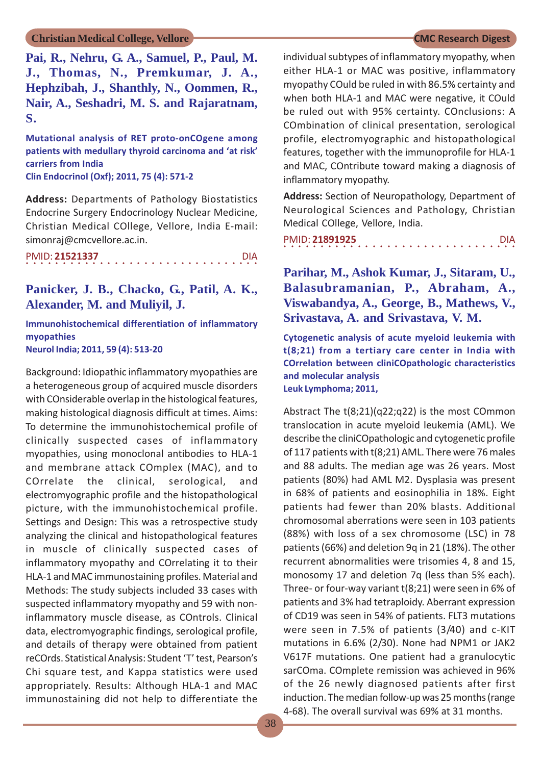**Pai, R., Nehru, G. A., Samuel, P., Paul, M. J., Thomas, N., Premkumar, J. A., Hephzibah, J., Shanthly, N., Oommen, R., Nair, A., Seshadri, M. S. and Rajaratnam, S.**

**Mutational analysis of RET proto-onCOgene among patients with medullary thyroid carcinoma and 'at risk' carriers from India Clin Endocrinol (Oxf); 2011, 75 (4): 571-2**

**Address:** Departments of Pathology Biostatistics Endocrine Surgery Endocrinology Nuclear Medicine, Christian Medical COllege, Vellore, India E-mail: simonraj@cmcvellore.ac.in.

|  |  |  |  | PMID: 21521337 |  |  |  |  |  |  |  |  |  |  | <b>DIA</b> |  |
|--|--|--|--|----------------|--|--|--|--|--|--|--|--|--|--|------------|--|
|  |  |  |  |                |  |  |  |  |  |  |  |  |  |  |            |  |

**Panicker, J. B., Chacko, G., Patil, A. K., Alexander, M. and Muliyil, J.**

**Immunohistochemical differentiation of inflammatory myopathies**

**Neurol India; 2011, 59 (4): 513-20**

Background: Idiopathic inflammatory myopathies are a heterogeneous group of acquired muscle disorders with COnsiderable overlap in the histological features, making histological diagnosis difficult at times. Aims: To determine the immunohistochemical profile of clinically suspected cases of inflammatory myopathies, using monoclonal antibodies to HLA-1 and membrane attack COmplex (MAC), and to COrrelate the clinical, serological, and electromyographic profile and the histopathological picture, with the immunohistochemical profile. Settings and Design: This was a retrospective study analyzing the clinical and histopathological features in muscle of clinically suspected cases of inflammatory myopathy and COrrelating it to their HLA-1 and MAC immunostaining profiles. Material and Methods: The study subjects included 33 cases with suspected inflammatory myopathy and 59 with noninflammatory muscle disease, as COntrols. Clinical data, electromyographic findings, serological profile, and details of therapy were obtained from patient reCOrds. Statistical Analysis: Student 'T' test, Pearson's Chi square test, and Kappa statistics were used appropriately. Results: Although HLA-1 and MAC immunostaining did not help to differentiate the individual subtypes of inflammatory myopathy, when either HLA-1 or MAC was positive, inflammatory myopathy COuld be ruled in with 86.5% certainty and when both HLA-1 and MAC were negative, it COuld be ruled out with 95% certainty. COnclusions: A COmbination of clinical presentation, serological profile, electromyographic and histopathological features, together with the immunoprofile for HLA-1 and MAC, COntribute toward making a diagnosis of inflammatory myopathy.

**Address:** Section of Neuropathology, Department of Neurological Sciences and Pathology, Christian Medical COllege, Vellore, India.

| PMID: 21891925 |  |  |  |  |  |  |  |  |  |  |  |  |  |  | <b>DIA</b> |  |
|----------------|--|--|--|--|--|--|--|--|--|--|--|--|--|--|------------|--|
|                |  |  |  |  |  |  |  |  |  |  |  |  |  |  |            |  |

**Parihar, M., Ashok Kumar, J., Sitaram, U., Balasubramanian, P., Abraham, A., Viswabandya, A., George, B., Mathews, V., Srivastava, A. and Srivastava, V. M.**

**Cytogenetic analysis of acute myeloid leukemia with t(8;21) from a tertiary care center in India with COrrelation between cliniCOpathologic characteristics and molecular analysis Leuk Lymphoma; 2011,**

Abstract The t(8;21)(q22;q22) is the most COmmon translocation in acute myeloid leukemia (AML). We describe the cliniCOpathologic and cytogenetic profile of 117 patients with t(8;21) AML. There were 76 males and 88 adults. The median age was 26 years. Most patients (80%) had AML M2. Dysplasia was present in 68% of patients and eosinophilia in 18%. Eight patients had fewer than 20% blasts. Additional chromosomal aberrations were seen in 103 patients (88%) with loss of a sex chromosome (LSC) in 78 patients (66%) and deletion 9q in 21 (18%). The other recurrent abnormalities were trisomies 4, 8 and 15, monosomy 17 and deletion 7q (less than 5% each). Three- or four-way variant t(8;21) were seen in 6% of patients and 3% had tetraploidy. Aberrant expression of CD19 was seen in 54% of patients. FLT3 mutations were seen in 7.5% of patients (3/40) and c-KIT mutations in 6.6% (2/30). None had NPM1 or JAK2 V617F mutations. One patient had a granulocytic sarCOma. COmplete remission was achieved in 96% of the 26 newly diagnosed patients after first induction. The median follow-up was 25 months (range 4-68). The overall survival was 69% at 31 months.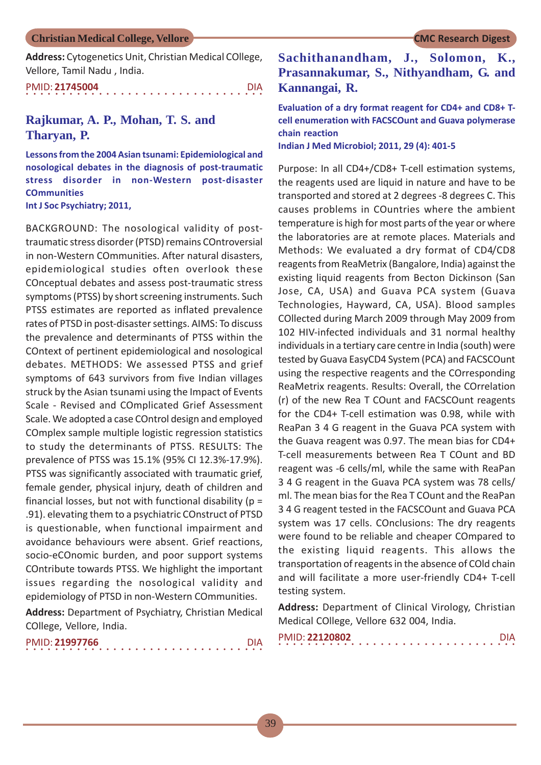**Address:** Cytogenetics Unit, Christian Medical COllege, Vellore, Tamil Nadu , India.

| PMID: 21745004 |  |  |  |  |  |  |  |  |  |  |  |  |  |  | DIA. |  |
|----------------|--|--|--|--|--|--|--|--|--|--|--|--|--|--|------|--|
|                |  |  |  |  |  |  |  |  |  |  |  |  |  |  |      |  |

### **Rajkumar, A. P., Mohan, T. S. and Tharyan, P.**

**Lessons from the 2004 Asian tsunami: Epidemiological and nosological debates in the diagnosis of post-traumatic stress disorder in non-Western post-disaster COmmunities Int J Soc Psychiatry; 2011,**

BACKGROUND: The nosological validity of posttraumatic stress disorder (PTSD) remains COntroversial in non-Western COmmunities. After natural disasters, epidemiological studies often overlook these COnceptual debates and assess post-traumatic stress symptoms (PTSS) by short screening instruments. Such PTSS estimates are reported as inflated prevalence rates of PTSD in post-disaster settings. AIMS: To discuss the prevalence and determinants of PTSS within the COntext of pertinent epidemiological and nosological debates. METHODS: We assessed PTSS and grief symptoms of 643 survivors from five Indian villages struck by the Asian tsunami using the Impact of Events Scale - Revised and COmplicated Grief Assessment Scale. We adopted a case COntrol design and employed COmplex sample multiple logistic regression statistics to study the determinants of PTSS. RESULTS: The prevalence of PTSS was 15.1% (95% CI 12.3%-17.9%). PTSS was significantly associated with traumatic grief, female gender, physical injury, death of children and financial losses, but not with functional disability ( $p =$ .91). elevating them to a psychiatric COnstruct of PTSD is questionable, when functional impairment and avoidance behaviours were absent. Grief reactions, socio-eCOnomic burden, and poor support systems COntribute towards PTSS. We highlight the important issues regarding the nosological validity and epidemiology of PTSD in non-Western COmmunities.

**Address:** Department of Psychiatry, Christian Medical COllege, Vellore, India.

|  |  | PMID: 21997766 |  |  |  |  |  |  |  |  |  |  |  |  | <b>DIA</b> |  |
|--|--|----------------|--|--|--|--|--|--|--|--|--|--|--|--|------------|--|
|  |  |                |  |  |  |  |  |  |  |  |  |  |  |  |            |  |

## **Sachithanandham, J., Solomon, K., Prasannakumar, S., Nithyandham, G. and Kannangai, R.**

**Evaluation of a dry format reagent for CD4+ and CD8+ Tcell enumeration with FACSCOunt and Guava polymerase chain reaction**

**Indian J Med Microbiol; 2011, 29 (4): 401-5**

Purpose: In all CD4+/CD8+ T-cell estimation systems, the reagents used are liquid in nature and have to be transported and stored at 2 degrees -8 degrees C. This causes problems in COuntries where the ambient temperature is high for most parts of the year or where the laboratories are at remote places. Materials and Methods: We evaluated a dry format of CD4/CD8 reagents from ReaMetrix (Bangalore, India) against the existing liquid reagents from Becton Dickinson (San Jose, CA, USA) and Guava PCA system (Guava Technologies, Hayward, CA, USA). Blood samples COllected during March 2009 through May 2009 from 102 HIV-infected individuals and 31 normal healthy individuals in a tertiary care centre in India (south) were tested by Guava EasyCD4 System (PCA) and FACSCOunt using the respective reagents and the COrresponding ReaMetrix reagents. Results: Overall, the COrrelation (r) of the new Rea T COunt and FACSCOunt reagents for the CD4+ T-cell estimation was 0.98, while with ReaPan 3 4 G reagent in the Guava PCA system with the Guava reagent was 0.97. The mean bias for CD4+ T-cell measurements between Rea T COunt and BD reagent was -6 cells/ml, while the same with ReaPan 3 4 G reagent in the Guava PCA system was 78 cells/ ml. The mean bias for the Rea T COunt and the ReaPan 3 4 G reagent tested in the FACSCOunt and Guava PCA system was 17 cells. COnclusions: The dry reagents were found to be reliable and cheaper COmpared to the existing liquid reagents. This allows the transportation of reagents in the absence of COld chain and will facilitate a more user-friendly CD4+ T-cell testing system.

**Address:** Department of Clinical Virology, Christian Medical COllege, Vellore 632 004, India.

| PMID: 22120802 |  |  |  |  |  |  |  |  |  |  |  |  |  |  |  |  |
|----------------|--|--|--|--|--|--|--|--|--|--|--|--|--|--|--|--|
|                |  |  |  |  |  |  |  |  |  |  |  |  |  |  |  |  |